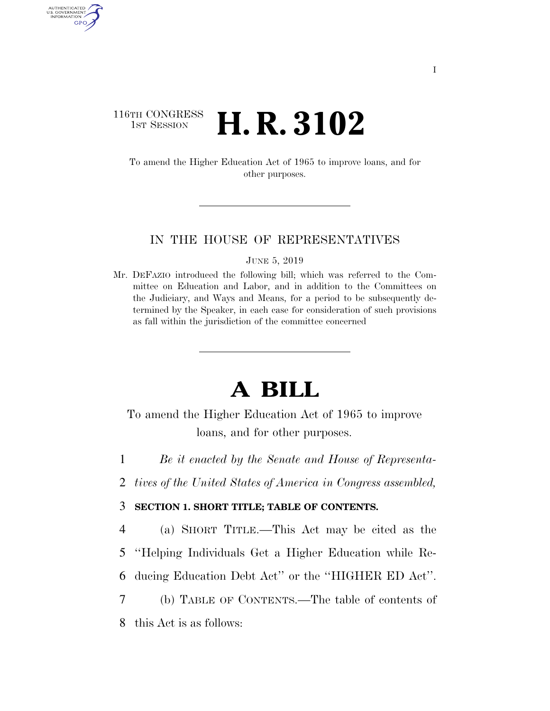## 116TH CONGRESS **1st Session H. R. 3102**

AUTHENTICATED U.S. GOVERNMENT GPO

> To amend the Higher Education Act of 1965 to improve loans, and for other purposes.

## IN THE HOUSE OF REPRESENTATIVES

JUNE 5, 2019

Mr. DEFAZIO introduced the following bill; which was referred to the Committee on Education and Labor, and in addition to the Committees on the Judiciary, and Ways and Means, for a period to be subsequently determined by the Speaker, in each case for consideration of such provisions as fall within the jurisdiction of the committee concerned

# **A BILL**

To amend the Higher Education Act of 1965 to improve loans, and for other purposes.

1 *Be it enacted by the Senate and House of Representa-*

2 *tives of the United States of America in Congress assembled,* 

## 3 **SECTION 1. SHORT TITLE; TABLE OF CONTENTS.**

4 (a) SHORT TITLE.—This Act may be cited as the

5 ''Helping Individuals Get a Higher Education while Re-

6 ducing Education Debt Act'' or the ''HIGHER ED Act''.

7 (b) TABLE OF CONTENTS.—The table of contents of 8 this Act is as follows: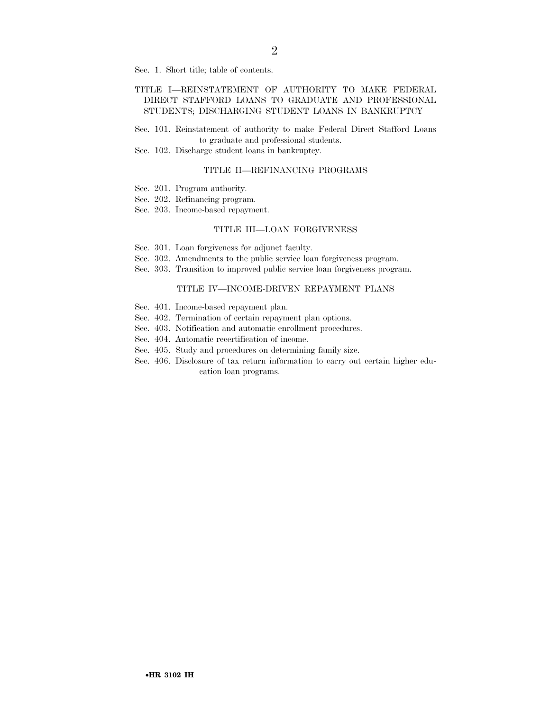Sec. 1. Short title; table of contents.

### TITLE I—REINSTATEMENT OF AUTHORITY TO MAKE FEDERAL DIRECT STAFFORD LOANS TO GRADUATE AND PROFESSIONAL STUDENTS; DISCHARGING STUDENT LOANS IN BANKRUPTCY

Sec. 101. Reinstatement of authority to make Federal Direct Stafford Loans to graduate and professional students.

Sec. 102. Discharge student loans in bankruptcy.

#### TITLE II—REFINANCING PROGRAMS

- Sec. 201. Program authority.
- Sec. 202. Refinancing program.
- Sec. 203. Income-based repayment.

#### TITLE III—LOAN FORGIVENESS

- Sec. 301. Loan forgiveness for adjunct faculty.
- Sec. 302. Amendments to the public service loan forgiveness program.
- Sec. 303. Transition to improved public service loan forgiveness program.

#### TITLE IV—INCOME-DRIVEN REPAYMENT PLANS

- Sec. 401. Income-based repayment plan.
- Sec. 402. Termination of certain repayment plan options.
- Sec. 403. Notification and automatic enrollment procedures.
- Sec. 404. Automatic recertification of income.
- Sec. 405. Study and procedures on determining family size.
- Sec. 406. Disclosure of tax return information to carry out certain higher education loan programs.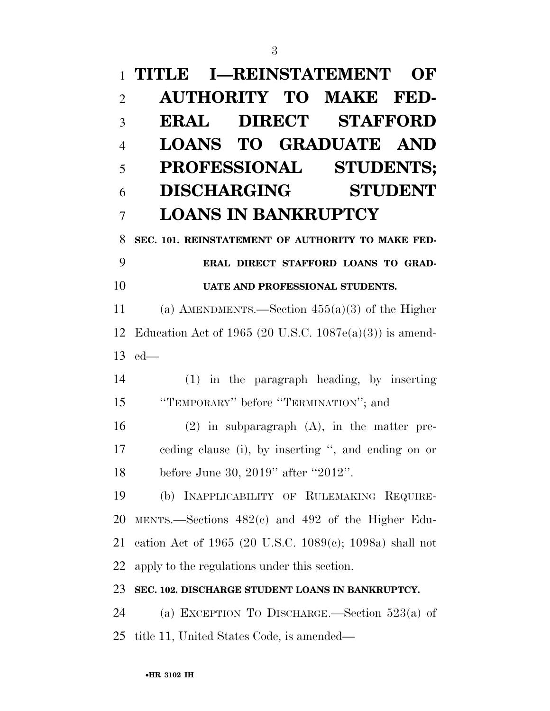# **TITLE I—REINSTATEMENT OF AUTHORITY TO MAKE FED- ERAL DIRECT STAFFORD LOANS TO GRADUATE AND PROFESSIONAL STUDENTS; DISCHARGING STUDENT LOANS IN BANKRUPTCY SEC. 101. REINSTATEMENT OF AUTHORITY TO MAKE FED- ERAL DIRECT STAFFORD LOANS TO GRAD- UATE AND PROFESSIONAL STUDENTS.**  (a) AMENDMENTS.—Section 455(a)(3) of the Higher Education Act of 1965 (20 U.S.C. 1087e(a)(3)) is amend- ed— (1) in the paragraph heading, by inserting ''TEMPORARY'' before ''TERMINATION''; and (2) in subparagraph (A), in the matter pre- ceding clause (i), by inserting '', and ending on or 18 before June 30, 2019" after "2012". (b) INAPPLICABILITY OF RULEMAKING REQUIRE-MENTS.—Sections 482(c) and 492 of the Higher Edu-

apply to the regulations under this section.

## **SEC. 102. DISCHARGE STUDENT LOANS IN BANKRUPTCY.**

cation Act of 1965 (20 U.S.C. 1089(c); 1098a) shall not

 (a) EXCEPTION TO DISCHARGE.—Section 523(a) of title 11, United States Code, is amended—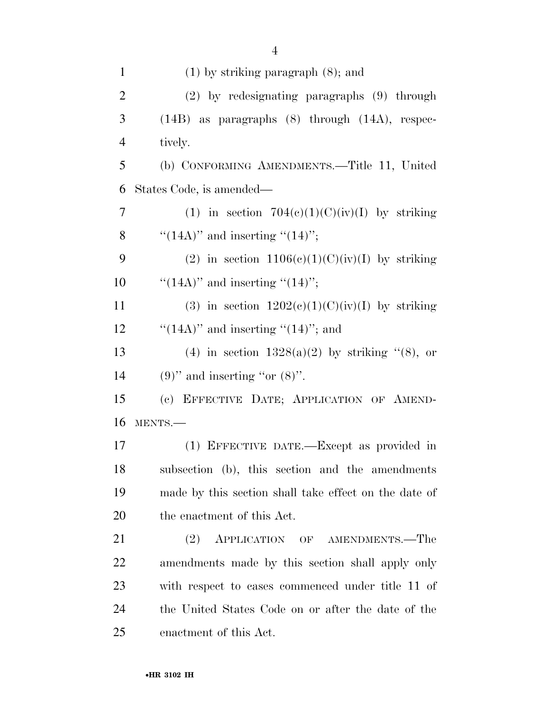| $\mathbf{1}$   | $(1)$ by striking paragraph $(8)$ ; and               |
|----------------|-------------------------------------------------------|
| $\overline{2}$ | $(2)$ by redesignating paragraphs $(9)$ through       |
| 3              | $(14B)$ as paragraphs $(8)$ through $(14A)$ , respec- |
| $\overline{4}$ | tively.                                               |
| 5              | (b) CONFORMING AMENDMENTS.—Title 11, United           |
| 6              | States Code, is amended—                              |
| 7              | (1) in section $704(c)(1)(C)(iv)(I)$ by striking      |
| 8              | "(14A)" and inserting "(14)";                         |
| 9              | (2) in section $1106(c)(1)(C)(iv)(I)$ by striking     |
| 10             | "(14A)" and inserting "(14)";                         |
| 11             | (3) in section $1202(c)(1)(C)(iv)(I)$ by striking     |
| 12             | " $(14A)$ " and inserting " $(14)$ "; and             |
| 13             | (4) in section $1328(a)(2)$ by striking "(8), or      |
| 14             | $(9)$ " and inserting "or $(8)$ ".                    |
| 15             | (c) EFFECTIVE DATE; APPLICATION OF AMEND-             |
| 16             | MENTS.-                                               |
| 17             | (1) EFFECTIVE DATE.—Except as provided in             |
| 18             | subsection (b), this section and the amendments       |
| 19             | made by this section shall take effect on the date of |
| 20             | the enactment of this Act.                            |
| 21             | (2)<br>APPLICATION OF AMENDMENTS.—The                 |
| 22             | amendments made by this section shall apply only      |
| 23             | with respect to cases commenced under title 11 of     |
| 24             | the United States Code on or after the date of the    |
| 25             | enactment of this Act.                                |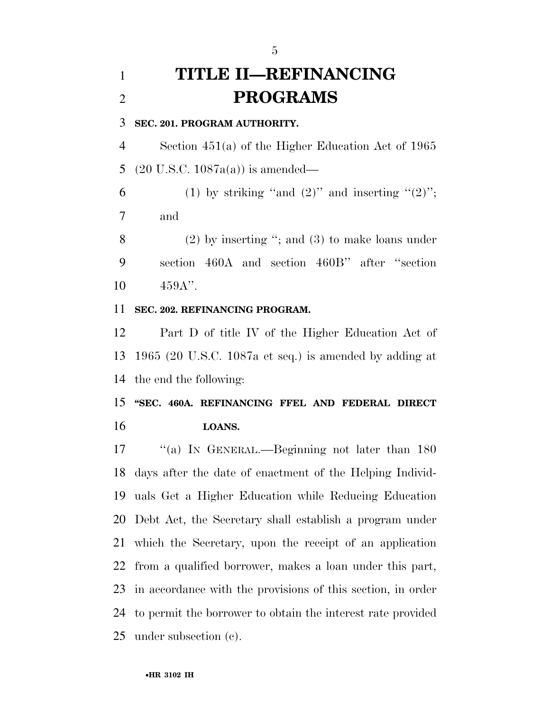## **TITLE II—REFINANCING PROGRAMS**

**SEC. 201. PROGRAM AUTHORITY.** 

 Section 451(a) of the Higher Education Act of 1965 (20 U.S.C. 1087a(a)) is amended—

6 (1) by striking "and  $(2)$ " and inserting " $(2)$ "; and

 (2) by inserting ''; and (3) to make loans under section 460A and section 460B'' after ''section 459A''.

**SEC. 202. REFINANCING PROGRAM.** 

 Part D of title IV of the Higher Education Act of 1965 (20 U.S.C. 1087a et seq.) is amended by adding at the end the following:

 **''SEC. 460A. REFINANCING FFEL AND FEDERAL DIRECT LOANS.** 

17 "(a) IN GENERAL.—Beginning not later than 180 days after the date of enactment of the Helping Individ- uals Get a Higher Education while Reducing Education Debt Act, the Secretary shall establish a program under which the Secretary, upon the receipt of an application from a qualified borrower, makes a loan under this part, in accordance with the provisions of this section, in order to permit the borrower to obtain the interest rate provided under subsection (c).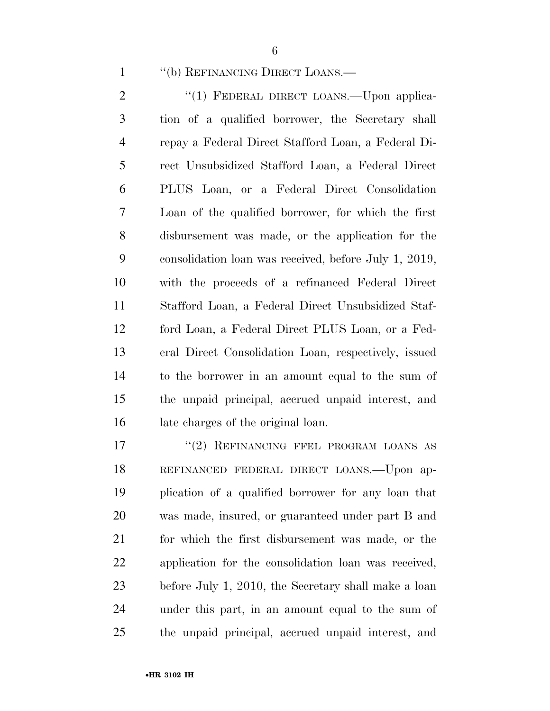''(b) REFINANCING DIRECT LOANS.—

2 "(1) FEDERAL DIRECT LOANS.—Upon applica- tion of a qualified borrower, the Secretary shall repay a Federal Direct Stafford Loan, a Federal Di- rect Unsubsidized Stafford Loan, a Federal Direct PLUS Loan, or a Federal Direct Consolidation Loan of the qualified borrower, for which the first disbursement was made, or the application for the consolidation loan was received, before July 1, 2019, with the proceeds of a refinanced Federal Direct Stafford Loan, a Federal Direct Unsubsidized Staf- ford Loan, a Federal Direct PLUS Loan, or a Fed- eral Direct Consolidation Loan, respectively, issued to the borrower in an amount equal to the sum of the unpaid principal, accrued unpaid interest, and late charges of the original loan.

17 "(2) REFINANCING FFEL PROGRAM LOANS AS REFINANCED FEDERAL DIRECT LOANS.—Upon ap- plication of a qualified borrower for any loan that was made, insured, or guaranteed under part B and for which the first disbursement was made, or the application for the consolidation loan was received, before July 1, 2010, the Secretary shall make a loan under this part, in an amount equal to the sum of the unpaid principal, accrued unpaid interest, and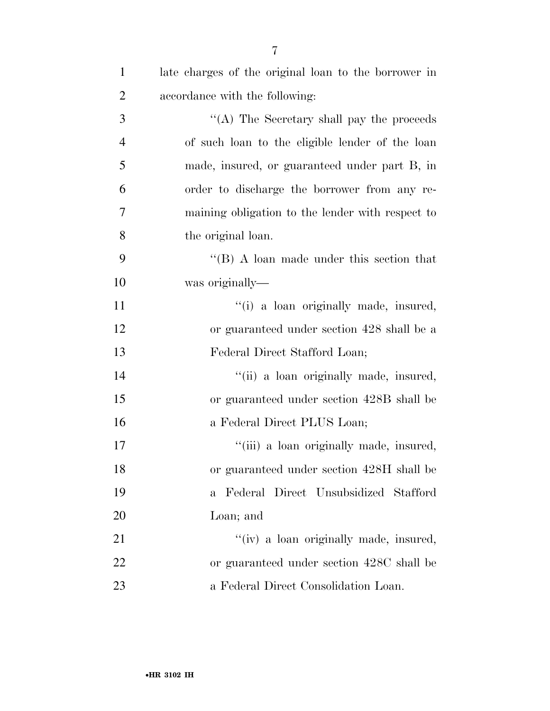| $\mathbf{1}$   | late charges of the original loan to the borrower in |
|----------------|------------------------------------------------------|
| $\overline{2}$ | accordance with the following:                       |
| 3              | "(A) The Secretary shall pay the proceeds            |
| $\overline{4}$ | of such loan to the eligible lender of the loan      |
| 5              | made, insured, or guaranteed under part B, in        |
| 6              | order to discharge the borrower from any re-         |
| $\overline{7}$ | maining obligation to the lender with respect to     |
| 8              | the original loan.                                   |
| 9              | "(B) A loan made under this section that             |
| 10             | was originally—                                      |
| 11             | "(i) a loan originally made, insured,                |
| 12             | or guaranteed under section 428 shall be a           |
| 13             | Federal Direct Stafford Loan;                        |
| 14             | "(ii) a loan originally made, insured,               |
| 15             | or guaranteed under section 428B shall be            |
| 16             | a Federal Direct PLUS Loan;                          |
| 17             | "(iii) a loan originally made, insured,              |
| 18             | or guaranteed under section 428H shall be            |
| 19             | Federal Direct Unsubsidized Stafford<br>$\mathbf{a}$ |
| 20             | Loan; and                                            |
| 21             | "(iv) a loan originally made, insured,               |
| 22             | or guaranteed under section 428C shall be            |
| 23             | a Federal Direct Consolidation Loan.                 |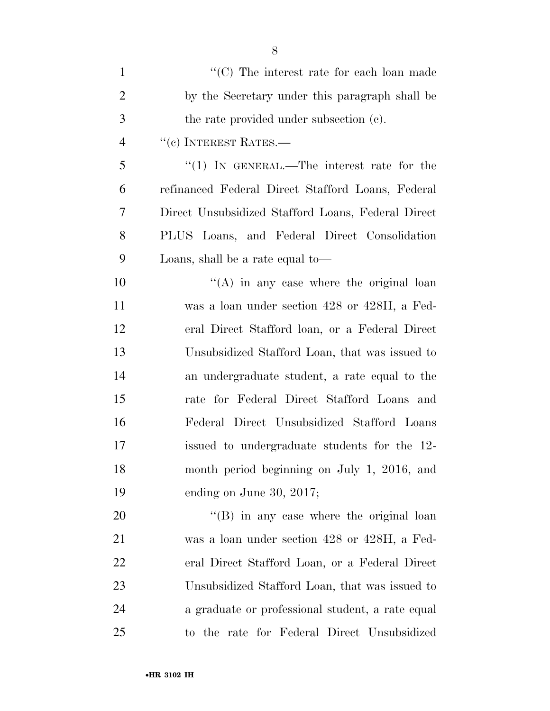| $\mathbf{1}$   | "(C) The interest rate for each loan made          |
|----------------|----------------------------------------------------|
| $\overline{2}$ | by the Secretary under this paragraph shall be     |
| 3              | the rate provided under subsection (c).            |
| $\overline{4}$ | $``$ (c) INTEREST RATES.—                          |
| 5              | "(1) IN GENERAL.—The interest rate for the         |
| 6              | refinanced Federal Direct Stafford Loans, Federal  |
| 7              | Direct Unsubsidized Stafford Loans, Federal Direct |
| 8              | PLUS Loans, and Federal Direct Consolidation       |
| 9              | Loans, shall be a rate equal to—                   |
| 10             | $\lq\lq$ in any case where the original loan       |
| 11             | was a loan under section 428 or 428H, a Fed-       |
| 12             | eral Direct Stafford loan, or a Federal Direct     |
| 13             | Unsubsidized Stafford Loan, that was issued to     |
| 14             | an undergraduate student, a rate equal to the      |
| 15             | rate for Federal Direct Stafford Loans and         |
| 16             | Federal Direct Unsubsidized Stafford Loans         |
| 17             | issued to undergraduate students for the 12-       |
| 18             | month period beginning on July 1, 2016, and        |
| 19             | ending on June 30, 2017;                           |
| 20             | $\lq\lq (B)$ in any case where the original loan   |
| 21             | was a loan under section 428 or 428H, a Fed-       |
| 22             | eral Direct Stafford Loan, or a Federal Direct     |
| 23             | Unsubsidized Stafford Loan, that was issued to     |
| 24             | a graduate or professional student, a rate equal   |
| 25             | to the rate for Federal Direct Unsubsidized        |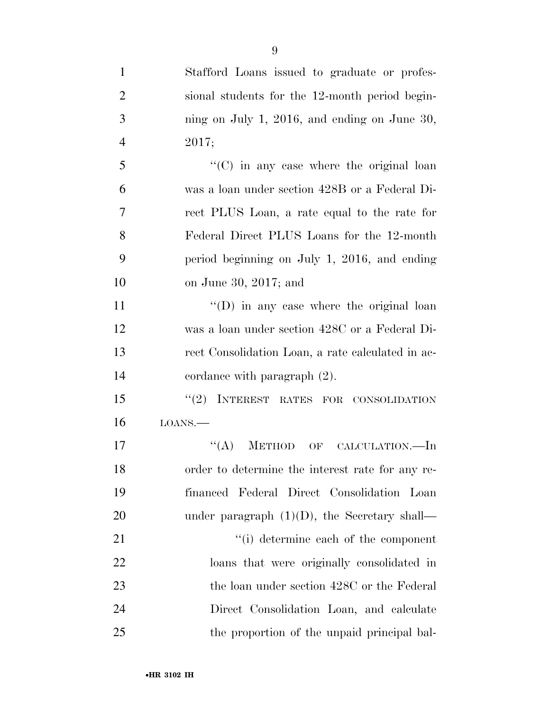| $\mathbf{1}$   | Stafford Loans issued to graduate or profes-      |
|----------------|---------------------------------------------------|
| $\overline{2}$ | sional students for the 12-month period begin-    |
| 3              | ning on July 1, 2016, and ending on June 30,      |
| $\overline{4}$ | 2017;                                             |
| 5              | "(C) in any case where the original loan          |
| 6              | was a loan under section 428B or a Federal Di-    |
| 7              | rect PLUS Loan, a rate equal to the rate for      |
| 8              | Federal Direct PLUS Loans for the 12-month        |
| 9              | period beginning on July 1, 2016, and ending      |
| 10             | on June 30, 2017; and                             |
| 11             | $\lq\lq$ (D) in any case where the original loan  |
| 12             | was a loan under section 428C or a Federal Di-    |
| 13             | rect Consolidation Loan, a rate calculated in ac- |
| 14             | cordance with paragraph $(2)$ .                   |
| 15             | "(2) INTEREST RATES FOR CONSOLIDATION             |
| 16             | LOANS.                                            |
| 17             | ``(A)<br><b>METHOD</b><br>OF<br>CALCULATION.—In   |
| 18             | order to determine the interest rate for any re-  |
| 19             | financed Federal Direct Consolidation Loan        |
| 20             | under paragraph $(1)(D)$ , the Secretary shall—   |
| 21             | "(i) determine each of the component              |
| 22             | loans that were originally consolidated in        |
| 23             | the loan under section 428C or the Federal        |
| 24             | Direct Consolidation Loan, and calculate          |
| 25             | the proportion of the unpaid principal bal-       |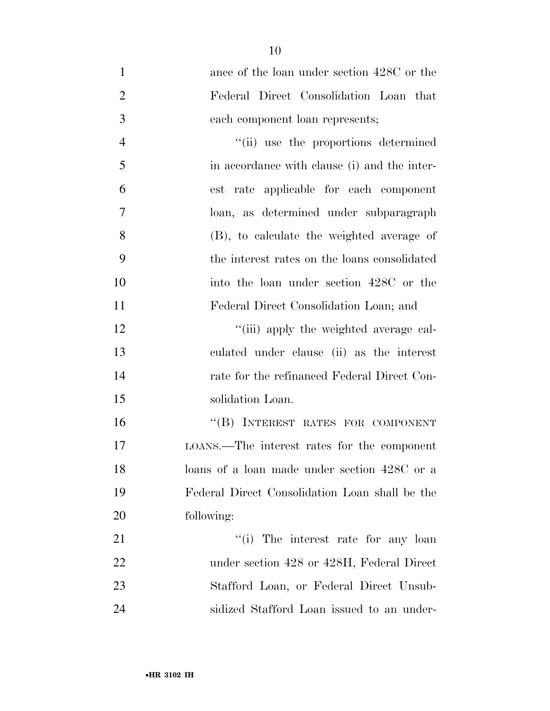| $\mathbf{1}$   | ance of the loan under section 428C or the     |
|----------------|------------------------------------------------|
| $\overline{2}$ | Federal Direct Consolidation Loan that         |
| 3              | each component loan represents;                |
| $\overline{4}$ | "(ii) use the proportions determined           |
| 5              | in accordance with clause (i) and the inter-   |
| 6              | est rate applicable for each component         |
| 7              | loan, as determined under subparagraph         |
| 8              | (B), to calculate the weighted average of      |
| 9              | the interest rates on the loans consolidated   |
| 10             | into the loan under section 428C or the        |
| 11             | Federal Direct Consolidation Loan; and         |
| 12             | "(iii) apply the weighted average cal-         |
| 13             | culated under clause (ii) as the interest      |
| 14             | rate for the refinanced Federal Direct Con-    |
| 15             | solidation Loan.                               |
| 16             | "(B) INTEREST RATES FOR COMPONENT              |
| 17             | LOANS.—The interest rates for the component    |
| 18             | loans of a loan made under section 428C or a   |
| 19             | Federal Direct Consolidation Loan shall be the |
| 20             | following:                                     |
| 21             | "(i) The interest rate for any loan            |
| 22             | under section 428 or 428H, Federal Direct      |
| 23             | Stafford Loan, or Federal Direct Unsub-        |
| 24             | sidized Stafford Loan issued to an under-      |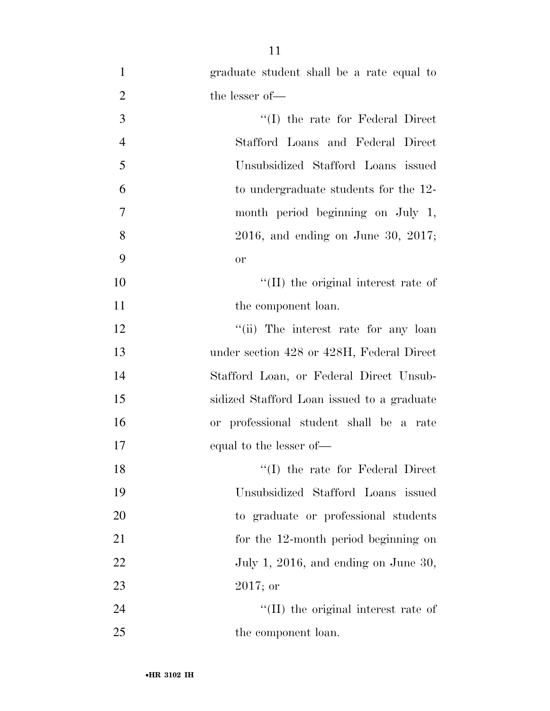| $\mathbf{1}$   | graduate student shall be a rate equal to  |
|----------------|--------------------------------------------|
| $\overline{2}$ | the lesser of-                             |
| 3              | $\lq\lq$ the rate for Federal Direct       |
| $\overline{4}$ | Stafford Loans and Federal Direct          |
| 5              | Unsubsidized Stafford Loans issued         |
| 6              | to undergraduate students for the 12-      |
| 7              | month period beginning on July 1,          |
| 8              | $2016$ , and ending on June 30, $2017$ ;   |
| 9              | or                                         |
| 10             | "(II) the original interest rate of        |
| 11             | the component loan.                        |
| 12             | "(ii) The interest rate for any loan       |
| 13             | under section 428 or 428H, Federal Direct  |
| 14             | Stafford Loan, or Federal Direct Unsub-    |
| 15             | sidized Stafford Loan issued to a graduate |
| 16             | or professional student shall be a rate    |
| 17             | equal to the lesser of—                    |
| 18             | "(I) the rate for Federal Direct           |
| 19             | Unsubsidized Stafford Loans issued         |
| 20             | to graduate or professional students       |
| 21             | for the 12-month period beginning on       |
| 22             | July 1, 2016, and ending on June 30,       |
| 23             | $2017;$ or                                 |
| 24             | "(II) the original interest rate of        |
| 25             | the component loan.                        |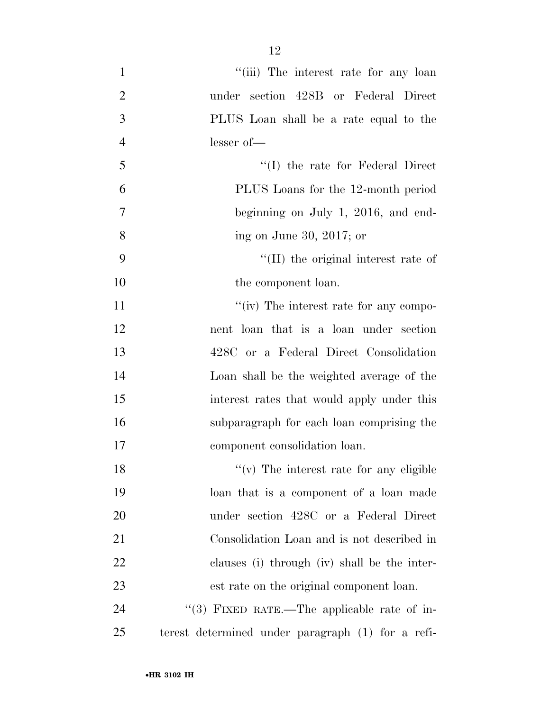| $\mathbf{1}$   | "(iii) The interest rate for any loan             |
|----------------|---------------------------------------------------|
| $\overline{2}$ | under section 428B or Federal Direct              |
| 3              | PLUS Loan shall be a rate equal to the            |
| $\overline{4}$ | lesser of-                                        |
| 5              | "(I) the rate for Federal Direct                  |
| 6              | PLUS Loans for the 12-month period                |
| 7              | beginning on July 1, 2016, and end-               |
| 8              | ing on June 30, 2017; or                          |
| 9              | $\lq$ (II) the original interest rate of          |
| 10             | the component loan.                               |
| 11             | "(iv) The interest rate for any compo-            |
| 12             | nent loan that is a loan under section            |
| 13             | 428C or a Federal Direct Consolidation            |
| 14             | Loan shall be the weighted average of the         |
| 15             | interest rates that would apply under this        |
| 16             | subparagraph for each loan comprising the         |
| 17             | component consolidation loan.                     |
| 18             | $f'(v)$ The interest rate for any eligible        |
| 19             | loan that is a component of a loan made           |
| 20             | under section 428C or a Federal Direct            |
| 21             | Consolidation Loan and is not described in        |
| 22             | clauses (i) through (iv) shall be the inter-      |
| 23             | est rate on the original component loan.          |
| 24             | "(3) FIXED RATE.—The applicable rate of in-       |
| 25             | terest determined under paragraph (1) for a refi- |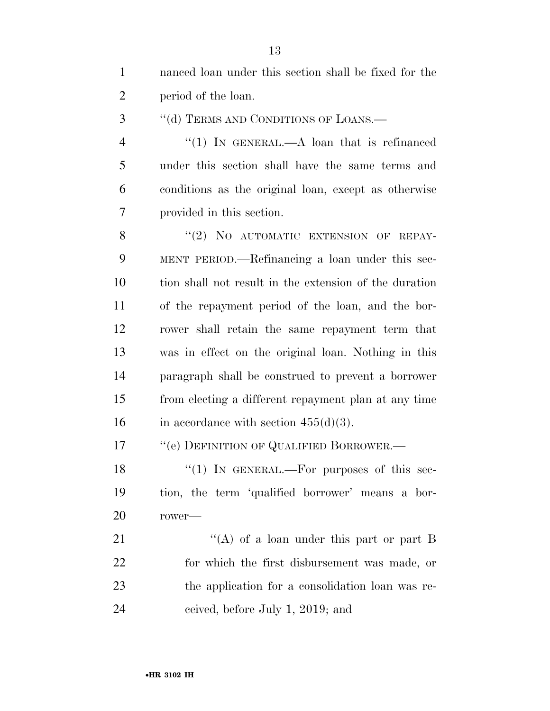| $\mathbf{1}$   | nanced loan under this section shall be fixed for the  |
|----------------|--------------------------------------------------------|
| $\overline{2}$ | period of the loan.                                    |
| 3              | "(d) TERMS AND CONDITIONS OF LOANS.—                   |
| $\overline{4}$ | "(1) In GENERAL.—A loan that is refinanced             |
| 5              | under this section shall have the same terms and       |
| 6              | conditions as the original loan, except as otherwise   |
| 7              | provided in this section.                              |
| 8              | "(2) NO AUTOMATIC EXTENSION OF REPAY-                  |
| 9              | MENT PERIOD.—Refinancing a loan under this sec-        |
| 10             | tion shall not result in the extension of the duration |
| 11             | of the repayment period of the loan, and the bor-      |
| 12             | rower shall retain the same repayment term that        |
| 13             | was in effect on the original loan. Nothing in this    |
| 14             | paragraph shall be construed to prevent a borrower     |
| 15             | from electing a different repayment plan at any time   |
| 16             | in accordance with section $455(d)(3)$ .               |
| 17             | "(e) DEFINITION OF QUALIFIED BORROWER.-                |
| 18             | " $(1)$ IN GENERAL.—For purposes of this sec-          |
| 19             | tion, the term 'qualified borrower' means a bor-       |
| 20             | $rower$ —                                              |
| 21             | "(A) of a loan under this part or part B               |
| 22             | for which the first disbursement was made, or          |
| 23             | the application for a consolidation loan was re-       |
| 24             | ceived, before July 1, 2019; and                       |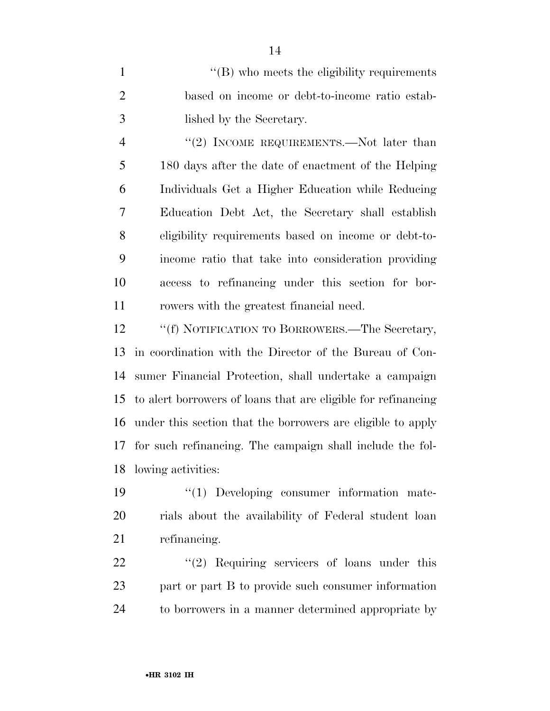1 ''(B) who meets the eligibility requirements based on income or debt-to-income ratio estab-lished by the Secretary.

4 "(2) INCOME REQUIREMENTS.—Not later than 180 days after the date of enactment of the Helping Individuals Get a Higher Education while Reducing Education Debt Act, the Secretary shall establish eligibility requirements based on income or debt-to- income ratio that take into consideration providing access to refinancing under this section for bor-rowers with the greatest financial need.

12 ""(f) NOTIFICATION TO BORROWERS.—The Secretary, in coordination with the Director of the Bureau of Con- sumer Financial Protection, shall undertake a campaign to alert borrowers of loans that are eligible for refinancing under this section that the borrowers are eligible to apply for such refinancing. The campaign shall include the fol-lowing activities:

 ''(1) Developing consumer information mate- rials about the availability of Federal student loan refinancing.

22 ''(2) Requiring servicers of loans under this part or part B to provide such consumer information to borrowers in a manner determined appropriate by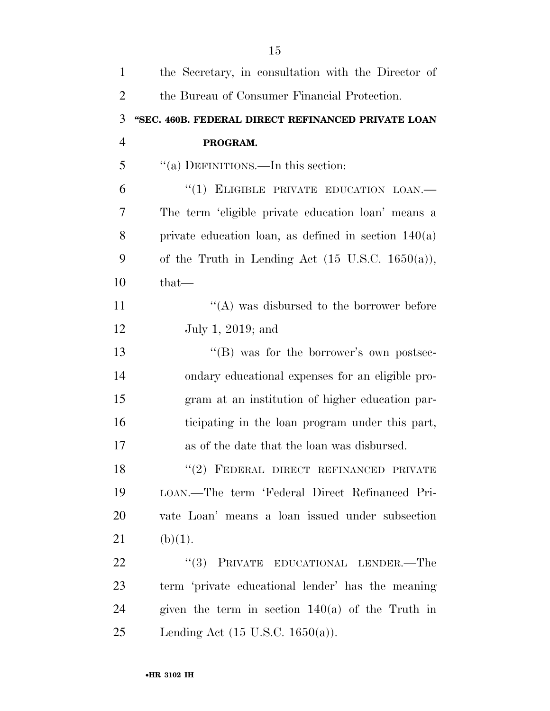| $\mathbf{1}$   | the Secretary, in consultation with the Director of         |
|----------------|-------------------------------------------------------------|
| $\overline{2}$ | the Bureau of Consumer Financial Protection.                |
| 3              | "SEC. 460B. FEDERAL DIRECT REFINANCED PRIVATE LOAN          |
| $\overline{4}$ | PROGRAM.                                                    |
| 5              | "(a) DEFINITIONS.—In this section:                          |
| 6              | "(1) ELIGIBLE PRIVATE EDUCATION LOAN.-                      |
| 7              | The term 'eligible private education loan' means a          |
| 8              | private education loan, as defined in section $140(a)$      |
| 9              | of the Truth in Lending Act $(15 \text{ U.S.C. } 1650(a)),$ |
| 10             | $that-$                                                     |
| 11             | "(A) was disbursed to the borrower before                   |
| 12             | July 1, 2019; and                                           |
| 13             | "(B) was for the borrower's own postsec-                    |
| 14             | ondary educational expenses for an eligible pro-            |
| 15             | gram at an institution of higher education par-             |
| 16             | ticipating in the loan program under this part,             |
| 17             | as of the date that the loan was disbursed.                 |
| 18             | "(2) FEDERAL DIRECT REFINANCED PRIVATE                      |
| 19             | LOAN.—The term 'Federal Direct Refinanced Pri-              |
| 20             | vate Loan' means a loan issued under subsection             |
| 21             | (b)(1).                                                     |
| 22             | "(3) PRIVATE EDUCATIONAL LENDER.—The                        |
| 23             | term 'private educational lender' has the meaning           |
| 24             | given the term in section $140(a)$ of the Truth in          |
| 25             | Lending Act $(15 \text{ U.S.C. } 1650(a))$ .                |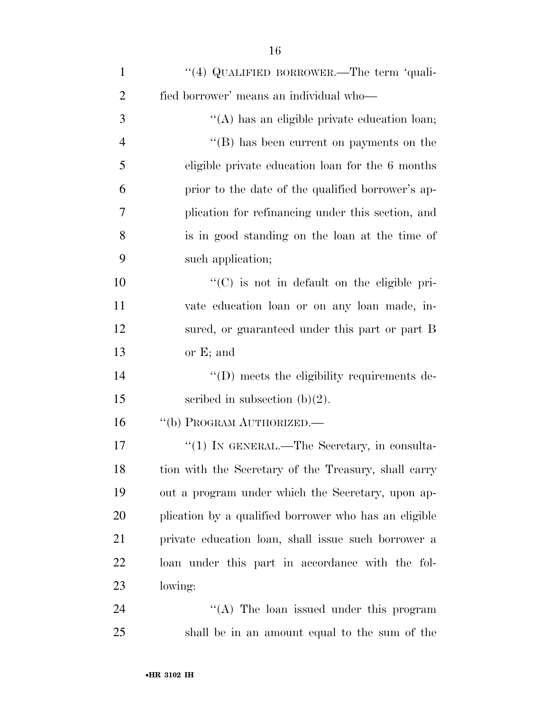| $\mathbf{1}$   | "(4) QUALIFIED BORROWER.—The term 'quali-             |
|----------------|-------------------------------------------------------|
| $\overline{2}$ | fied borrower' means an individual who-               |
| 3              | "(A) has an eligible private education loan;          |
| $\overline{4}$ | $\lq\lq$ (B) has been current on payments on the      |
| 5              | eligible private education loan for the 6 months      |
| 6              | prior to the date of the qualified borrower's ap-     |
| 7              | plication for refinancing under this section, and     |
| 8              | is in good standing on the loan at the time of        |
| 9              | such application;                                     |
| 10             | $\lq\lq$ (C) is not in default on the eligible pri-   |
| 11             | vate education loan or on any loan made, in-          |
| 12             | sured, or guaranteed under this part or part B        |
| 13             | or $E$ ; and                                          |
| 14             | $\lq\lq$ (D) meets the eligibility requirements de-   |
| 15             | scribed in subsection $(b)(2)$ .                      |
| 16             | "(b) PROGRAM AUTHORIZED.—                             |
| 17             | "(1) IN GENERAL.—The Secretary, in consulta-          |
| 18             | tion with the Secretary of the Treasury, shall carry  |
| 19             | out a program under which the Secretary, upon ap-     |
| 20             | plication by a qualified borrower who has an eligible |
| 21             | private education loan, shall issue such borrower a   |
| 22             | loan under this part in accordance with the fol-      |
| 23             | lowing:                                               |
| 24             | "(A) The loan issued under this program               |
| 25             | shall be in an amount equal to the sum of the         |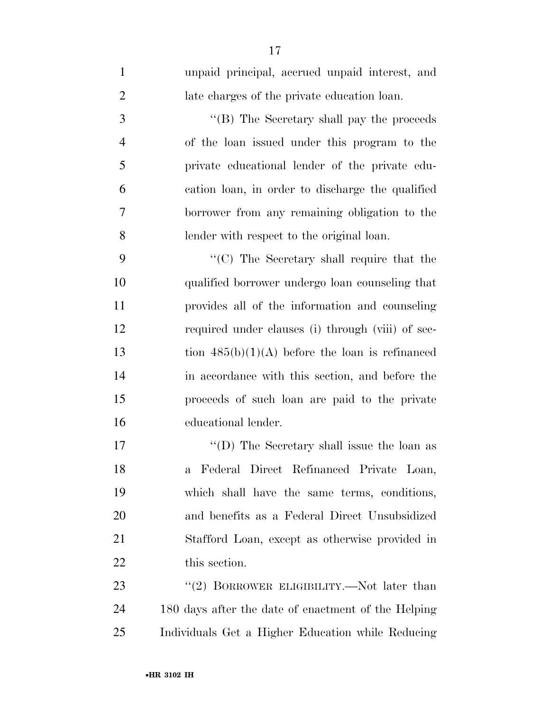| $\mathbf{1}$   | unpaid principal, accrued unpaid interest, and      |
|----------------|-----------------------------------------------------|
| $\overline{2}$ | late charges of the private education loan.         |
| 3              | "(B) The Secretary shall pay the proceeds           |
| $\overline{4}$ | of the loan issued under this program to the        |
| 5              | private educational lender of the private edu-      |
| 6              | cation loan, in order to discharge the qualified    |
| 7              | borrower from any remaining obligation to the       |
| 8              | lender with respect to the original loan.           |
| 9              | "(C) The Secretary shall require that the           |
| 10             | qualified borrower undergo loan counseling that     |
| 11             | provides all of the information and counseling      |
| 12             | required under clauses (i) through (viii) of sec-   |
| 13             | tion $485(b)(1)(A)$ before the loan is refinanced   |
| 14             | in accordance with this section, and before the     |
| 15             | proceeds of such loan are paid to the private       |
| 16             | educational lender.                                 |
| 17             | "(D) The Secretary shall issue the loan as          |
| 18             | a Federal Direct Refinanced Private Loan,           |
| 19             | which shall have the same terms, conditions,        |
| 20             | and benefits as a Federal Direct Unsubsidized       |
| 21             | Stafford Loan, except as otherwise provided in      |
| 22             | this section.                                       |
| 23             | "(2) BORROWER ELIGIBILITY.—Not later than           |
| 24             | 180 days after the date of enactment of the Helping |
| 25             | Individuals Get a Higher Education while Reducing   |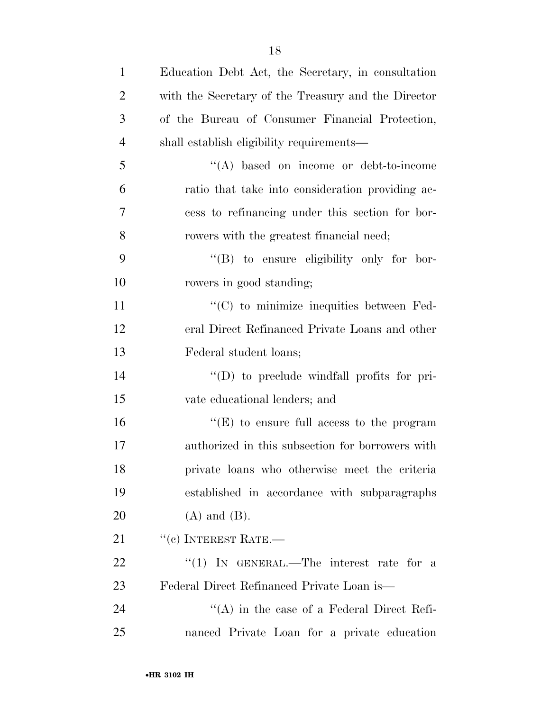| $\mathbf{1}$   | Education Debt Act, the Secretary, in consultation  |
|----------------|-----------------------------------------------------|
| $\overline{2}$ | with the Secretary of the Treasury and the Director |
| 3              | of the Bureau of Consumer Financial Protection,     |
| $\overline{4}$ | shall establish eligibility requirements—           |
| 5              | $\lq\lq$ based on income or debt-to-income          |
| 6              | ratio that take into consideration providing ac-    |
| 7              | cess to refinancing under this section for bor-     |
| 8              | rowers with the greatest financial need;            |
| 9              | "(B) to ensure eligibility only for bor-            |
| 10             | rowers in good standing;                            |
| 11             | "(C) to minimize inequities between Fed-            |
| 12             | eral Direct Refinanced Private Loans and other      |
| 13             | Federal student loans;                              |
| 14             | $\lq\lq$ to preclude windfall profits for pri-      |
| 15             | vate educational lenders; and                       |
| 16             | " $(E)$ to ensure full access to the program        |
| 17             | authorized in this subsection for borrowers with    |
| 18             | private loans who otherwise meet the criteria       |
| 19             | established in accordance with subparagraphs        |
| <b>20</b>      | $(A)$ and $(B)$ .                                   |
| 21             | $``$ (c) INTEREST RATE.—                            |
| <u>22</u>      | "(1) IN GENERAL.—The interest rate for a            |
| 23             | Federal Direct Refinanced Private Loan is—          |
| 24             | $\lq\lq$ in the case of a Federal Direct Refi-      |
| 25             | nanced Private Loan for a private education         |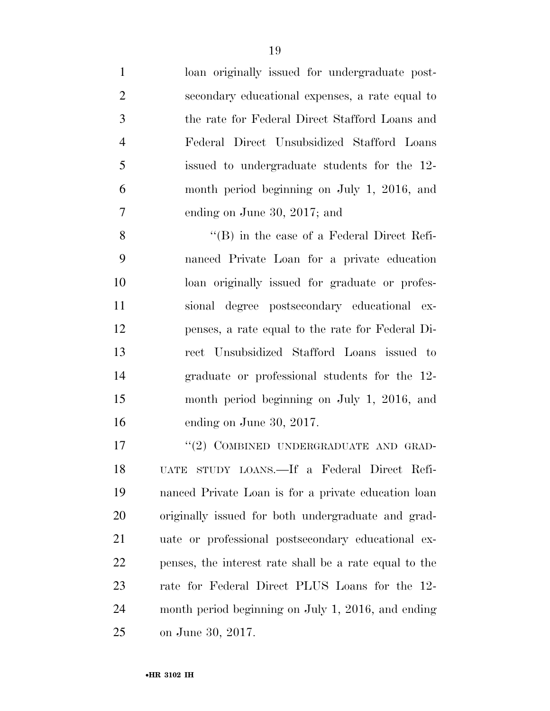| $\mathbf{1}$   | loan originally issued for undergraduate post-     |
|----------------|----------------------------------------------------|
| $\overline{2}$ | secondary educational expenses, a rate equal to    |
| 3              | the rate for Federal Direct Stafford Loans and     |
| $\overline{4}$ | Federal Direct Unsubsidized Stafford Loans         |
| 5              | issued to undergraduate students for the 12-       |
| 6              | month period beginning on July 1, 2016, and        |
| 7              | ending on June 30, 2017; and                       |
| 8              | $\lq\lq (B)$ in the case of a Federal Direct Refi- |
| 9              | nanced Private Loan for a private education        |
| $\overline{0}$ | loan originally issued for graduate or profes-     |
| $\mathbf{1}$   | sional degree postsecondary educational ex-        |
| 2              | penses, a rate equal to the rate for Federal Di-   |

 loan originally issued for graduate or profes- sional degree postsecondary educational ex- penses, a rate equal to the rate for Federal Di- rect Unsubsidized Stafford Loans issued to graduate or professional students for the 12- month period beginning on July 1, 2016, and ending on June 30, 2017.

17 "(2) COMBINED UNDERGRADUATE AND GRAD- UATE STUDY LOANS.—If a Federal Direct Refi- nanced Private Loan is for a private education loan originally issued for both undergraduate and grad- uate or professional postsecondary educational ex- penses, the interest rate shall be a rate equal to the rate for Federal Direct PLUS Loans for the 12- month period beginning on July 1, 2016, and ending on June 30, 2017.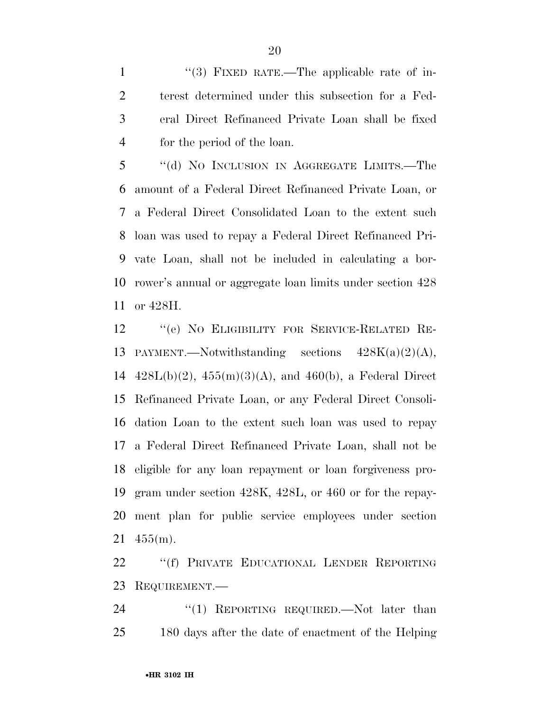1 ''(3) FIXED RATE.—The applicable rate of in- terest determined under this subsection for a Fed- eral Direct Refinanced Private Loan shall be fixed for the period of the loan.

 ''(d) NO INCLUSION IN AGGREGATE LIMITS.—The amount of a Federal Direct Refinanced Private Loan, or a Federal Direct Consolidated Loan to the extent such loan was used to repay a Federal Direct Refinanced Pri- vate Loan, shall not be included in calculating a bor- rower's annual or aggregate loan limits under section 428 or 428H.

 ''(e) NO ELIGIBILITY FOR SERVICE-RELATED RE-13 PAYMENT.—Notwithstanding sections  $428K(a)(2)(A)$ ,  $428L(b)(2)$ ,  $455(m)(3)(A)$ , and  $460(b)$ , a Federal Direct Refinanced Private Loan, or any Federal Direct Consoli- dation Loan to the extent such loan was used to repay a Federal Direct Refinanced Private Loan, shall not be eligible for any loan repayment or loan forgiveness pro- gram under section 428K, 428L, or 460 or for the repay- ment plan for public service employees under section 455(m).

 ''(f) PRIVATE EDUCATIONAL LENDER REPORTING REQUIREMENT.—

24 "(1) REPORTING REQUIRED. Not later than 180 days after the date of enactment of the Helping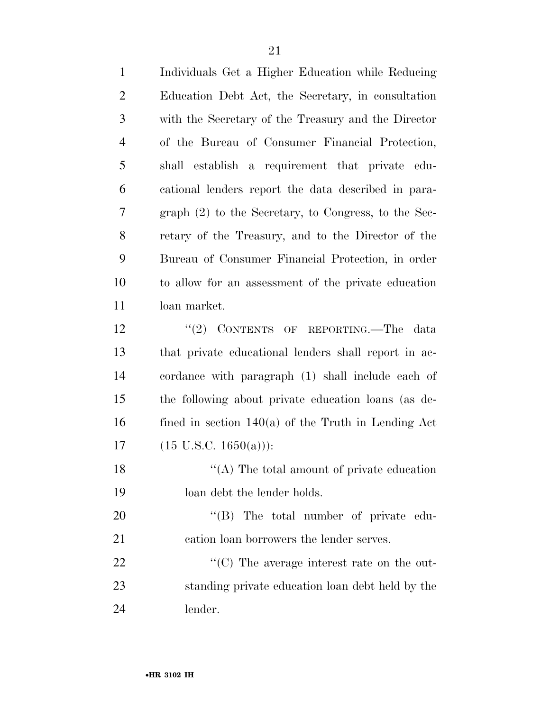| $\mathbf{1}$   | Individuals Get a Higher Education while Reducing     |
|----------------|-------------------------------------------------------|
| $\overline{2}$ | Education Debt Act, the Secretary, in consultation    |
| $\mathfrak{Z}$ | with the Secretary of the Treasury and the Director   |
| $\overline{4}$ | of the Bureau of Consumer Financial Protection,       |
| 5              | establish a requirement that private edu-<br>shall    |
| 6              | cational lenders report the data described in para-   |
| 7              | graph (2) to the Secretary, to Congress, to the Sec-  |
| 8              | retary of the Treasury, and to the Director of the    |
| 9              | Bureau of Consumer Financial Protection, in order     |
| 10             | to allow for an assessment of the private education   |
| 11             | loan market.                                          |
| 12             | "(2) CONTENTS OF REPORTING.—The<br>data               |
| 13             | that private educational lenders shall report in ac-  |
| 14             | cordance with paragraph (1) shall include each of     |
| 15             | the following about private education loans (as de-   |
| 16             | fined in section $140(a)$ of the Truth in Lending Act |
| 17             | $(15 \text{ U.S.C. } 1650(a))$ :                      |
| 18             | $\lq\lq$ The total amount of private education        |
| 19             | loan debt the lender holds.                           |
| 20             | "(B) The total number of private edu-                 |
| 21             | cation loan borrowers the lender serves.              |
| 22             | "(C) The average interest rate on the out-            |
| 23             | standing private education loan debt held by the      |
| 24             | lender.                                               |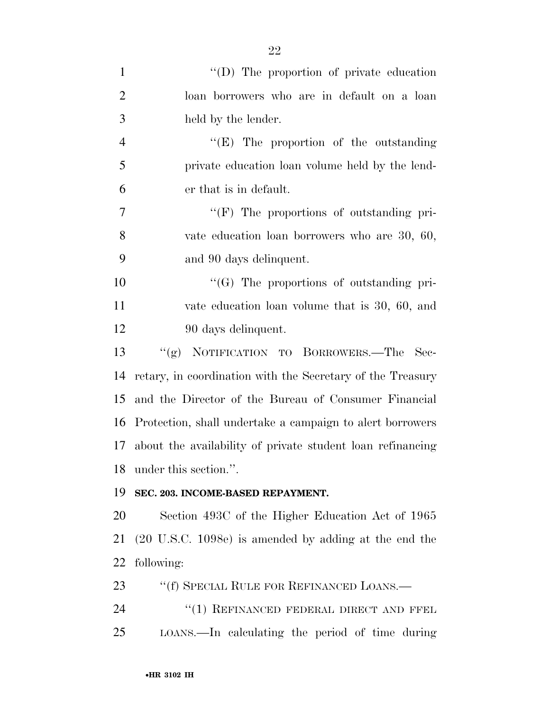| $\mathbf{1}$   | $\lq\lq$ (D) The proportion of private education                 |
|----------------|------------------------------------------------------------------|
| $\overline{2}$ | loan borrowers who are in default on a loan                      |
| 3              | held by the lender.                                              |
| $\overline{4}$ | " $(E)$ The proportion of the outstanding                        |
| 5              | private education loan volume held by the lend-                  |
| 6              | er that is in default.                                           |
| $\tau$         | $\lq\lq(F)$ The proportions of outstanding pri-                  |
| 8              | vate education loan borrowers who are 30, 60,                    |
| 9              | and 90 days delinquent.                                          |
| 10             | "(G) The proportions of outstanding pri-                         |
| 11             | vate education loan volume that is 30, 60, and                   |
| 12             | 90 days delinquent.                                              |
| 13             | "(g) NOTIFICATION TO BORROWERS.—The Sec-                         |
| 14             | retary, in coordination with the Secretary of the Treasury       |
| 15             | and the Director of the Bureau of Consumer Financial             |
| 16             | Protection, shall undertake a campaign to alert borrowers        |
| 17             | about the availability of private student loan refinancing       |
| 18             | under this section.".                                            |
| 19             | SEC. 203. INCOME-BASED REPAYMENT.                                |
| 20             | Section 493C of the Higher Education Act of 1965                 |
| 21             | $(20 \text{ U.S.C. } 1098e)$ is amended by adding at the end the |
| 22             | following:                                                       |
| 23             | "(f) SPECIAL RULE FOR REFINANCED LOANS.—                         |
| 24             | "(1) REFINANCED FEDERAL DIRECT AND FFEL                          |
| 25             | LOANS.—In calculating the period of time during                  |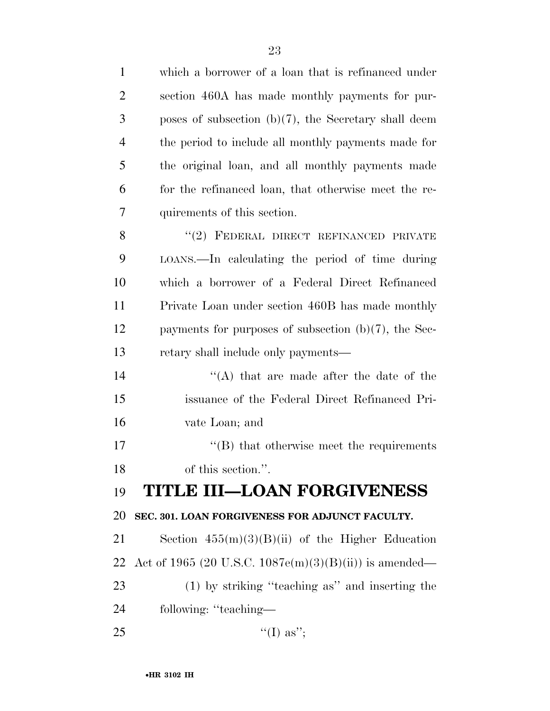| $\mathbf{1}$   | which a borrower of a loan that is refinanced under       |
|----------------|-----------------------------------------------------------|
| 2              | section 460A has made monthly payments for pur-           |
| 3              | poses of subsection $(b)(7)$ , the Secretary shall deem   |
| $\overline{4}$ | the period to include all monthly payments made for       |
| 5              | the original loan, and all monthly payments made          |
| 6              | for the refinanced loan, that otherwise meet the re-      |
| 7              | quirements of this section.                               |
| 8              | "(2) FEDERAL DIRECT REFINANCED PRIVATE                    |
| 9              | LOANS.—In calculating the period of time during           |
| 10             | which a borrower of a Federal Direct Refinanced           |
| 11             | Private Loan under section 460B has made monthly          |
| 12             | payments for purposes of subsection $(b)(7)$ , the Sec-   |
| 13             | retary shall include only payments—                       |
| 14             | $\lq\lq$ that are made after the date of the              |
| 15             | issuance of the Federal Direct Refinanced Pri-            |
| 16             | vate Loan; and                                            |
| 17             | $\cdot$ (B) that otherwise meet the requirements          |
| 18             | of this section.".                                        |
| 19             | <b>TITLE III-LOAN FORGIVENESS</b>                         |
| 20             | SEC. 301. LOAN FORGIVENESS FOR ADJUNCT FACULTY.           |
| 21             | Section $455(m)(3)(B)(ii)$ of the Higher Education        |
| 22             | Act of 1965 (20 U.S.C. $1087e(m)(3)(B)(ii)$ ) is amended— |
| 23             | (1) by striking "teaching as" and inserting the           |
| 24             | following: "teaching—                                     |
| 25             | "(I) as";                                                 |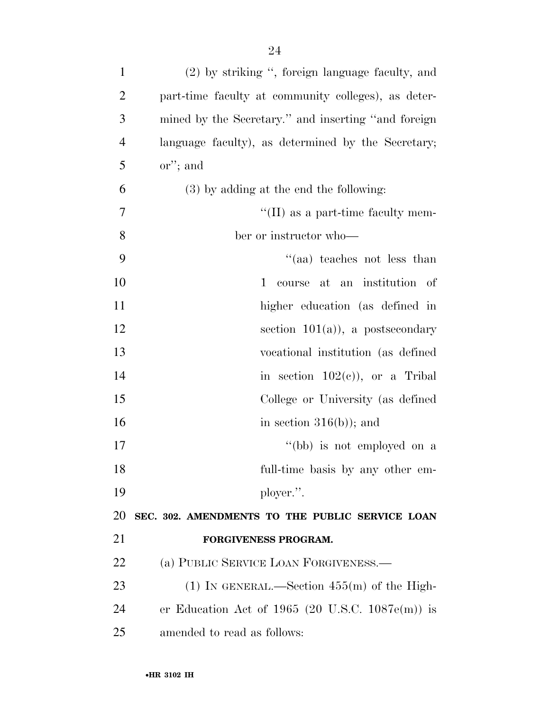| $\mathbf{1}$   | (2) by striking ", foreign language faculty, and    |
|----------------|-----------------------------------------------------|
| $\overline{2}$ | part-time faculty at community colleges), as deter- |
| 3              | mined by the Secretary." and inserting "and foreign |
| $\overline{4}$ | language faculty), as determined by the Secretary;  |
| 5              | $\alpha$ <sup>"</sup> ; and                         |
| 6              | (3) by adding at the end the following:             |
| 7              | $\lq\lq$ (II) as a part-time faculty mem-           |
| 8              | ber or instructor who—                              |
| 9              | "(aa) teaches not less than                         |
| 10             | course at an institution of<br>1                    |
| 11             | higher education (as defined in                     |
| 12             | section $101(a)$ , a postsecondary                  |
| 13             | vocational institution (as defined                  |
| 14             | in section $102(e)$ , or a Tribal                   |
| 15             | College or University (as defined                   |
| 16             | in section $316(b)$ ; and                           |
| 17             | "(bb) is not employed on a                          |
| 18             | full-time basis by any other em-                    |
| 19             | ployer.".                                           |
| 20             | SEC. 302. AMENDMENTS TO THE PUBLIC SERVICE LOAN     |
| 21             | FORGIVENESS PROGRAM.                                |
| 22             | (a) PUBLIC SERVICE LOAN FORGIVENESS.—               |
| 23             | (1) IN GENERAL.—Section $455(m)$ of the High-       |
| 24             | er Education Act of 1965 (20 U.S.C. $1087e(m)$ ) is |
| 25             | amended to read as follows:                         |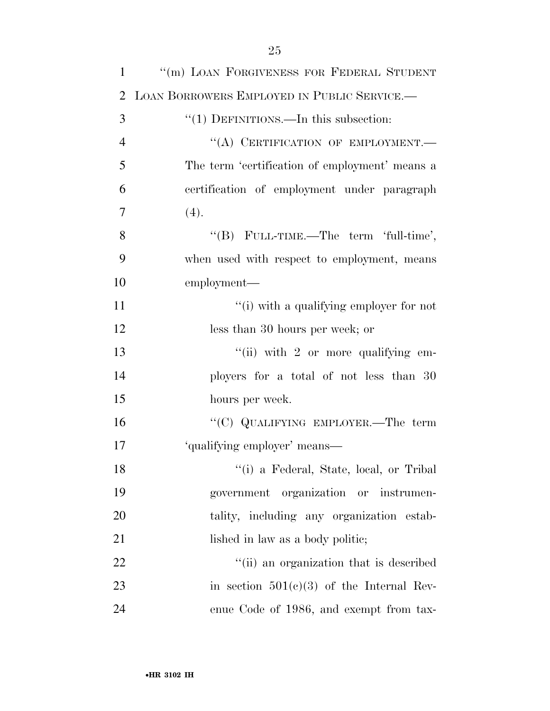| $\mathbf{1}$   | "(m) LOAN FORGIVENESS FOR FEDERAL STUDENT        |
|----------------|--------------------------------------------------|
| 2              | LOAN BORROWERS EMPLOYED IN PUBLIC SERVICE.       |
| 3              | $\cdot\cdot(1)$ DEFINITIONS.—In this subsection: |
| $\overline{4}$ | "(A) CERTIFICATION OF EMPLOYMENT.-               |
| 5              | The term 'certification of employment' means a   |
| 6              | certification of employment under paragraph      |
| 7              | (4).                                             |
| 8              | "(B) FULL-TIME.—The term 'full-time',            |
| 9              | when used with respect to employment, means      |
| 10             | employment—                                      |
| 11             | "(i) with a qualifying employer for not          |
| 12             | less than 30 hours per week; or                  |
| 13             | "(ii) with 2 or more qualifying $em-$            |
| 14             | ployers for a total of not less than 30          |
| 15             | hours per week.                                  |
| 16             | " $(C)$ QUALIFYING EMPLOYER.—The term            |
| 17             | 'qualifying employer' means—                     |
| 18             | "(i) a Federal, State, local, or Tribal          |
| 19             | government organization or instrumen-            |
| 20             | tality, including any organization estab-        |
| 21             | lished in law as a body politic;                 |
| 22             | "(ii) an organization that is described          |
| 23             | in section $501(c)(3)$ of the Internal Rev-      |
| 24             | enue Code of 1986, and exempt from tax-          |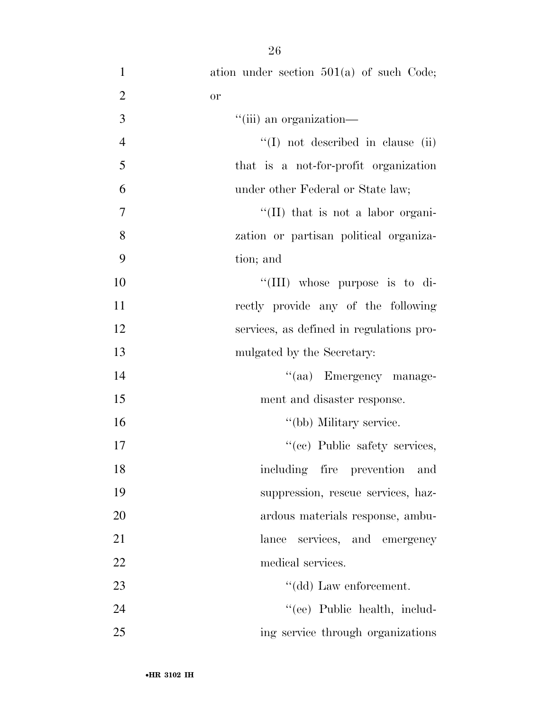| $\mathbf{1}$   | ation under section $501(a)$ of such Code; |
|----------------|--------------------------------------------|
| $\mathbf{2}$   | or                                         |
| 3              | "(iii) an organization-                    |
| $\overline{4}$ | $\lq(1)$ not described in clause (ii)      |
| 5              | that is a not-for-profit organization      |
| 6              | under other Federal or State law;          |
| $\overline{7}$ | $\lq$ (II) that is not a labor organi-     |
| 8              | zation or partisan political organiza-     |
| 9              | tion; and                                  |
| 10             | "(III) whose purpose is to di-             |
| 11             | rectly provide any of the following        |
| 12             | services, as defined in regulations pro-   |
| 13             | mulgated by the Secretary:                 |
| 14             | "(aa) Emergency manage-                    |
| 15             | ment and disaster response.                |
| 16             | "(bb) Military service.                    |
| 17             | "(cc) Public safety services,              |
| 18             | including fire prevention<br>and           |
| 19             | suppression, rescue services, haz-         |
| 20             | ardous materials response, ambu-           |
| 21             | lance services, and emergency              |
| 22             | medical services.                          |
| 23             | "(dd) Law enforcement.                     |
| 24             | "(ee) Public health, includ-               |
| 25             | ing service through organizations          |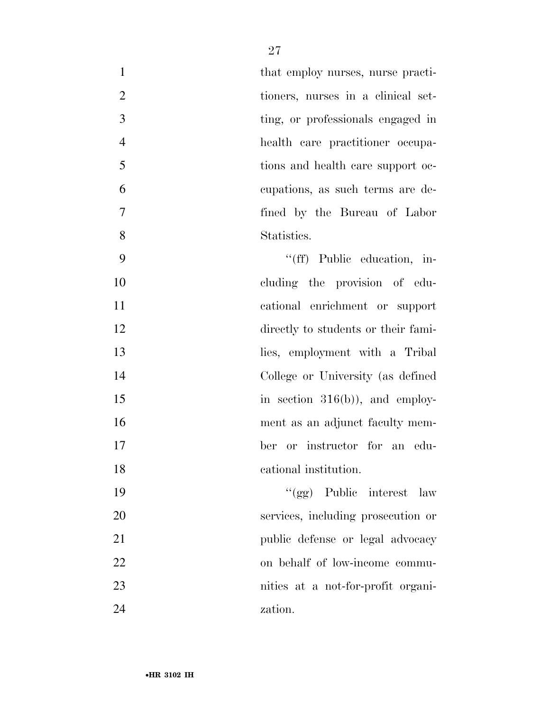|                | that employ nurses, nurse practi-  |
|----------------|------------------------------------|
| 2              | tioners, nurses in a clinical set- |
| 3              | ting, or professionals engaged in  |
| $\overline{4}$ | health care practitioner occupa-   |
| 5              | tions and health care support oc-  |
| 6              | cupations, as such terms are de-   |
| $\overline{7}$ | fined by the Bureau of Labor       |
| 8              | Statistics.                        |
| 9              | $\lq\lq(ff)$ Public education, in- |

 cluding the provision of edu- cational enrichment or support 12 directly to students or their fami- lies, employment with a Tribal College or University (as defined in section 316(b)), and employ-16 ment as an adjunct faculty mem- ber or instructor for an edu-cational institution.

 ''(gg) Public interest law services, including prosecution or public defense or legal advocacy on behalf of low-income commu- nities at a not-for-profit organi-zation.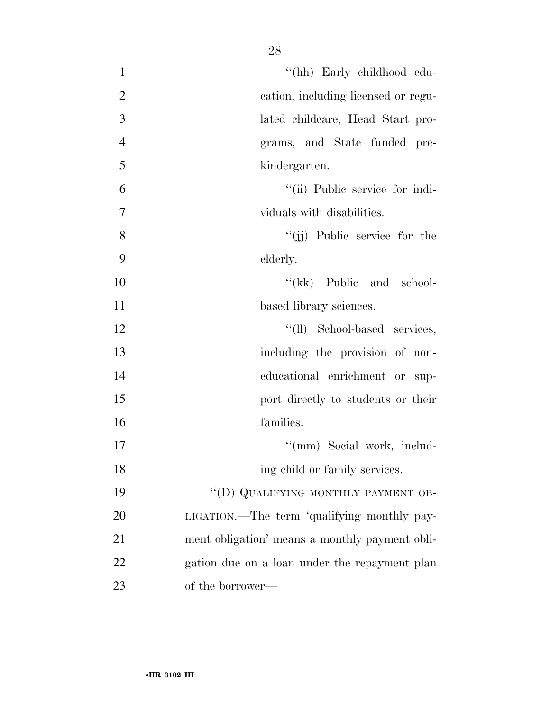| $\mathbf{1}$   | "(hh) Early childhood edu-                     |
|----------------|------------------------------------------------|
| $\overline{2}$ | cation, including licensed or regu-            |
| 3              | lated childcare, Head Start pro-               |
| $\overline{4}$ | grams, and State funded pre-                   |
| 5              | kindergarten.                                  |
| 6              | "(ii) Public service for indi-                 |
| 7              | viduals with disabilities.                     |
| 8              | $``(ii)$ Public service for the                |
| 9              | elderly.                                       |
| 10             | $\lq\lq$ (kk) Public and school-               |
| 11             | based library sciences.                        |
| 12             | "(ll) School-based services,                   |
| 13             | including the provision of non-                |
| 14             | educational enrichment or sup-                 |
| 15             | port directly to students or their             |
| 16             | families.                                      |
| 17             | "(mm) Social work, includ-                     |
| 18             | ing child or family services.                  |
| 19             | "(D) QUALIFYING MONTHLY PAYMENT OB-            |
| 20             | LIGATION.—The term 'qualifying monthly pay-    |
| 21             | ment obligation' means a monthly payment obli- |
| 22             | gation due on a loan under the repayment plan  |
| 23             | of the borrower—                               |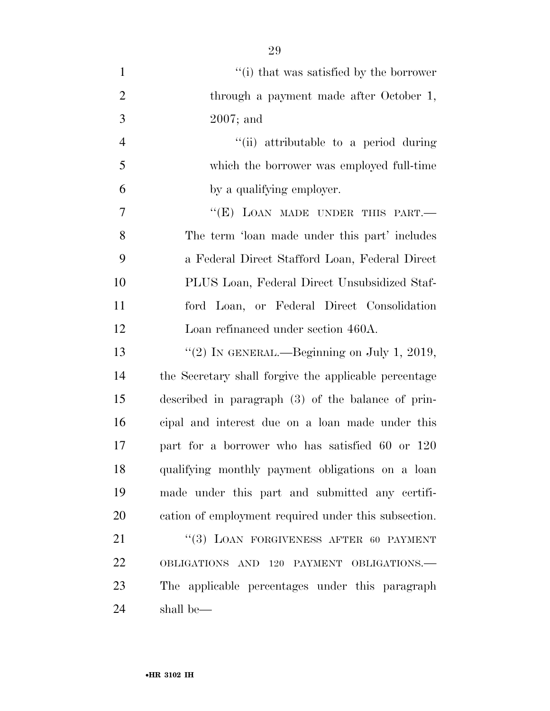| $\mathbf{1}$   | "(i) that was satisfied by the borrower               |
|----------------|-------------------------------------------------------|
| $\overline{2}$ | through a payment made after October 1,               |
| 3              | $2007$ ; and                                          |
| $\overline{4}$ | "(ii) attributable to a period during                 |
| 5              | which the borrower was employed full-time             |
| 6              | by a qualifying employer.                             |
| 7              | "(E) LOAN MADE UNDER THIS PART.-                      |
| 8              | The term 'loan made under this part' includes         |
| 9              | a Federal Direct Stafford Loan, Federal Direct        |
| 10             | PLUS Loan, Federal Direct Unsubsidized Staf-          |
| 11             | ford Loan, or Federal Direct Consolidation            |
| 12             | Loan refinanced under section 460A.                   |
| 13             | "(2) IN GENERAL.—Beginning on July 1, 2019,           |
| 14             | the Secretary shall forgive the applicable percentage |
| 15             | described in paragraph (3) of the balance of prin-    |
| 16             | cipal and interest due on a loan made under this      |
| 17             | part for a borrower who has satisfied 60 or 120       |
| 18             | qualifying monthly payment obligations on a loan      |
| 19             | made under this part and submitted any certifi-       |
| 20             | cation of employment required under this subsection.  |
| 21             | "(3) LOAN FORGIVENESS AFTER 60 PAYMENT                |
| 22             | OBLIGATIONS AND 120 PAYMENT OBLIGATIONS.-             |
| 23             | The applicable percentages under this paragraph       |
| 24             | shall be—                                             |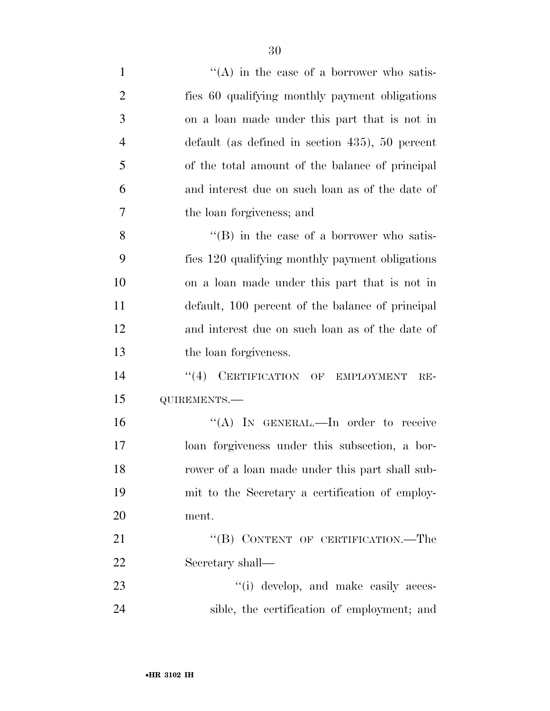| $\mathbf{1}$   | $\lq\lq$ in the case of a borrower who satis-            |
|----------------|----------------------------------------------------------|
| $\overline{2}$ | fies 60 qualifying monthly payment obligations           |
| 3              | on a loan made under this part that is not in            |
| $\overline{4}$ | $\delta$ default (as defined in section 435), 50 percent |
| 5              | of the total amount of the balance of principal          |
| 6              | and interest due on such loan as of the date of          |
| 7              | the loan forgiveness; and                                |
| 8              | $\lq\lq (B)$ in the case of a borrower who satis-        |
| 9              | fies 120 qualifying monthly payment obligations          |
| 10             | on a loan made under this part that is not in            |
| 11             | default, 100 percent of the balance of principal         |
| 12             | and interest due on such loan as of the date of          |
| 13             | the loan forgiveness.                                    |
| 14             | "(4) CERTIFICATION OF EMPLOYMENT<br>$RE-$                |
| 15             | QUIREMENTS.-                                             |
| 16             | "(A) IN GENERAL.—In order to receive                     |
| 17             | loan forgiveness under this subsection, a bor-           |
| 18             | rower of a loan made under this part shall sub-          |
| 19             | mit to the Secretary a certification of employ-          |
| 20             | ment.                                                    |
| 21             | "(B) CONTENT OF CERTIFICATION.—The                       |
| 22             | Secretary shall—                                         |
| 23             | "(i) develop, and make easily acces-                     |
| 24             | sible, the certification of employment; and              |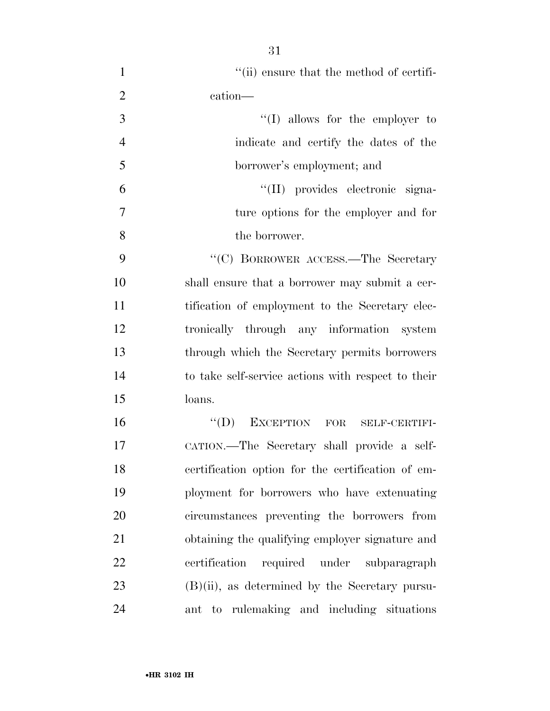| $\mathbf{1}$   | "(ii) ensure that the method of certifi-           |
|----------------|----------------------------------------------------|
| $\overline{2}$ | cation-                                            |
| 3              | $\lq\lq$ (I) allows for the employer to            |
| $\overline{4}$ | indicate and certify the dates of the              |
| 5              | borrower's employment; and                         |
| 6              | "(II) provides electronic signa-                   |
| $\overline{7}$ | ture options for the employer and for              |
| 8              | the borrower.                                      |
| 9              | "(C) BORROWER ACCESS.—The Secretary                |
| 10             | shall ensure that a borrower may submit a cer-     |
| 11             | tification of employment to the Secretary elec-    |
| 12             | tronically through any information system          |
| 13             | through which the Secretary permits borrowers      |
| 14             | to take self-service actions with respect to their |
| 15             | loans.                                             |
| 16             | EXCEPTION FOR SELF-CERTIFI-<br>$\lq\lq (D)$        |
| 17             | CATION.—The Secretary shall provide a self-        |
| 18             | certification option for the certification of em-  |
| 19             | ployment for borrowers who have extenuating        |
| 20             | circumstances preventing the borrowers from        |
| 21             | obtaining the qualifying employer signature and    |
| 22             | required under subparagraph<br>certification       |
| 23             | $(B)(ii)$ , as determined by the Secretary pursu-  |
| 24             | ant to rulemaking and including situations         |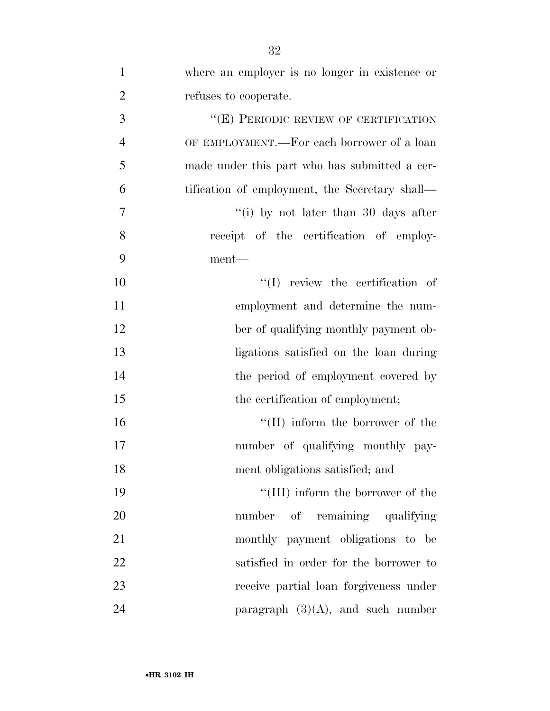| $\mathbf{1}$   | where an employer is no longer in existence or |
|----------------|------------------------------------------------|
| $\overline{2}$ | refuses to cooperate.                          |
| 3              | "(E) PERIODIC REVIEW OF CERTIFICATION          |
| $\overline{4}$ | OF EMPLOYMENT.—For each borrower of a loan     |
| 5              | made under this part who has submitted a cer-  |
| 6              | tification of employment, the Secretary shall— |
| 7              | "(i) by not later than 30 days after           |
| 8              | receipt of the certification of employ-        |
| 9              | ment—                                          |
| 10             | $\lq\lq$ review the certification of           |
| 11             | employment and determine the num-              |
| 12             | ber of qualifying monthly payment ob-          |
| 13             | ligations satisfied on the loan during         |
| 14             | the period of employment covered by            |
| 15             | the certification of employment;               |
| 16             | "(II) inform the borrower of the               |
| 17             | number of qualifying monthly pay-              |
| 18             | ment obligations satisfied; and                |
| 19             | "(III) inform the borrower of the              |
| 20             | number of remaining qualifying                 |
| 21             | monthly payment obligations to be              |
| 22             | satisfied in order for the borrower to         |
| 23             | receive partial loan forgiveness under         |
| 24             | paragraph $(3)(A)$ , and such number           |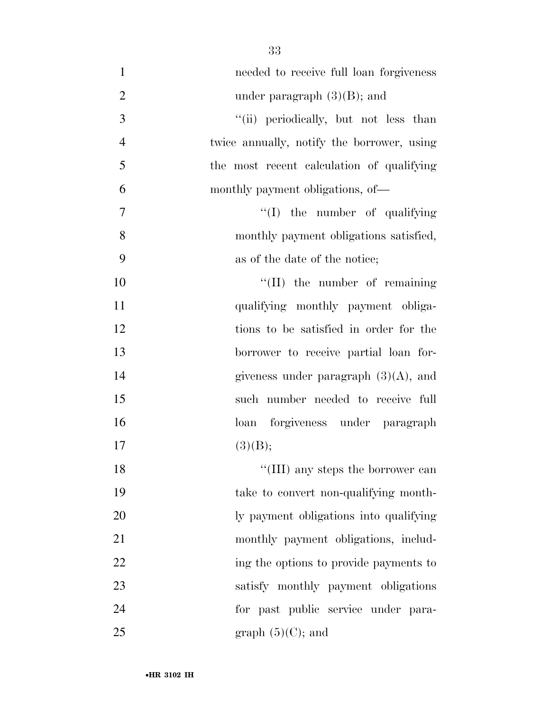| $\mathbf{1}$     | needed to receive full loan forgiveness    |
|------------------|--------------------------------------------|
| $\overline{2}$   | under paragraph $(3)(B)$ ; and             |
| 3                | "(ii) periodically, but not less than      |
| $\overline{4}$   | twice annually, notify the borrower, using |
| 5                | the most recent calculation of qualifying  |
| 6                | monthly payment obligations, of—           |
| $\boldsymbol{7}$ | $\lq\lq$ the number of qualifying          |
| 8                | monthly payment obligations satisfied,     |
| 9                | as of the date of the notice;              |
| 10               | $\lq\lq$ (II) the number of remaining      |
| 11               | qualifying monthly payment obliga-         |
| 12               | tions to be satisfied in order for the     |
| 13               | borrower to receive partial loan for-      |
| 14               | giveness under paragraph $(3)(A)$ , and    |
| 15               | such number needed to receive full         |
| 16               | loan forgiveness under paragraph           |
| 17               | (3)(B);                                    |
| 18               | "(III) any steps the borrower can          |
| 19               | take to convert non-qualifying month-      |
| 20               | ly payment obligations into qualifying     |
| 21               | monthly payment obligations, includ-       |
| 22               | ing the options to provide payments to     |
| 23               | satisfy monthly payment obligations        |
| 24               | for past public service under para-        |
| 25               | graph $(5)(C)$ ; and                       |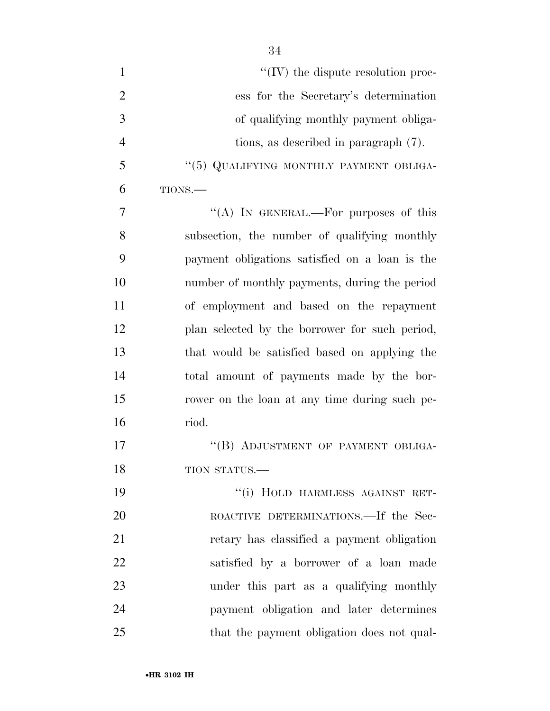| $\mathbf{1}$   | $\lq\lq$ (IV) the dispute resolution proc-     |
|----------------|------------------------------------------------|
| $\overline{2}$ | ess for the Secretary's determination          |
| 3              | of qualifying monthly payment obliga-          |
| $\overline{4}$ | tions, as described in paragraph (7).          |
| 5              | "(5) QUALIFYING MONTHLY PAYMENT OBLIGA-        |
| 6              | TIONS.                                         |
| 7              | "(A) IN GENERAL.—For purposes of this          |
| 8              | subsection, the number of qualifying monthly   |
| 9              | payment obligations satisfied on a loan is the |
| 10             | number of monthly payments, during the period  |
| 11             | of employment and based on the repayment       |
| 12             | plan selected by the borrower for such period, |
| 13             | that would be satisfied based on applying the  |
| 14             | total amount of payments made by the bor-      |
| 15             | rower on the loan at any time during such pe-  |
| 16             | riod.                                          |
| 17             | "(B) ADJUSTMENT OF PAYMENT OBLIGA-             |
| 18             | TION STATUS.-                                  |
| 19             | "(i) HOLD HARMLESS AGAINST RET-                |
| 20             | ROACTIVE DETERMINATIONS.—If the Sec-           |
| 21             | retary has classified a payment obligation     |
| 22             | satisfied by a borrower of a loan made         |
| 23             | under this part as a qualifying monthly        |
| 24             | payment obligation and later determines        |
| 25             | that the payment obligation does not qual-     |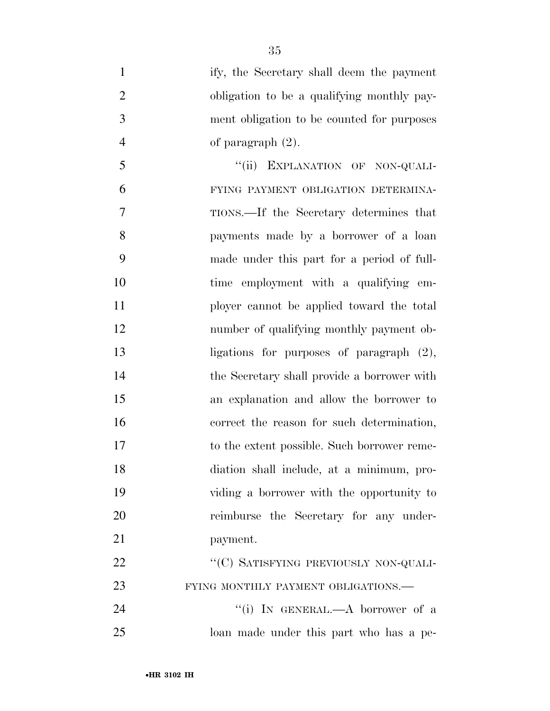- ify, the Secretary shall deem the payment obligation to be a qualifying monthly pay- ment obligation to be counted for purposes 4 of paragraph  $(2)$ . 5 "(ii) EXPLANATION OF NON-QUALI- FYING PAYMENT OBLIGATION DETERMINA- TIONS.—If the Secretary determines that payments made by a borrower of a loan made under this part for a period of full- time employment with a qualifying em- ployer cannot be applied toward the total number of qualifying monthly payment ob- ligations for purposes of paragraph (2), the Secretary shall provide a borrower with an explanation and allow the borrower to correct the reason for such determination, to the extent possible. Such borrower reme- diation shall include, at a minimum, pro- viding a borrower with the opportunity to reimburse the Secretary for any under- payment. 22 ""(C) SATISFYING PREVIOUSLY NON-QUALI-23 FYING MONTHLY PAYMENT OBLIGATIONS. 24 ''(i) IN GENERAL.—A borrower of a
- loan made under this part who has a pe-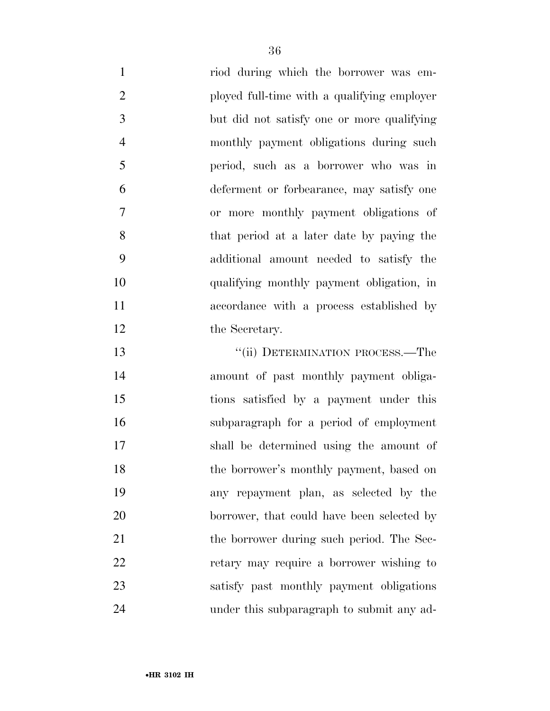riod during which the borrower was em- ployed full-time with a qualifying employer but did not satisfy one or more qualifying monthly payment obligations during such period, such as a borrower who was in deferment or forbearance, may satisfy one or more monthly payment obligations of that period at a later date by paying the additional amount needed to satisfy the qualifying monthly payment obligation, in accordance with a process established by 12 the Secretary.

13 "(ii) DETERMINATION PROCESS.—The amount of past monthly payment obliga- tions satisfied by a payment under this subparagraph for a period of employment shall be determined using the amount of the borrower's monthly payment, based on any repayment plan, as selected by the 20 borrower, that could have been selected by 21 the borrower during such period. The Sec- retary may require a borrower wishing to satisfy past monthly payment obligations under this subparagraph to submit any ad-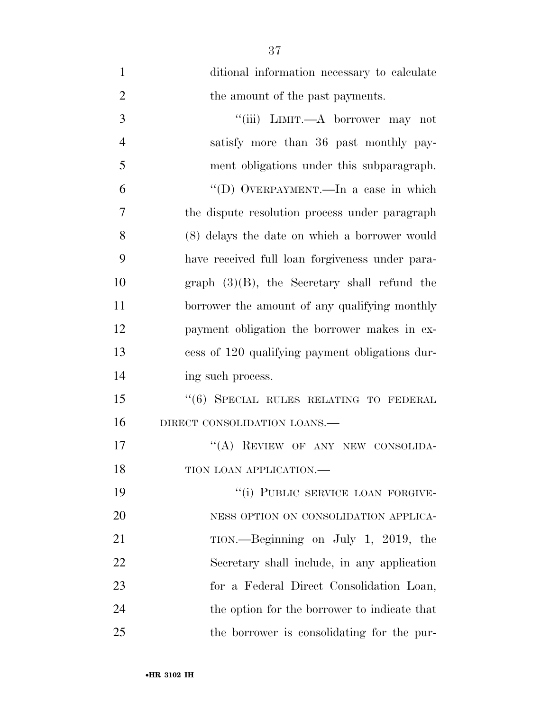| $\mathbf{1}$   | ditional information necessary to calculate     |
|----------------|-------------------------------------------------|
| $\overline{2}$ | the amount of the past payments.                |
| 3              | "(iii) LIMIT.—A borrower may not                |
| $\overline{4}$ | satisfy more than 36 past monthly pay-          |
| 5              | ment obligations under this subparagraph.       |
| 6              | "(D) OVERPAYMENT.—In a case in which            |
| 7              | the dispute resolution process under paragraph  |
| 8              | (8) delays the date on which a borrower would   |
| 9              | have received full loan forgiveness under para- |
| 10             | graph $(3)(B)$ , the Secretary shall refund the |
| 11             | borrower the amount of any qualifying monthly   |
| 12             | payment obligation the borrower makes in ex-    |
| 13             | cess of 120 qualifying payment obligations dur- |
| 14             | ing such process.                               |
| 15             | "(6) SPECIAL RULES RELATING TO FEDERAL          |
| 16             | DIRECT CONSOLIDATION LOANS.-                    |
| 17             | "(A) REVIEW OF ANY NEW CONSOLIDA-               |
| 18             | TION LOAN APPLICATION.                          |
| 19             | "(i) PUBLIC SERVICE LOAN FORGIVE-               |
| 20             | NESS OPTION ON CONSOLIDATION APPLICA-           |
| 21             | TION.—Beginning on July 1, 2019, the            |
| 22             | Secretary shall include, in any application     |
| 23             | for a Federal Direct Consolidation Loan,        |
| 24             | the option for the borrower to indicate that    |
| 25             | the borrower is consolidating for the pur-      |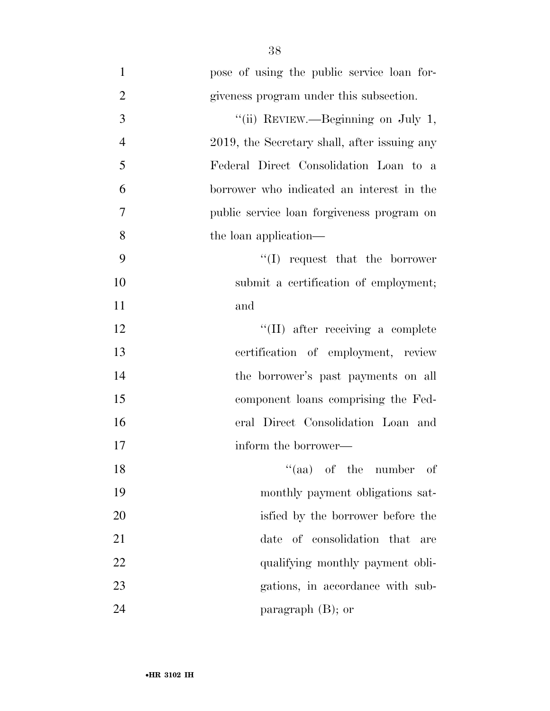1 pose of using the public service loan for-2 giveness program under this subsection. 3 "(ii) REVIEW.—Beginning on July 1, 4 2019, the Secretary shall, after issuing any 5 Federal Direct Consolidation Loan to a 6 borrower who indicated an interest in the 7 public service loan forgiveness program on 8 the loan application— 9 ''(I) request that the borrower 10 submit a certification of employment; 11 and 12 ''(II) after receiving a complete 13 certification of employment, review 14 the borrower's past payments on all 15 component loans comprising the Fed-16 eral Direct Consolidation Loan and 17 inform the borrower— 18 ''(aa) of the number of 19 monthly payment obligations sat-20 isfied by the borrower before the 21 date of consolidation that are 22 qualifying monthly payment obli-23 gations, in accordance with sub-24 paragraph (B); or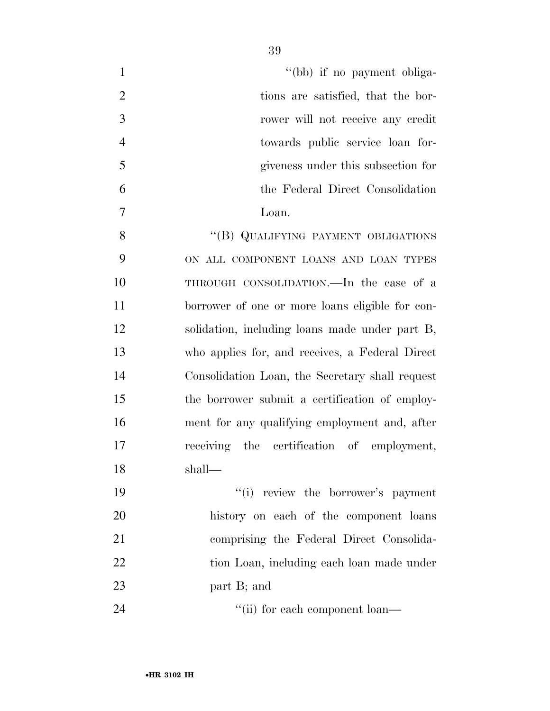| $\mathbf{1}$   | "(bb) if no payment obliga-                     |
|----------------|-------------------------------------------------|
| $\overline{2}$ | tions are satisfied, that the bor-              |
| 3              | rower will not receive any credit               |
| $\overline{4}$ | towards public service loan for-                |
| 5              | giveness under this subsection for              |
| 6              | the Federal Direct Consolidation                |
| 7              | Loan.                                           |
| 8              | "(B) QUALIFYING PAYMENT OBLIGATIONS             |
| 9              | ON ALL COMPONENT LOANS AND LOAN TYPES           |
| 10             | THROUGH CONSOLIDATION.—In the case of a         |
| 11             | borrower of one or more loans eligible for con- |
| 12             | solidation, including loans made under part B,  |
| 13             | who applies for, and receives, a Federal Direct |
| 14             | Consolidation Loan, the Secretary shall request |
| 15             | the borrower submit a certification of employ-  |
| 16             | ment for any qualifying employment and, after   |
| 17             | receiving the certification of employment,      |
| 18             | shall-                                          |
| 19             | "(i) review the borrower's payment              |
| 20             | history on each of the component loans          |
| 21             | comprising the Federal Direct Consolida-        |
| 22             | tion Loan, including each loan made under       |
| 23             | part B; and                                     |
| 24             | "(ii) for each component loan—                  |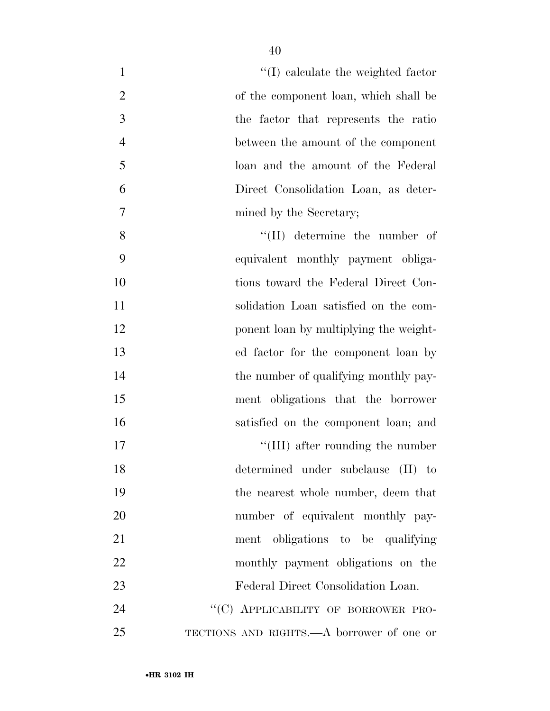| $\mathbf{1}$   | $\lq\lq$ (I) calculate the weighted factor |
|----------------|--------------------------------------------|
| $\overline{2}$ | of the component loan, which shall be      |
| 3              | the factor that represents the ratio       |
| $\overline{4}$ | between the amount of the component        |
| 5              | loan and the amount of the Federal         |
| 6              | Direct Consolidation Loan, as deter-       |
| 7              | mined by the Secretary;                    |
| 8              | $\lq\lq$ (II) determine the number of      |
| 9              | equivalent monthly payment obliga-         |
| 10             | tions toward the Federal Direct Con-       |
| 11             | solidation Loan satisfied on the com-      |
| 12             | ponent loan by multiplying the weight-     |
| 13             | ed factor for the component loan by        |
| 14             | the number of qualifying monthly pay-      |
| 15             | ment obligations that the borrower         |
| 16             | satisfied on the component loan; and       |
| 17             | $\lq\lq$ (III) after rounding the number   |
| 18             | determined under subclause (II) to         |
| 19             | the nearest whole number, deem that        |
| 20             | number of equivalent monthly pay-          |
| 21             | ment obligations to be qualifying          |
| 22             | monthly payment obligations on the         |
| 23             | Federal Direct Consolidation Loan.         |
| 24             | "(C) APPLICABILITY OF BORROWER PRO-        |
| 25             | TECTIONS AND RIGHTS.—A borrower of one or  |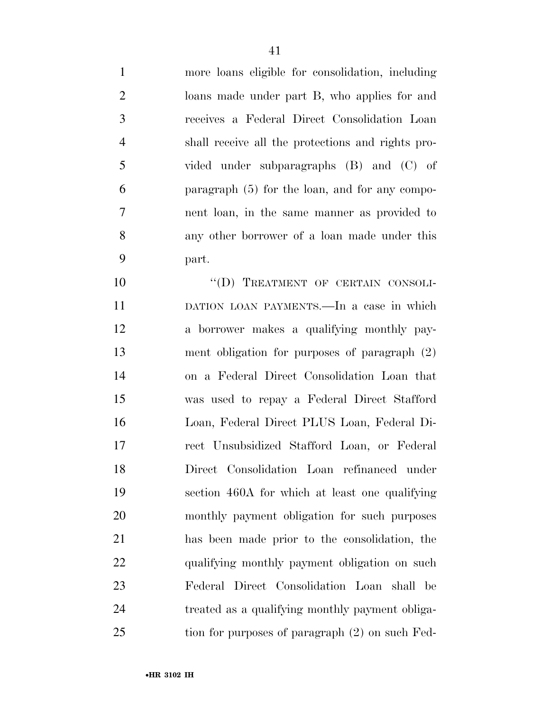more loans eligible for consolidation, including loans made under part B, who applies for and receives a Federal Direct Consolidation Loan shall receive all the protections and rights pro- vided under subparagraphs (B) and (C) of paragraph (5) for the loan, and for any compo- nent loan, in the same manner as provided to any other borrower of a loan made under this part.

10 "(D) TREATMENT OF CERTAIN CONSOLI- DATION LOAN PAYMENTS.—In a case in which a borrower makes a qualifying monthly pay- ment obligation for purposes of paragraph (2) on a Federal Direct Consolidation Loan that was used to repay a Federal Direct Stafford Loan, Federal Direct PLUS Loan, Federal Di- rect Unsubsidized Stafford Loan, or Federal Direct Consolidation Loan refinanced under section 460A for which at least one qualifying monthly payment obligation for such purposes has been made prior to the consolidation, the 22 qualifying monthly payment obligation on such Federal Direct Consolidation Loan shall be treated as a qualifying monthly payment obliga-25 tion for purposes of paragraph (2) on such Fed-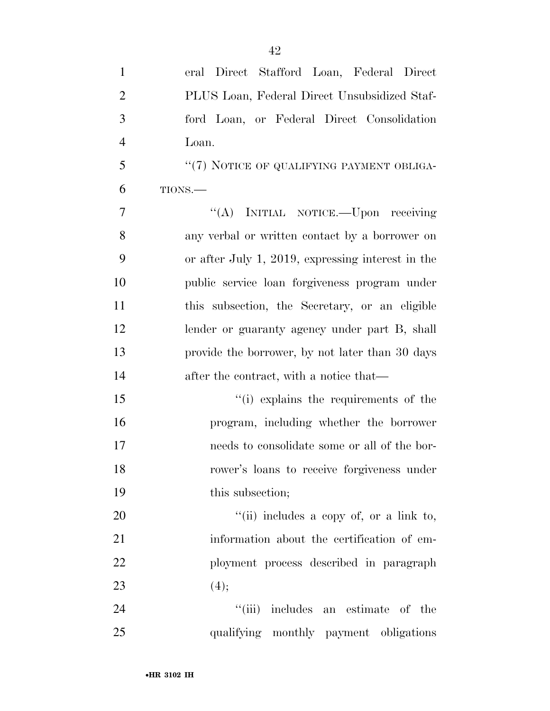| $\mathbf{1}$   | eral Direct Stafford Loan, Federal Direct         |
|----------------|---------------------------------------------------|
| $\overline{2}$ | PLUS Loan, Federal Direct Unsubsidized Staf-      |
| $\mathfrak{Z}$ | ford Loan, or Federal Direct Consolidation        |
| $\overline{4}$ | Loan.                                             |
| 5              | "(7) NOTICE OF QUALIFYING PAYMENT OBLIGA-         |
| 6              | TIONS.                                            |
| 7              | "(A) INITIAL NOTICE.—Upon receiving               |
| 8              | any verbal or written contact by a borrower on    |
| 9              | or after July 1, 2019, expressing interest in the |
| 10             | public service loan forgiveness program under     |
| 11             | this subsection, the Secretary, or an eligible    |
| 12             | lender or guaranty agency under part B, shall     |
| 13             | provide the borrower, by not later than 30 days   |
| 14             | after the contract, with a notice that—           |
| 15             | "(i) explains the requirements of the             |
| 16             | program, including whether the borrower           |
| 17             | needs to consolidate some or all of the bor-      |
| 18             | rower's loans to receive forgiveness under        |
| 19             | this subsection;                                  |
| 20             | "(ii) includes a copy of, or a link to,           |
| 21             | information about the certification of em-        |
| 22             | ployment process described in paragraph           |
| 23             | (4);                                              |
| 24             | "(iii) includes an estimate of the                |
| 25             | qualifying monthly payment obligations            |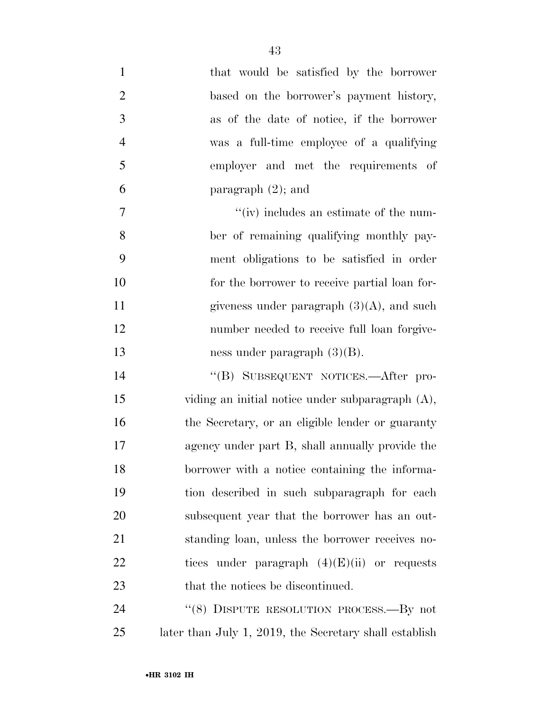| $\mathbf{1}$   | that would be satisfied by the borrower                |
|----------------|--------------------------------------------------------|
| $\overline{2}$ | based on the borrower's payment history,               |
| 3              | as of the date of notice, if the borrower              |
| $\overline{4}$ | was a full-time employee of a qualifying               |
| 5              | employer and met the requirements of                   |
| 6              | paragraph $(2)$ ; and                                  |
| $\tau$         | $\lq\lq$ (iv) includes an estimate of the num-         |
| 8              | ber of remaining qualifying monthly pay-               |
| 9              | ment obligations to be satisfied in order              |
| 10             | for the borrower to receive partial loan for-          |
| 11             | giveness under paragraph $(3)(A)$ , and such           |
| 12             | number needed to receive full loan forgive-            |
| 13             | ness under paragraph $(3)(B)$ .                        |
| 14             | "(B) SUBSEQUENT NOTICES.—After pro-                    |
| 15             | viding an initial notice under subparagraph (A),       |
| 16             | the Secretary, or an eligible lender or guaranty       |
| 17             | agency under part B, shall annually provide the        |
| 18             | borrower with a notice containing the informa-         |
| 19             | tion described in such subparagraph for each           |
| 20             | subsequent year that the borrower has an out-          |
| 21             | standing loan, unless the borrower receives no-        |
| 22             | tices under paragraph $(4)(E)(ii)$ or requests         |
| 23             | that the notices be discontinued.                      |
| 24             | "(8) DISPUTE RESOLUTION PROCESS.—By not                |
| 25             | later than July 1, 2019, the Secretary shall establish |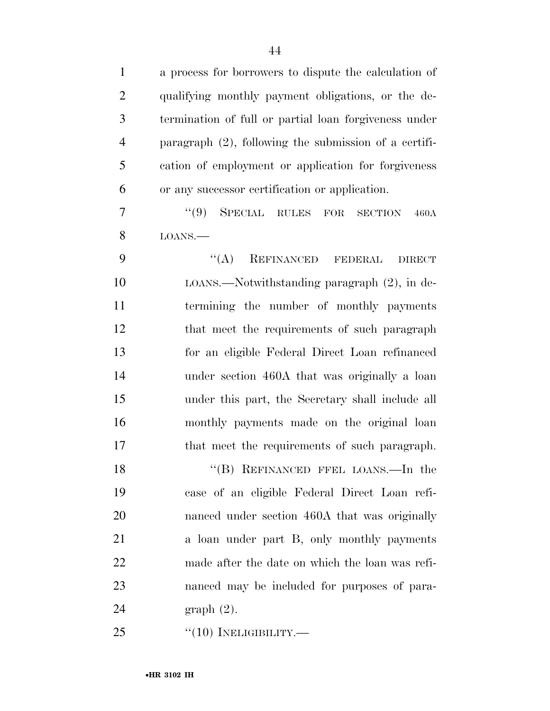| $\mathbf{1}$   | a process for borrowers to dispute the calculation of    |
|----------------|----------------------------------------------------------|
| $\overline{2}$ | qualifying monthly payment obligations, or the de-       |
| 3              | termination of full or partial loan forgiveness under    |
| $\overline{4}$ | paragraph $(2)$ , following the submission of a certifi- |
| 5              | cation of employment or application for forgiveness      |
| 6              | or any successor certification or application.           |
| $\overline{7}$ | (9)<br>SPECIAL RULES FOR<br><b>SECTION</b><br>460A       |
| 8              | LOANS.                                                   |
| 9              | REFINANCED FEDERAL<br>$\lq\lq (A)$<br><b>DIRECT</b>      |
| 10             | $LOANS.$ Notwithstanding paragraph $(2)$ , in de-        |
| 11             | termining the number of monthly payments                 |
| 12             | that meet the requirements of such paragraph             |
| 13             | for an eligible Federal Direct Loan refinanced           |
| 14             | under section 460A that was originally a loan            |
| 15             | under this part, the Secretary shall include all         |
| 16             | monthly payments made on the original loan               |
| 17             | that meet the requirements of such paragraph.            |
| 18             | "(B) REFINANCED FFEL LOANS.—In the                       |
| 19             | case of an eligible Federal Direct Loan refi-            |
| 20             | nanced under section 460A that was originally            |
| 21             | a loan under part B, only monthly payments               |
| 22             | made after the date on which the loan was refi-          |
| 23             | nanced may be included for purposes of para-             |
| 24             | $graph(2)$ .                                             |
| 25             | $``(10)$ INELIGIBILITY.—                                 |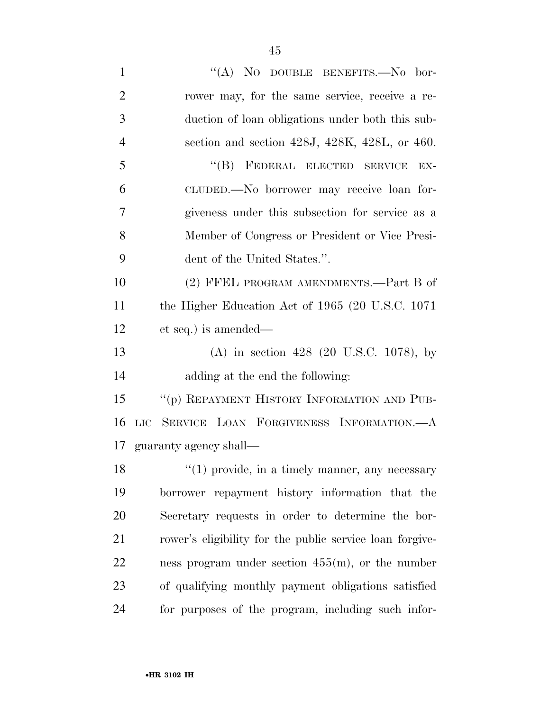| $\mathbf{1}$   | "(A) NO DOUBLE BENEFITS.-No bor-                          |
|----------------|-----------------------------------------------------------|
| $\overline{2}$ | rower may, for the same service, receive a re-            |
| 3              | duction of loan obligations under both this sub-          |
| $\overline{4}$ | section and section $428J$ , $428K$ , $428L$ , or $460$ . |
| 5              | "(B) FEDERAL ELECTED SERVICE<br>EX-                       |
| 6              | CLUDED.—No borrower may receive loan for-                 |
| 7              | giveness under this subsection for service as a           |
| 8              | Member of Congress or President or Vice Presi-            |
| 9              | dent of the United States.".                              |
| 10             | (2) FFEL PROGRAM AMENDMENTS.—Part B of                    |
| 11             | the Higher Education Act of 1965 (20 U.S.C. 1071)         |
| 12             | et seq.) is amended—                                      |
| 13             | (A) in section 428 (20 U.S.C. 1078), by                   |
| 14             | adding at the end the following:                          |
| 15             | "(p) REPAYMENT HISTORY INFORMATION AND PUB-               |
| 16             | LIC SERVICE LOAN FORGIVENESS INFORMATION.- A              |
|                | 17 guaranty agency shall—                                 |
| 18             | $f'(1)$ provide, in a timely manner, any necessary        |
| 19             | borrower repayment history information that the           |
| 20             | Secretary requests in order to determine the bor-         |
| 21             | rower's eligibility for the public service loan for give- |
| 22             | ness program under section $455(m)$ , or the number       |
| 23             | of qualifying monthly payment obligations satisfied       |
| 24             | for purposes of the program, including such infor-        |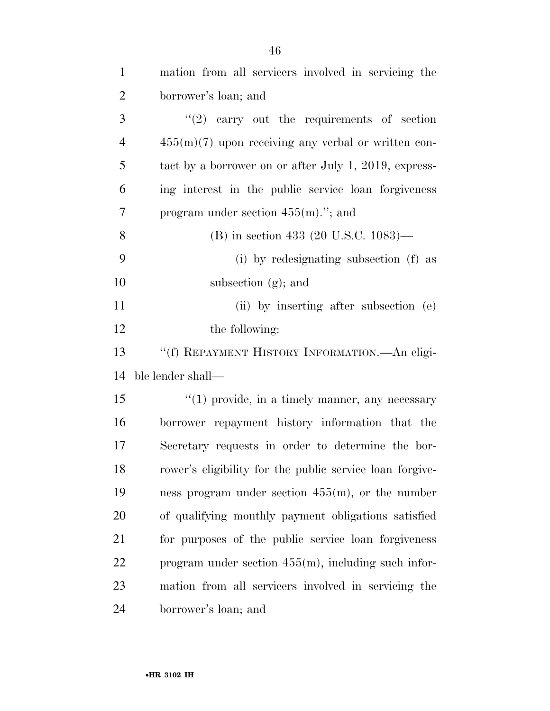| $\mathbf{1}$   | mation from all servicers involved in servicing the      |
|----------------|----------------------------------------------------------|
| $\overline{2}$ | borrower's loan; and                                     |
| 3              | $\lq(2)$ carry out the requirements of section           |
| $\overline{4}$ | $455(m)(7)$ upon receiving any verbal or written con-    |
| 5              | tact by a borrower on or after July 1, 2019, express-    |
| 6              | ing interest in the public service loan forgiveness      |
| 7              | program under section $455(m)$ ."; and                   |
| 8              | (B) in section 433 (20 U.S.C. $1083$ )—                  |
| 9              | (i) by redesignating subsection (f) as                   |
| 10             | subsection $(g)$ ; and                                   |
| 11             | (ii) by inserting after subsection (e)                   |
| 12             | the following:                                           |
|                |                                                          |
| 13             | "(f) REPAYMENT HISTORY INFORMATION. - An eligi-          |
| 14             | ble lender shall—                                        |
| 15             | $\lq(1)$ provide, in a timely manner, any necessary      |
| 16             | borrower repayment history information that the          |
| 17             | Secretary requests in order to determine the bor-        |
| 18             | rower's eligibility for the public service loan forgive- |
| 19             | ness program under section $455(m)$ , or the number      |
| 20             | of qualifying monthly payment obligations satisfied      |
| 21             | for purposes of the public service loan forgiveness      |
| 22             | program under section $455(m)$ , including such infor-   |
| 23             | mation from all servicers involved in servicing the      |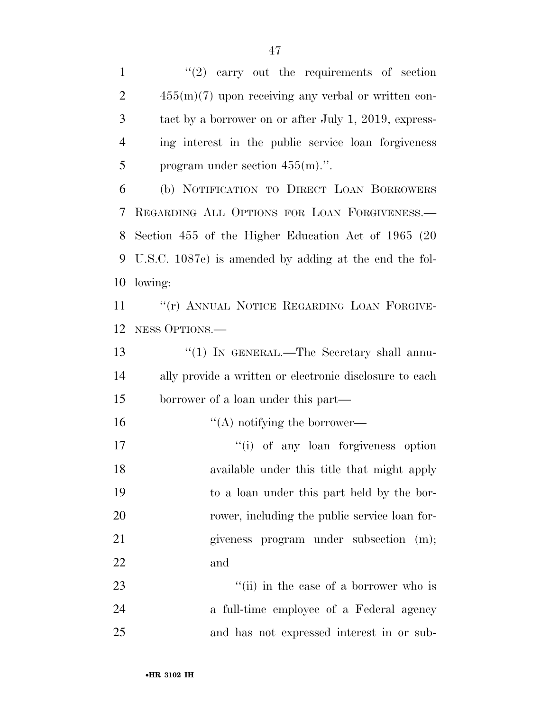$\frac{1}{2}$  carry out the requirements of section 455(m)(7) upon receiving any verbal or written con- tact by a borrower on or after July 1, 2019, express- ing interest in the public service loan forgiveness 5 program under section  $455(m)$ .".

 (b) NOTIFICATION TO DIRECT LOAN BORROWERS REGARDING ALL OPTIONS FOR LOAN FORGIVENESS.— Section 455 of the Higher Education Act of 1965 (20 U.S.C. 1087e) is amended by adding at the end the fol-lowing:

11 ""(r) ANNUAL NOTICE REGARDING LOAN FORGIVE-NESS OPTIONS.—

13 "(1) IN GENERAL.—The Secretary shall annu- ally provide a written or electronic disclosure to each borrower of a loan under this part—

16  $"({\rm A})$  notifying the borrower—

 $''(i)$  of any loan forgiveness option available under this title that might apply to a loan under this part held by the bor-20 rower, including the public service loan for- giveness program under subsection (m); and

23 ''(ii) in the case of a borrower who is a full-time employee of a Federal agency and has not expressed interest in or sub-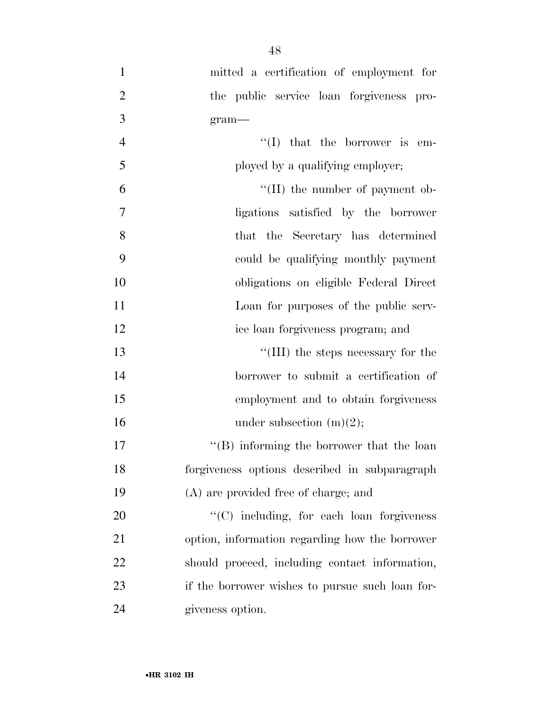| $\mathbf{1}$   | mitted a certification of employment for        |
|----------------|-------------------------------------------------|
| $\overline{2}$ | the public service loan forgiveness pro-        |
| 3              | $gram$ —                                        |
| $\overline{4}$ | $\lq\lq$ (I) that the borrower is em-           |
| 5              | ployed by a qualifying employer;                |
| 6              | $\lq\lq$ (II) the number of payment ob-         |
| $\overline{7}$ | ligations satisfied by the borrower             |
| 8              | that the Secretary has determined               |
| 9              | could be qualifying monthly payment             |
| 10             | obligations on eligible Federal Direct          |
| 11             | Loan for purposes of the public serv-           |
| 12             | ice loan forgiveness program; and               |
| 13             | "(III) the steps necessary for the              |
| 14             | borrower to submit a certification of           |
| 15             | employment and to obtain forgiveness            |
| 16             | under subsection $(m)(2)$ ;                     |
| 17             | $\lq\lq$ informing the borrower that the loan   |
| 18             | forgiveness options described in subparagraph   |
| 19             | (A) are provided free of charge; and            |
| 20             | "(C) including, for each loan forgiveness       |
| 21             | option, information regarding how the borrower  |
| 22             | should proceed, including contact information,  |
| 23             | if the borrower wishes to pursue such loan for- |
| 24             | giveness option.                                |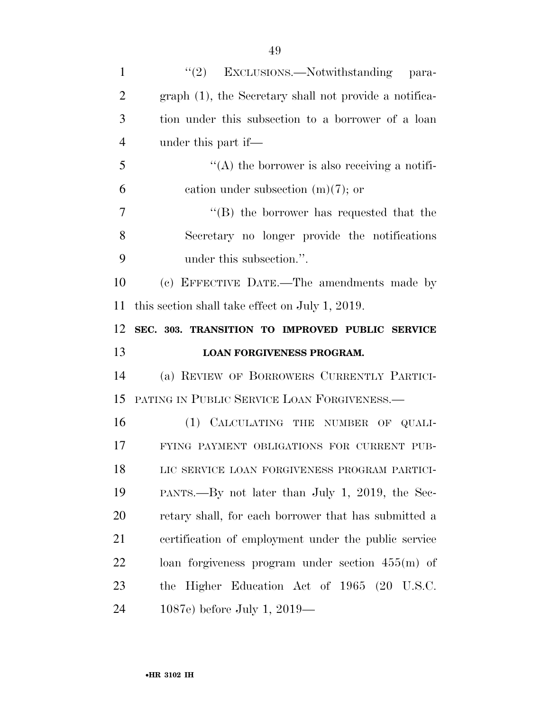| $\mathbf{1}$   | (2)<br>EXCLUSIONS.—Notwithstanding para-               |
|----------------|--------------------------------------------------------|
| $\overline{2}$ | graph (1), the Secretary shall not provide a notifica- |
| 3              | tion under this subsection to a borrower of a loan     |
| $\overline{4}$ | under this part if—                                    |
| 5              | $\lq\lq$ the borrower is also receiving a notifi-      |
| 6              | cation under subsection $(m)(7)$ ; or                  |
| 7              | $\lq\lq$ the borrower has requested that the           |
| 8              | Secretary no longer provide the notifications          |
| 9              | under this subsection.".                               |
| 10             | (c) EFFECTIVE DATE.—The amendments made by             |
| 11             | this section shall take effect on July 1, 2019.        |
| 12             | SEC. 303. TRANSITION TO IMPROVED PUBLIC SERVICE        |
|                |                                                        |
| 13             | LOAN FORGIVENESS PROGRAM.                              |
| 14             | (a) REVIEW OF BORROWERS CURRENTLY PARTICI-             |
| 15             | PATING IN PUBLIC SERVICE LOAN FORGIVENESS.             |
| 16             | (1) CALCULATING THE NUMBER OF QUALI-                   |
| 17             | FYING PAYMENT OBLIGATIONS FOR CURRENT PUB-             |
| 18             | LIC SERVICE LOAN FORGIVENESS PROGRAM PARTICI-          |
| 19             | PANTS.—By not later than July 1, 2019, the Sec-        |
| 20             | retary shall, for each borrower that has submitted a   |
| 21             | certification of employment under the public service   |
| 22             | loan forgiveness program under section $455(m)$ of     |
| 23             | the Higher Education Act of 1965 (20 U.S.C.            |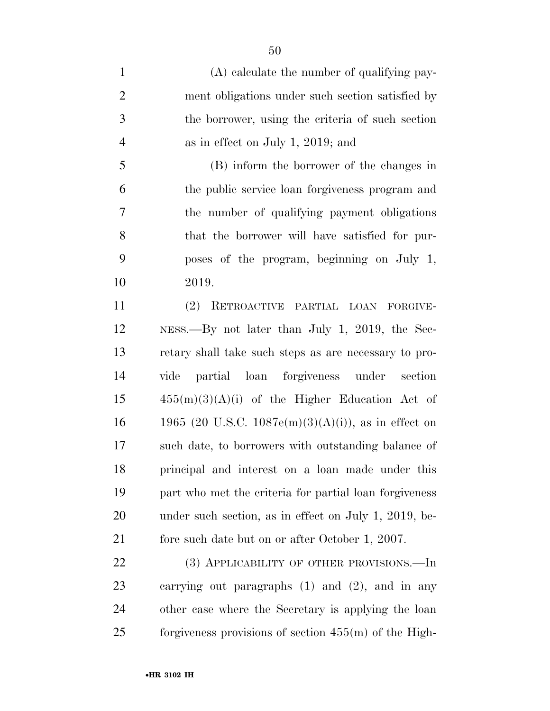(A) calculate the number of qualifying pay- ment obligations under such section satisfied by the borrower, using the criteria of such section as in effect on July 1, 2019; and (B) inform the borrower of the changes in

 the public service loan forgiveness program and the number of qualifying payment obligations that the borrower will have satisfied for pur- poses of the program, beginning on July 1, 2019.

 (2) RETROACTIVE PARTIAL LOAN FORGIVE- NESS.—By not later than July 1, 2019, the Sec- retary shall take such steps as are necessary to pro- vide partial loan forgiveness under section  $15 \qquad \qquad 455(m)(3)(A)(i)$  of the Higher Education Act of 16 1965 (20 U.S.C. 1087e(m)(3)(A)(i)), as in effect on such date, to borrowers with outstanding balance of principal and interest on a loan made under this part who met the criteria for partial loan forgiveness under such section, as in effect on July 1, 2019, be-21 fore such date but on or after October 1, 2007.

22 (3) APPLICABILITY OF OTHER PROVISIONS.—In carrying out paragraphs (1) and (2), and in any other case where the Secretary is applying the loan forgiveness provisions of section 455(m) of the High-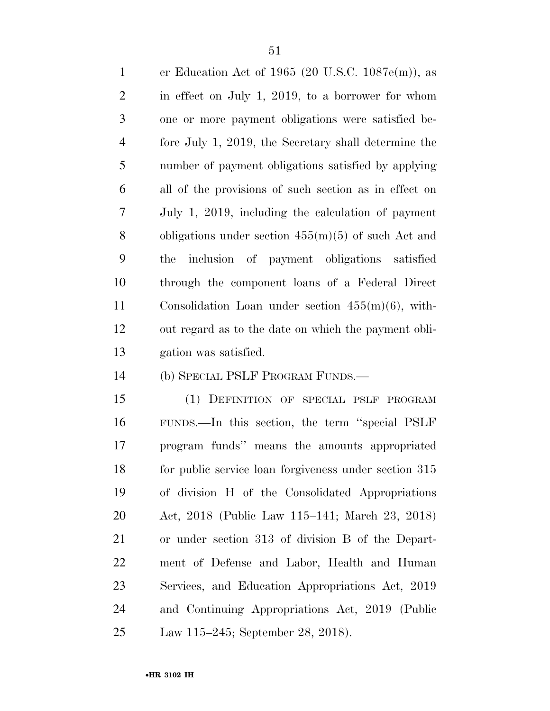er Education Act of 1965 (20 U.S.C. 1087e(m)), as in effect on July 1, 2019, to a borrower for whom one or more payment obligations were satisfied be- fore July 1, 2019, the Secretary shall determine the number of payment obligations satisfied by applying all of the provisions of such section as in effect on July 1, 2019, including the calculation of payment obligations under section 455(m)(5) of such Act and the inclusion of payment obligations satisfied through the component loans of a Federal Direct Consolidation Loan under section 455(m)(6), with- out regard as to the date on which the payment obli-gation was satisfied.

(b) SPECIAL PSLF PROGRAM FUNDS.—

 (1) DEFINITION OF SPECIAL PSLF PROGRAM FUNDS.—In this section, the term ''special PSLF program funds'' means the amounts appropriated for public service loan forgiveness under section 315 of division H of the Consolidated Appropriations Act, 2018 (Public Law 115–141; March 23, 2018) or under section 313 of division B of the Depart- ment of Defense and Labor, Health and Human Services, and Education Appropriations Act, 2019 and Continuing Appropriations Act, 2019 (Public Law 115–245; September 28, 2018).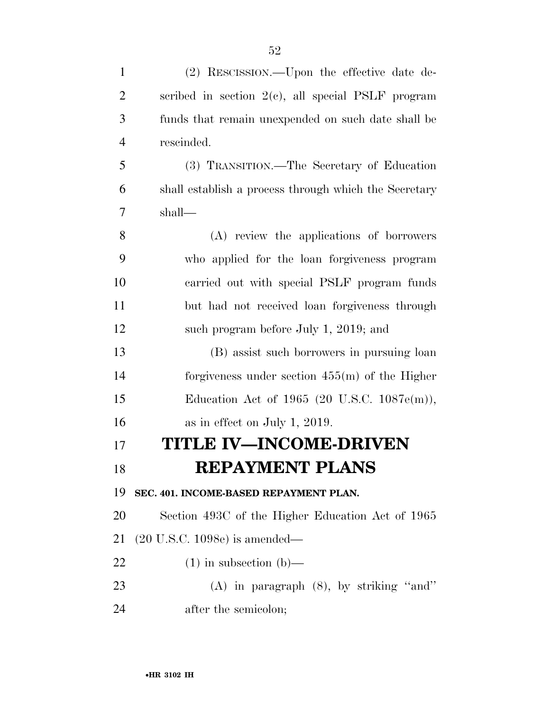| $\mathbf{1}$   | (2) RESCISSION.—Upon the effective date de-           |
|----------------|-------------------------------------------------------|
| $\overline{2}$ | scribed in section $2(e)$ , all special PSLF program  |
| 3              | funds that remain unexpended on such date shall be    |
| $\overline{4}$ | rescinded.                                            |
| 5              | (3) TRANSITION.—The Secretary of Education            |
| 6              | shall establish a process through which the Secretary |
| 7              | shall—                                                |
| 8              | (A) review the applications of borrowers              |
| 9              | who applied for the loan forgiveness program          |
| 10             | carried out with special PSLF program funds           |
| 11             | but had not received loan forgiveness through         |
| 12             | such program before July 1, 2019; and                 |
| 13             | (B) assist such borrowers in pursuing loan            |
| 14             | forgiveness under section $455(m)$ of the Higher      |
| 15             | Education Act of 1965 (20 U.S.C. $1087e(m)$ ),        |
| 16             | as in effect on July 1, 2019.                         |
| 17             | <b>TITLE IV-INCOME-DRIVEN</b>                         |
| 18             | <b>REPAYMENT PLANS</b>                                |
| 19             | SEC. 401. INCOME-BASED REPAYMENT PLAN.                |
| 20             | Section 493C of the Higher Education Act of 1965      |
| 21             | $(20 \text{ U.S.C. } 1098e)$ is amended—              |
| 22             | $(1)$ in subsection $(b)$ —                           |
| 23             | $(A)$ in paragraph $(8)$ , by striking "and"          |
| 24             | after the semicolon;                                  |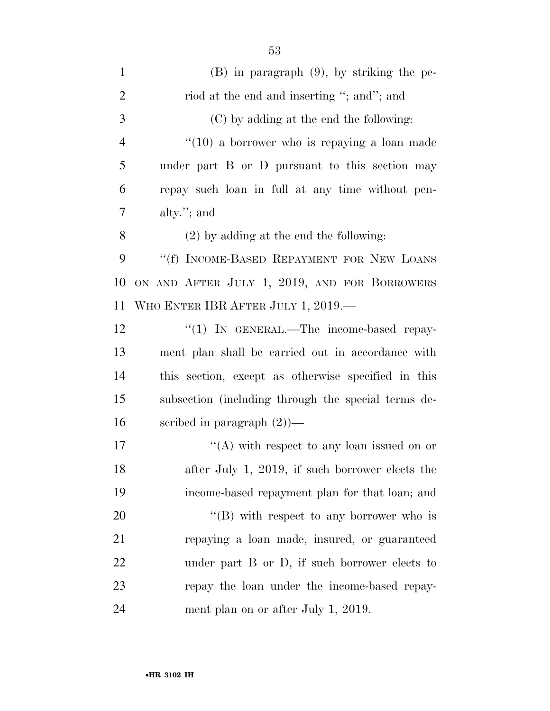| $\mathbf{1}$   | $(B)$ in paragraph $(9)$ , by striking the pe-          |
|----------------|---------------------------------------------------------|
| $\overline{2}$ | riod at the end and inserting "; and"; and              |
| 3              | (C) by adding at the end the following:                 |
| $\overline{4}$ | $\cdot\cdot(10)$ a borrower who is repaying a loan made |
| 5              | under part B or D pursuant to this section may          |
| 6              | repay such loan in full at any time without pen-        |
| 7              | alty. $"$ ; and                                         |
| 8              | $(2)$ by adding at the end the following:               |
| 9              | "(f) INCOME-BASED REPAYMENT FOR NEW LOANS               |
| 10             | ON AND AFTER JULY 1, 2019, AND FOR BORROWERS            |
| 11             | WHO ENTER IBR AFTER JULY 1, 2019.—                      |
| 12             | "(1) IN GENERAL.—The income-based repay-                |
| 13             | ment plan shall be carried out in accordance with       |
| 14             | this section, except as otherwise specified in this     |
| 15             | subsection (including through the special terms de-     |
| 16             | scribed in paragraph $(2)$ —                            |
| 17             | "(A) with respect to any loan issued on or              |
| 18             | after July 1, 2019, if such borrower elects the         |
| 19             | income-based repayment plan for that loan; and          |
| 20             | $\lq\lq (B)$ with respect to any borrower who is        |
| 21             | repaying a loan made, insured, or guaranteed            |
| 22             | under part B or D, if such borrower elects to           |
| 23             | repay the loan under the income-based repay-            |
| 24             | ment plan on or after July 1, 2019.                     |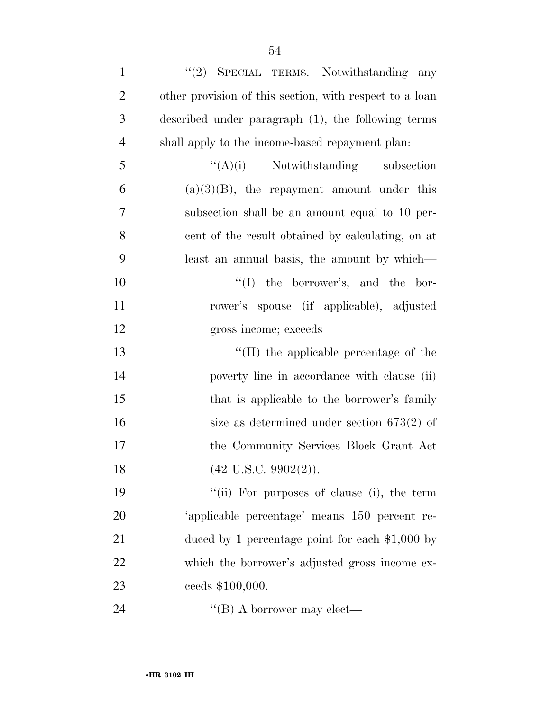| $\mathbf{1}$   | "(2) SPECIAL TERMS.—Notwithstanding any                 |
|----------------|---------------------------------------------------------|
| $\overline{2}$ | other provision of this section, with respect to a loan |
| 3              | described under paragraph (1), the following terms      |
| $\overline{4}$ | shall apply to the income-based repayment plan:         |
| 5              | $\lq\lq(A)(i)$ Notwithstanding subsection               |
| 6              | $(a)(3)(B)$ , the repayment amount under this           |
| 7              | subsection shall be an amount equal to 10 per-          |
| 8              | cent of the result obtained by calculating, on at       |
| 9              | least an annual basis, the amount by which—             |
| 10             | $\lq\lq$ the borrower's, and the bor-                   |
| 11             | rower's spouse (if applicable), adjusted                |
| 12             | gross income; exceeds                                   |
| 13             | "(II) the applicable percentage of the                  |
| 14             | poverty line in accordance with clause (ii)             |
| 15             | that is applicable to the borrower's family             |
| 16             | size as determined under section $673(2)$ of            |
| 17             | the Community Services Block Grant Act                  |
| 18             | $(42 \text{ U.S.C. } 9902(2)).$                         |
| 19             | "(ii) For purposes of clause (i), the term              |
| 20             | 'applicable percentage' means 150 percent re-           |
| 21             | duced by 1 percentage point for each $\$1,000$ by       |
| 22             | which the borrower's adjusted gross income ex-          |
| 23             | ceeds \$100,000.                                        |
| 24             | "(B) A borrower may elect—                              |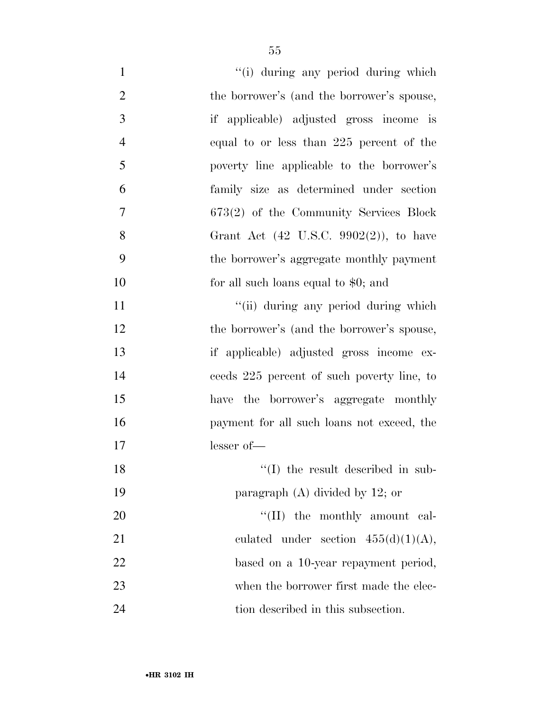| $\mathbf{1}$   | "(i) during any period during which                |
|----------------|----------------------------------------------------|
| $\mathfrak{2}$ | the borrower's (and the borrower's spouse,         |
| 3              | if applicable) adjusted gross income is            |
| $\overline{4}$ | equal to or less than 225 percent of the           |
| 5              | poverty line applicable to the borrower's          |
| 6              | family size as determined under section            |
| 7              | 673(2) of the Community Services Block             |
| 8              | Grant Act $(42 \text{ U.S.C. } 9902(2))$ , to have |
| 9              | the borrower's aggregate monthly payment           |
| 10             | for all such loans equal to $$0;$ and              |
| 11             | "(ii) during any period during which               |
| 12             | the borrower's (and the borrower's spouse,         |
| 13             | if applicable) adjusted gross income ex-           |
| 14             | ceeds 225 percent of such poverty line, to         |
| 15             | have the borrower's aggregate monthly              |
| 16             | payment for all such loans not exceed, the         |
| 17             | lesser of-                                         |
| 18             | $\lq\lq$ (I) the result described in sub-          |
| 19             | paragraph $(A)$ divided by 12; or                  |
| 20             | "(II) the monthly amount cal-                      |
| 21             | culated under section $455(d)(1)(A)$ ,             |
| 22             | based on a 10-year repayment period,               |
| 23             | when the borrower first made the elec-             |
| 24             | tion described in this subsection.                 |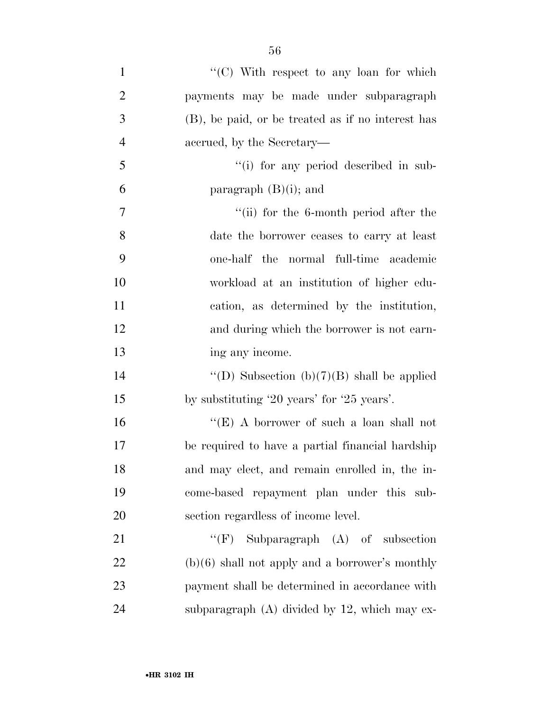| $\mathbf{1}$   | " $(C)$ With respect to any loan for which        |
|----------------|---------------------------------------------------|
| $\overline{2}$ | payments may be made under subparagraph           |
| 3              | (B), be paid, or be treated as if no interest has |
| $\overline{4}$ | accrued, by the Secretary—                        |
| 5              | "(i) for any period described in sub-             |
| 6              | paragraph $(B)(i)$ ; and                          |
| 7              | "(ii) for the 6-month period after the            |
| 8              | date the borrower ceases to carry at least        |
| 9              | one-half the normal full-time academic            |
| 10             | workload at an institution of higher edu-         |
| 11             | cation, as determined by the institution,         |
| 12             | and during which the borrower is not earn-        |
| 13             | ing any income.                                   |
| 14             | "(D) Subsection (b)(7)(B) shall be applied        |
| 15             | by substituting '20 years' for '25 years'.        |
| 16             | "(E) A borrower of such a loan shall not          |
| 17             | be required to have a partial financial hardship  |
| 18             | and may elect, and remain enrolled in, the in-    |
| 19             | come-based repayment plan under this sub-         |
| 20             | section regardless of income level.               |
| 21             | "(F) Subparagraph $(A)$ of subsection             |
| 22             | $(b)(6)$ shall not apply and a borrower's monthly |
| 23             | payment shall be determined in accordance with    |
| 24             | subparagraph $(A)$ divided by 12, which may ex-   |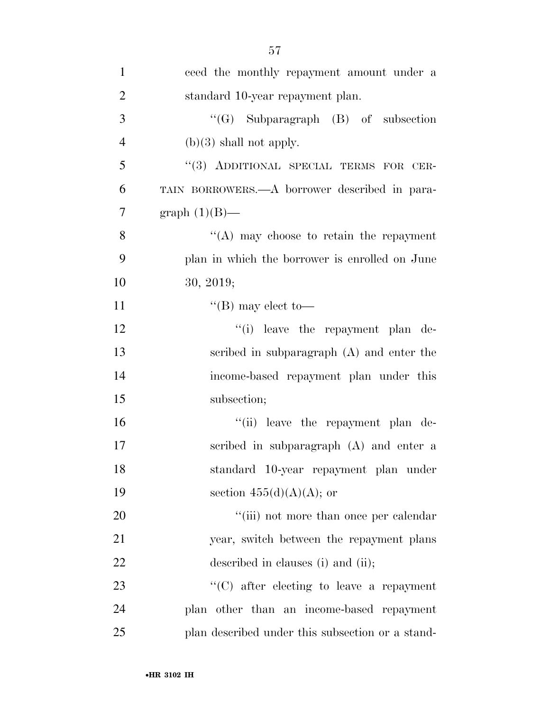| $\mathbf{1}$   | ceed the monthly repayment amount under a        |
|----------------|--------------------------------------------------|
| $\overline{2}$ | standard 10-year repayment plan.                 |
| 3              | "(G) Subparagraph $(B)$ of subsection            |
| $\overline{4}$ | $(b)(3)$ shall not apply.                        |
| 5              | "(3) ADDITIONAL SPECIAL TERMS FOR CER-           |
| 6              | TAIN BORROWERS.—A borrower described in para-    |
| 7              | graph $(1)(B)$ —                                 |
| 8              | $\lq\lq$ may choose to retain the repayment      |
| 9              | plan in which the borrower is enrolled on June   |
| 10             | 30, 2019;                                        |
| 11             | $\lq\lq (B)$ may elect to —                      |
| 12             | "(i) leave the repayment plan de-                |
| 13             | scribed in subparagraph (A) and enter the        |
| 14             | income-based repayment plan under this           |
| 15             | subsection;                                      |
| 16             | "(ii) leave the repayment plan de-               |
| 17             | scribed in subparagraph (A) and enter a          |
| 18             | standard 10-year repayment plan under            |
| 19             | section $455(d)(A)(A)$ ; or                      |
| 20             | "(iii) not more than once per calendar           |
| 21             | year, switch between the repayment plans         |
| 22             | described in clauses (i) and (ii);               |
| 23             | $\lq\lq$ (C) after electing to leave a repayment |
| 24             | plan other than an income-based repayment        |
| 25             | plan described under this subsection or a stand- |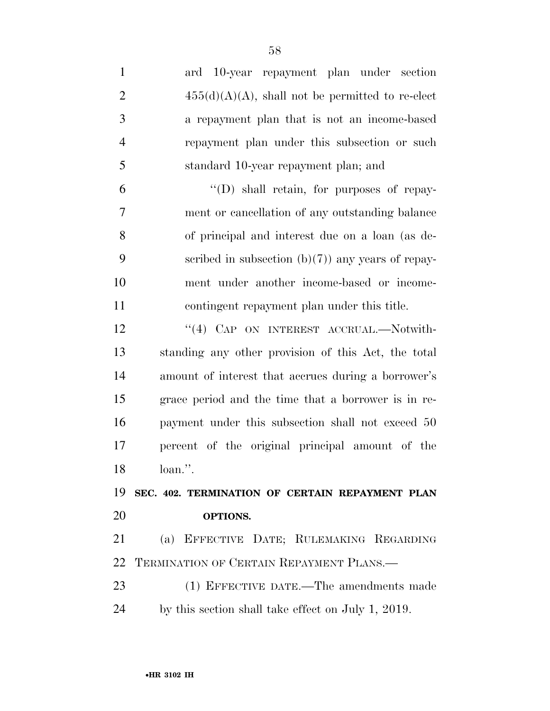ard 10-year repayment plan under section  $455(d)(A)(A)$ , shall not be permitted to re-elect a repayment plan that is not an income-based repayment plan under this subsection or such standard 10-year repayment plan; and  $^4$ (D) shall retain, for purposes of repay- ment or cancellation of any outstanding balance of principal and interest due on a loan (as de-9 seribed in subsection  $(b)(7)$  any years of repay- ment under another income-based or income- contingent repayment plan under this title. 12 "(4) CAP ON INTEREST ACCRUAL.—Notwith- standing any other provision of this Act, the total amount of interest that accrues during a borrower's grace period and the time that a borrower is in re- payment under this subsection shall not exceed 50 percent of the original principal amount of the loan.''.

 **SEC. 402. TERMINATION OF CERTAIN REPAYMENT PLAN OPTIONS.** 

 (a) EFFECTIVE DATE; RULEMAKING REGARDING TERMINATION OF CERTAIN REPAYMENT PLANS.—

 (1) EFFECTIVE DATE.—The amendments made by this section shall take effect on July 1, 2019.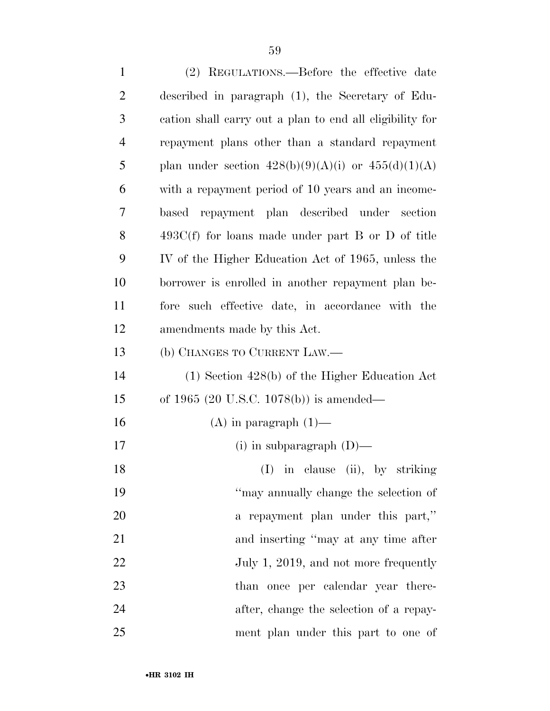(2) REGULATIONS.—Before the effective date described in paragraph (1), the Secretary of Edu- cation shall carry out a plan to end all eligibility for repayment plans other than a standard repayment 5 plan under section  $428(b)(9)(A)(i)$  or  $455(d)(1)(A)$  with a repayment period of 10 years and an income- based repayment plan described under section 493C(f) for loans made under part B or D of title IV of the Higher Education Act of 1965, unless the borrower is enrolled in another repayment plan be- fore such effective date, in accordance with the amendments made by this Act. (b) CHANGES TO CURRENT LAW.— (1) Section 428(b) of the Higher Education Act of 1965 (20 U.S.C. 1078(b)) is amended— 16 (A) in paragraph  $(1)$ — (i) in subparagraph (D)— 18 (I) in clause (ii), by striking ''may annually change the selection of 20 a repayment plan under this part," 21 and inserting "may at any time after 22 July 1, 2019, and not more frequently 23 than once per calendar year there- after, change the selection of a repay-ment plan under this part to one of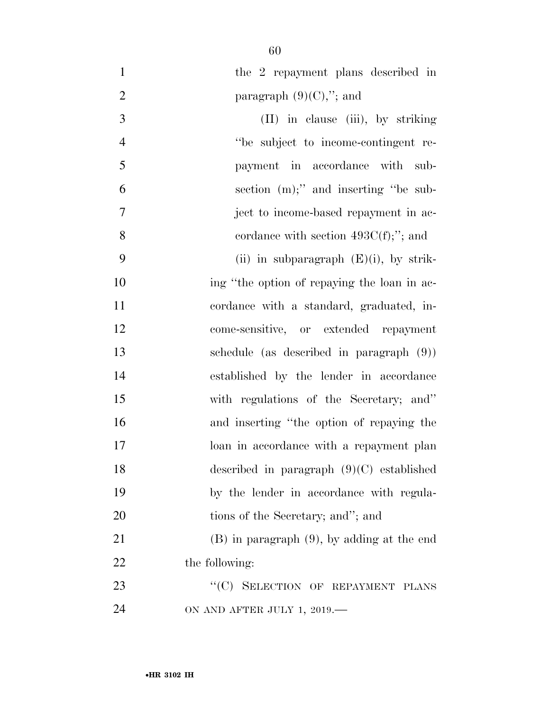| $\mathbf{1}$   | the 2 repayment plans described in              |
|----------------|-------------------------------------------------|
| $\overline{2}$ | paragraph $(9)(C)$ ,"; and                      |
| 3              | (II) in clause (iii), by striking               |
| $\overline{4}$ | "be subject to income-contingent re-            |
| 5              | payment in accordance with sub-                 |
| 6              | section $(m)$ ;" and inserting "be sub-         |
| 7              | ject to income-based repayment in ac-           |
| 8              | cordance with section $493C(f)$ ;"; and         |
| 9              | (ii) in subparagraph $(E)(i)$ , by strik-       |
| 10             | ing "the option of repaying the loan in ac-     |
| 11             | cordance with a standard, graduated, in-        |
| 12             | come-sensitive, or extended repayment           |
| 13             | schedule (as described in paragraph $(9)$ )     |
| 14             | established by the lender in accordance         |
| 15             | with regulations of the Secretary; and"         |
| 16             | and inserting "the option of repaying the       |
| 17             | loan in accordance with a repayment plan        |
| 18             | described in paragraph $(9)(C)$ established     |
| 19             | by the lender in accordance with regula-        |
| 20             | tions of the Secretary; and"; and               |
| 21             | $(B)$ in paragraph $(9)$ , by adding at the end |
| 22             | the following:                                  |
| 23             | "(C) SELECTION OF REPAYMENT PLANS               |
| 24             | ON AND AFTER JULY 1, 2019.-                     |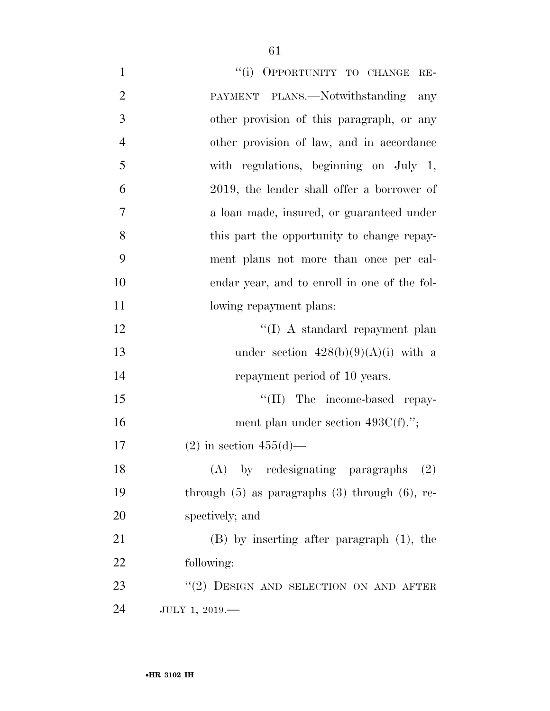| $\mathbf{1}$   | "(i) OPPORTUNITY TO CHANGE RE-                        |
|----------------|-------------------------------------------------------|
| $\overline{2}$ | PAYMENT PLANS.—Notwithstanding<br>any                 |
| 3              | other provision of this paragraph, or any             |
| $\overline{4}$ | other provision of law, and in accordance             |
| 5              | with regulations, beginning on July 1,                |
| 6              | 2019, the lender shall offer a borrower of            |
| 7              | a loan made, insured, or guaranteed under             |
| 8              | this part the opportunity to change repay-            |
| 9              | ment plans not more than once per cal-                |
| 10             | endar year, and to enroll in one of the fol-          |
| 11             | lowing repayment plans:                               |
| 12             | "(I) A standard repayment plan                        |
| 13             | under section $428(b)(9)(A)(i)$ with a                |
| 14             | repayment period of 10 years.                         |
| 15             | "(II) The income-based repay-                         |
| 16             | ment plan under section $493C(f)$ .";                 |
| 17             | $(2)$ in section $455(d)$ —                           |
| 18             | $(A)$ by redesignating paragraphs $(2)$               |
| 19             | through $(5)$ as paragraphs $(3)$ through $(6)$ , re- |
| 20             | spectively; and                                       |
| 21             | $(B)$ by inserting after paragraph $(1)$ , the        |
| 22             | following:                                            |
| 23             | $``(2)$ DESIGN AND SELECTION ON AND AFTER             |
| 24             | JULY 1, 2019.-                                        |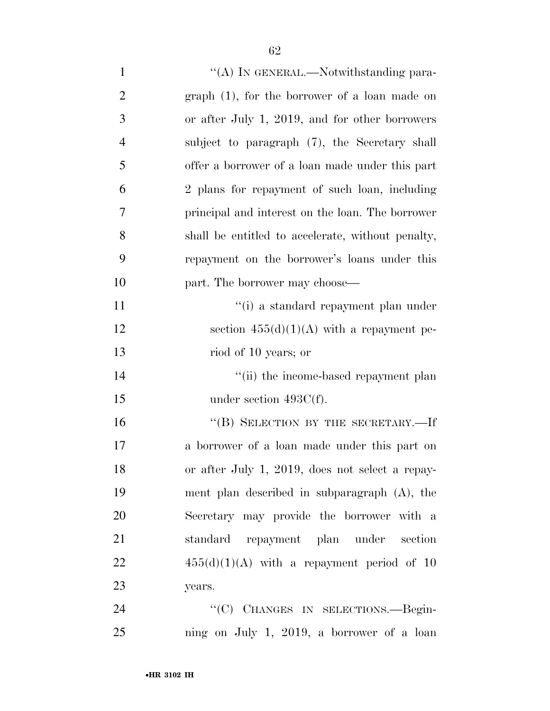| $\mathbf{1}$   | "(A) IN GENERAL.—Notwithstanding para-            |
|----------------|---------------------------------------------------|
| $\overline{2}$ | graph (1), for the borrower of a loan made on     |
| 3              | or after July 1, 2019, and for other borrowers    |
| $\overline{4}$ | subject to paragraph (7), the Secretary shall     |
| 5              | offer a borrower of a loan made under this part   |
| 6              | 2 plans for repayment of such loan, including     |
| 7              | principal and interest on the loan. The borrower  |
| 8              | shall be entitled to accelerate, without penalty, |
| 9              | repayment on the borrower's loans under this      |
| 10             | part. The borrower may choose—                    |
| 11             | "(i) a standard repayment plan under              |
| 12             | section $455(d)(1)(A)$ with a repayment pe-       |
| 13             | riod of 10 years; or                              |
| 14             | "(ii) the income-based repayment plan             |
| 15             | under section $493C(f)$ .                         |
| 16             | "(B) SELECTION BY THE SECRETARY.-If               |
| 17             | a borrower of a loan made under this part on      |
| 18             | or after July 1, 2019, does not select a repay-   |
| 19             | ment plan described in subparagraph (A), the      |
| 20             | Secretary may provide the borrower with a         |
| 21             | standard repayment plan under<br>section          |
| 22             | $455(d)(1)(A)$ with a repayment period of 10      |
| 23             | years.                                            |
| 24             | "(C) CHANGES IN SELECTIONS.—Begin-                |
| 25             | ning on July 1, 2019, a borrower of a loan        |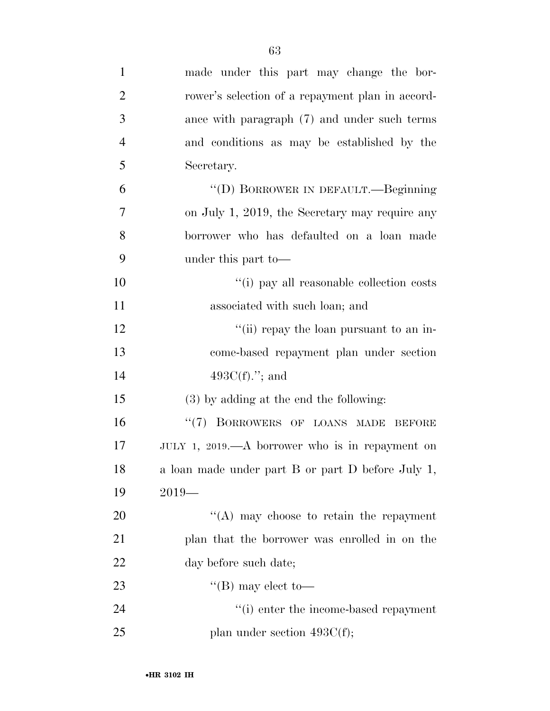| $\mathbf{1}$   | made under this part may change the bor-          |
|----------------|---------------------------------------------------|
| $\overline{2}$ | rower's selection of a repayment plan in accord-  |
| 3              | ance with paragraph (7) and under such terms      |
| $\overline{4}$ | and conditions as may be established by the       |
| 5              | Secretary.                                        |
| 6              | "(D) BORROWER IN DEFAULT.—Beginning               |
| 7              | on July 1, 2019, the Secretary may require any    |
| 8              | borrower who has defaulted on a loan made         |
| 9              | under this part to-                               |
| 10             | "(i) pay all reasonable collection costs          |
| 11             | associated with such loan; and                    |
| 12             | "(ii) repay the loan pursuant to an in-           |
| 13             | come-based repayment plan under section           |
| 14             | $493C(f)$ ."; and                                 |
| 15             | $(3)$ by adding at the end the following:         |
| 16             | "(7) BORROWERS OF LOANS MADE BEFORE               |
| 17             | JULY 1, 2019.—A borrower who is in repayment on   |
| 18             | a loan made under part B or part D before July 1, |
| 19             | $2019-$                                           |
| 20             | "(A) may choose to retain the repayment           |
| 21             | plan that the borrower was enrolled in on the     |
| 22             | day before such date;                             |
| 23             | "(B) may elect to—                                |
| 24             | "(i) enter the income-based repayment             |
| 25             | plan under section $493C(f)$ ;                    |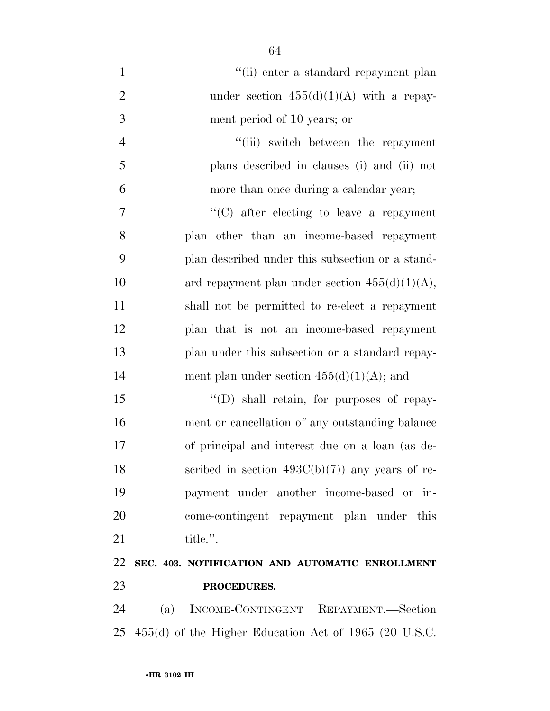1 ''(ii) enter a standard repayment plan 2 under section  $455(d)(1)(A)$  with a repay- ment period of 10 years; or 4 ''(iii) switch between the repayment plans described in clauses (i) and (ii) not more than once during a calendar year; ''(C) after electing to leave a repayment plan other than an income-based repayment plan described under this subsection or a stand-10 ard repayment plan under section  $455(d)(1)(A)$ , shall not be permitted to re-elect a repayment plan that is not an income-based repayment plan under this subsection or a standard repay-14 ment plan under section  $455(d)(1)(A)$ ; and

15 "(D) shall retain, for purposes of repay- ment or cancellation of any outstanding balance of principal and interest due on a loan (as de-18 scribed in section  $493C(b)(7)$  any years of re- payment under another income-based or in- come-contingent repayment plan under this 21 title.".

## **SEC. 403. NOTIFICATION AND AUTOMATIC ENROLLMENT PROCEDURES.**

 (a) INCOME-CONTINGENT REPAYMENT.—Section 455(d) of the Higher Education Act of 1965 (20 U.S.C.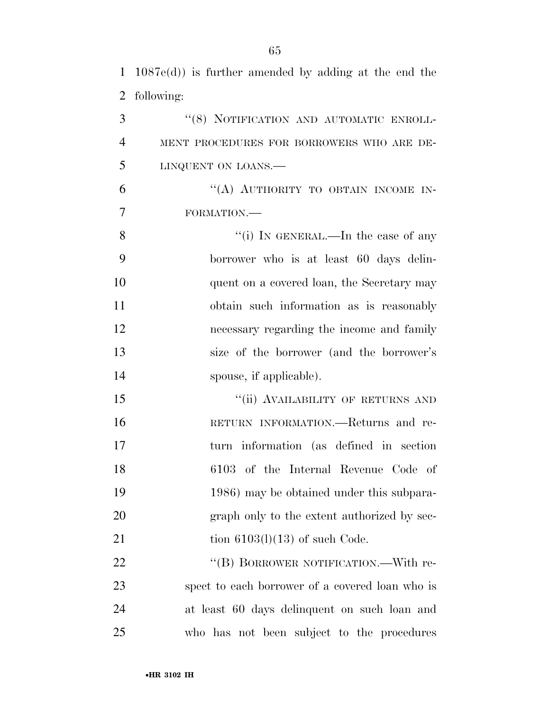1 1087e(d)) is further amended by adding at the end the

 following: 3 "(8) NOTIFICATION AND AUTOMATIC ENROLL- MENT PROCEDURES FOR BORROWERS WHO ARE DE- LINQUENT ON LOANS.— 6 "(A) AUTHORITY TO OBTAIN INCOME IN-FORMATION.—

8 ''(i) IN GENERAL.—In the case of any 9 borrower who is at least 60 days delin-10 quent on a covered loan, the Secretary may 11 obtain such information as is reasonably 12 necessary regarding the income and family 13 size of the borrower (and the borrower's 14 spouse, if applicable).

15 "(ii) AVAILABILITY OF RETURNS AND 16 RETURN INFORMATION.—Returns and re-17 turn information (as defined in section 18 6103 of the Internal Revenue Code of 19 1986) may be obtained under this subpara-20 graph only to the extent authorized by sec-21 tion  $6103(l)(13)$  of such Code.

22 "(B) BORROWER NOTIFICATION.—With re- spect to each borrower of a covered loan who is at least 60 days delinquent on such loan and who has not been subject to the procedures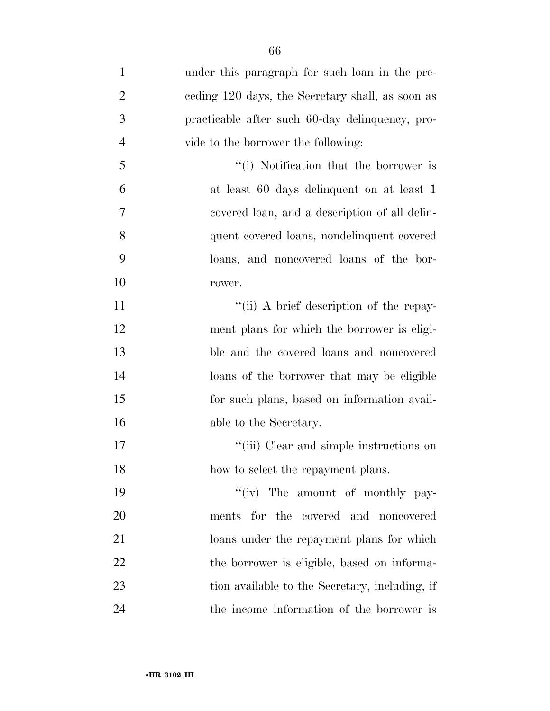| $\mathbf{1}$   | under this paragraph for such loan in the pre-   |
|----------------|--------------------------------------------------|
| $\overline{2}$ | ceding 120 days, the Secretary shall, as soon as |
| 3              | practicable after such 60-day delinquency, pro-  |
| $\overline{4}$ | vide to the borrower the following:              |
| 5              | "(i) Notification that the borrower is           |
| 6              | at least 60 days delinquent on at least 1        |
| 7              | covered loan, and a description of all delin-    |
| 8              | quent covered loans, nondelinquent covered       |
| 9              | loans, and noncovered loans of the bor-          |
| 10             | rower.                                           |
| 11             | "(ii) A brief description of the repay-          |
| 12             | ment plans for which the borrower is eligi-      |
| 13             | ble and the covered loans and noncovered         |
| 14             | loans of the borrower that may be eligible       |
| 15             | for such plans, based on information avail-      |
| 16             | able to the Secretary.                           |
| 17             | "(iii) Clear and simple instructions on          |
| 18             | how to select the repayment plans.               |
| 19             | "(iv) The amount of monthly pay-                 |
| 20             | ments for the covered and noncovered             |
| 21             | loans under the repayment plans for which        |
| 22             | the borrower is eligible, based on informa-      |
| 23             | tion available to the Secretary, including, if   |
| 24             | the income information of the borrower is        |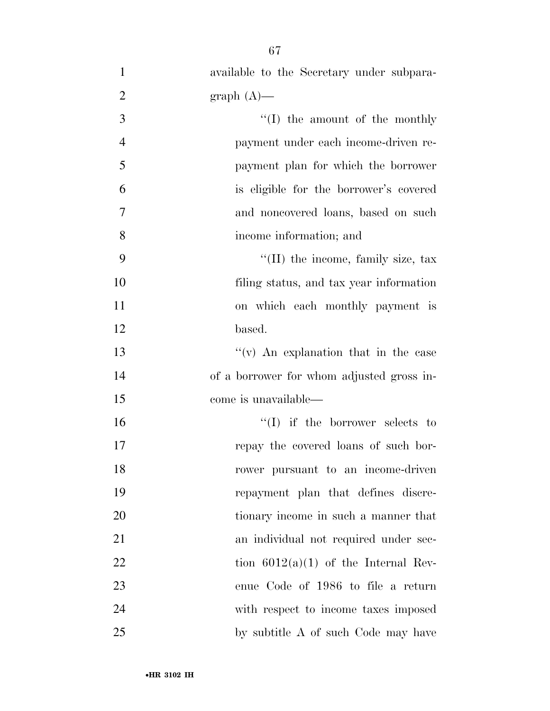| available to the Secretary under subpara- |
|-------------------------------------------|
| $graph(A)$ —                              |
| "(I) the amount of the monthly            |
| payment under each income-driven re-      |
| payment plan for which the borrower       |
| is eligible for the borrower's covered    |
| and noncovered loans, based on such       |
| income information; and                   |
| "(II) the income, family size, tax        |
| filing status, and tax year information   |
| on which each monthly payment is          |
| based.                                    |
| $f'(v)$ An explanation that in the case   |
| of a borrower for whom adjusted gross in- |
| come is unavailable—                      |
| $\lq\lq$ if the borrower selects to       |
| repay the covered loans of such bor-      |
| rower pursuant to an income-driven        |
| repayment plan that defines discre-       |
| tionary income in such a manner that      |
| an individual not required under sec-     |
| tion $6012(a)(1)$ of the Internal Rev-    |
| enue Code of 1986 to file a return        |
| with respect to income taxes imposed      |
|                                           |

by subtitle A of such Code may have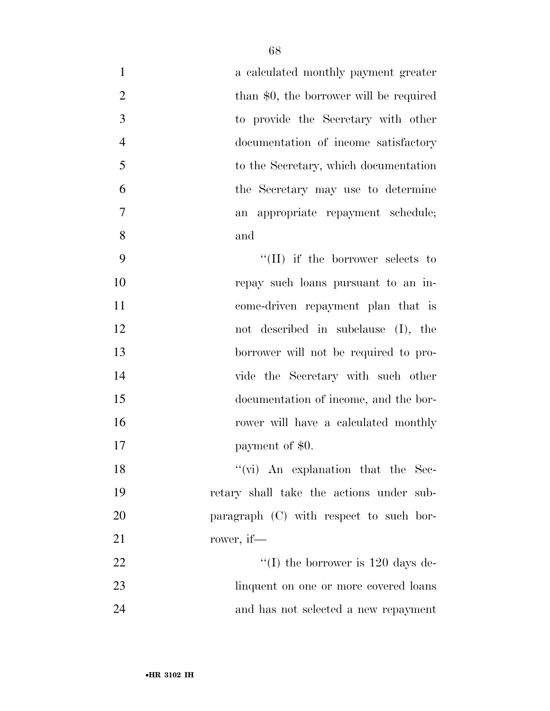| $\mathbf{1}$   | a calculated monthly payment greater        |
|----------------|---------------------------------------------|
| $\overline{2}$ | than \$0, the borrower will be required     |
| 3              | to provide the Secretary with other         |
| $\overline{4}$ | documentation of income satisfactory        |
| 5              | to the Secretary, which documentation       |
| 6              | the Secretary may use to determine          |
| 7              | appropriate repayment schedule;<br>an       |
| 8              | and                                         |
| 9              | $\lq\lq$ (II) if the borrower selects to    |
| 10             | repay such loans pursuant to an in-         |
| 11             | come-driven repayment plan that is          |
| 12             | not described in subclause (I), the         |
| 13             | borrower will not be required to pro-       |
| 14             | vide the Secretary with such other          |
| 15             | documentation of income, and the bor-       |
| 16             | rower will have a calculated monthly        |
| 17             | payment of \$0.                             |
| 18             | "(vi) An explanation that the Sec-          |
| 19             | retary shall take the actions under sub-    |
| 20             | paragraph (C) with respect to such bor-     |
| 21             | rower, if—                                  |
| 22             | "(I) the borrower is $120 \text{ days}$ de- |
| 23             | linquent on one or more covered loans       |
| 24             | and has not selected a new repayment        |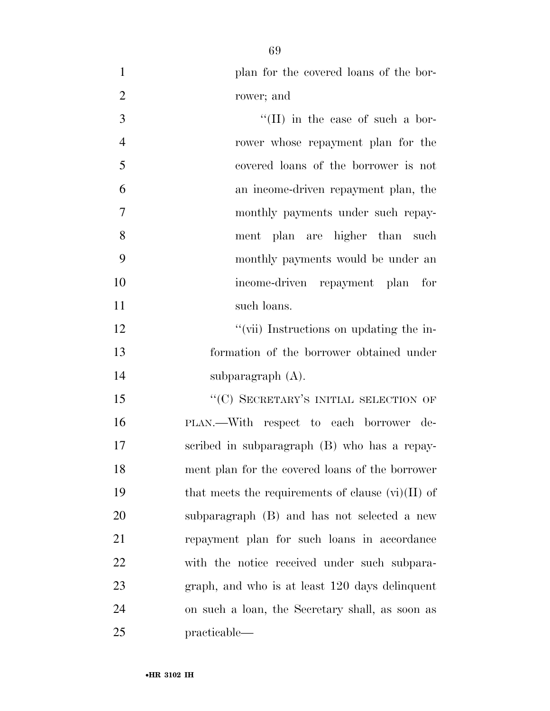plan for the covered loans of the bor-

rower; and

| 3              | $\lq\lq$ (II) in the case of such a bor-                 |
|----------------|----------------------------------------------------------|
| $\overline{4}$ | rower whose repayment plan for the                       |
| 5              | covered loans of the borrower is not                     |
| 6              | an income-driven repayment plan, the                     |
| 7              | monthly payments under such repay-                       |
| 8              | ment plan are higher than such                           |
| 9              | monthly payments would be under an                       |
| 10             | income-driven repayment plan for                         |
| 11             | such loans.                                              |
| 12             | "(vii) Instructions on updating the in-                  |
| 13             | formation of the borrower obtained under                 |
| 14             | subparagraph $(A)$ .                                     |
| 15             | "(C) SECRETARY'S INITIAL SELECTION OF                    |
| 16             | PLAN.—With respect to each borrower de-                  |
| 17             | scribed in subparagraph (B) who has a repay-             |
| 18             | ment plan for the covered loans of the borrower          |
| 19             | that meets the requirements of clause $(\vec{w})(II)$ of |
| 20             | subparagraph (B) and has not selected a new              |
| 21             | repayment plan for such loans in accordance              |
| 22             | with the notice received under such subpara-             |
| 23             | graph, and who is at least 120 days delinquent           |
| 24             | on such a loan, the Secretary shall, as soon as          |
| 25             | practicable—                                             |
|                |                                                          |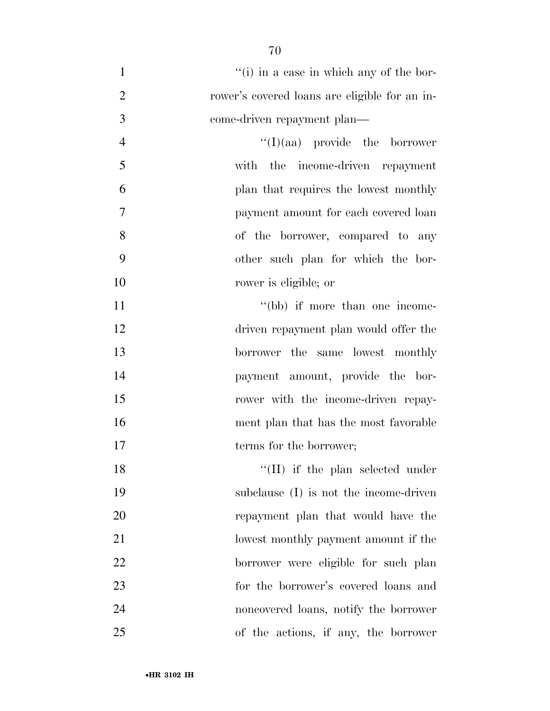- 1 ''(i) in a case in which any of the bor- rower's covered loans are eligible for an in- come-driven repayment plan— 4  $''(I)(aa)$  provide the borrower with the income-driven repayment plan that requires the lowest monthly payment amount for each covered loan of the borrower, compared to any other such plan for which the bor- rower is eligible; or 11 ''(bb) if more than one income- driven repayment plan would offer the borrower the same lowest monthly
- payment amount, provide the bor-15 rower with the income-driven repay- ment plan that has the most favorable 17 terms for the borrower;
- 18 ''(II) if the plan selected under subclause (I) is not the income-driven repayment plan that would have the lowest monthly payment amount if the borrower were eligible for such plan for the borrower's covered loans and noncovered loans, notify the borrower of the actions, if any, the borrower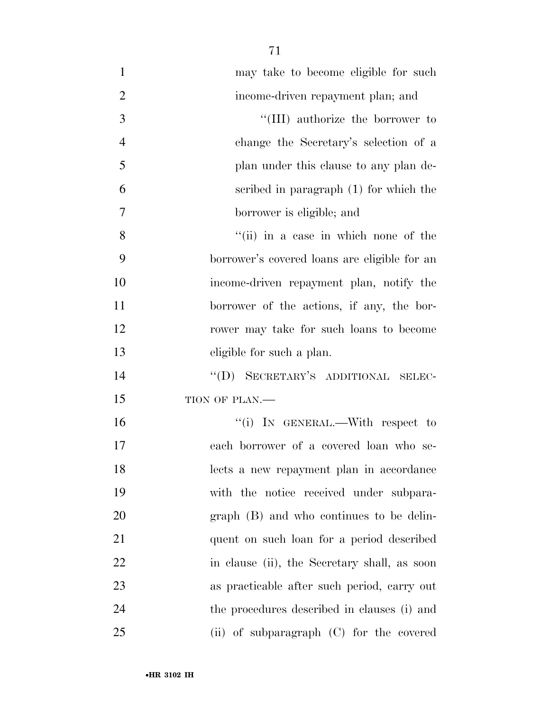| $\mathbf{1}$   | may take to become eligible for such         |
|----------------|----------------------------------------------|
| $\overline{2}$ | income-driven repayment plan; and            |
| 3              | "(III) authorize the borrower to             |
| $\overline{4}$ | change the Secretary's selection of a        |
| 5              | plan under this clause to any plan de-       |
| 6              | scribed in paragraph (1) for which the       |
| 7              | borrower is eligible; and                    |
| 8              | "(ii) in a case in which none of the         |
| 9              | borrower's covered loans are eligible for an |
| 10             | income-driven repayment plan, notify the     |
| 11             | borrower of the actions, if any, the bor-    |
| 12             | rower may take for such loans to become      |
| 13             | eligible for such a plan.                    |
| 14             | "(D) SECRETARY'S ADDITIONAL SELEC-           |
| 15             | TION OF PLAN.-                               |
| 16             | "(i) IN GENERAL.—With respect to             |
| 17             | each borrower of a covered loan who se-      |
| 18             | lects a new repayment plan in accordance     |
| 19             | with the notice received under subpara-      |
| 20             | graph (B) and who continues to be delin-     |
| 21             | quent on such loan for a period described    |
| 22             | in clause (ii), the Secretary shall, as soon |
| 23             | as practicable after such period, carry out  |
| 24             | the procedures described in clauses (i) and  |
| 25             | (ii) of subparagraph (C) for the covered     |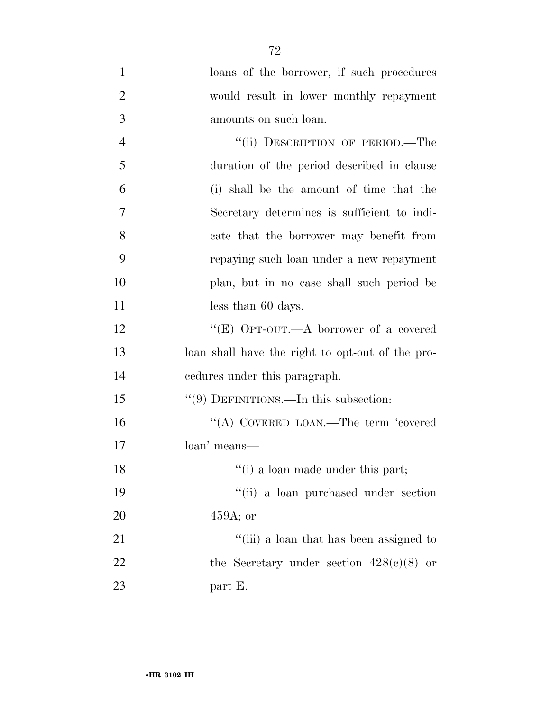| $\mathbf{1}$   | loans of the borrower, if such procedures        |
|----------------|--------------------------------------------------|
| $\overline{2}$ | would result in lower monthly repayment          |
| 3              | amounts on such loan.                            |
| $\overline{4}$ | "(ii) DESCRIPTION OF PERIOD.—The                 |
| 5              | duration of the period described in clause       |
| 6              | (i) shall be the amount of time that the         |
| 7              | Secretary determines is sufficient to indi-      |
| 8              | cate that the borrower may benefit from          |
| 9              | repaying such loan under a new repayment         |
| 10             | plan, but in no case shall such period be        |
| 11             | less than 60 days.                               |
| 12             | "(E) OPT-OUT.—A borrower of a covered            |
| 13             | loan shall have the right to opt-out of the pro- |
| 14             | endures under this paragraph.                    |
| 15             | $``(9)$ DEFINITIONS.—In this subsection:         |
| 16             | "(A) COVERED LOAN.—The term 'covered             |
| 17             | loan' means—                                     |
| 18             | "(i) a loan made under this part;                |
| 19             | "(ii) a loan purchased under section             |
| 20             | $459A$ ; or                                      |
| 21             | "(iii) a loan that has been assigned to          |
| 22             | the Secretary under section $428(c)(8)$ or       |
| 23             | part E.                                          |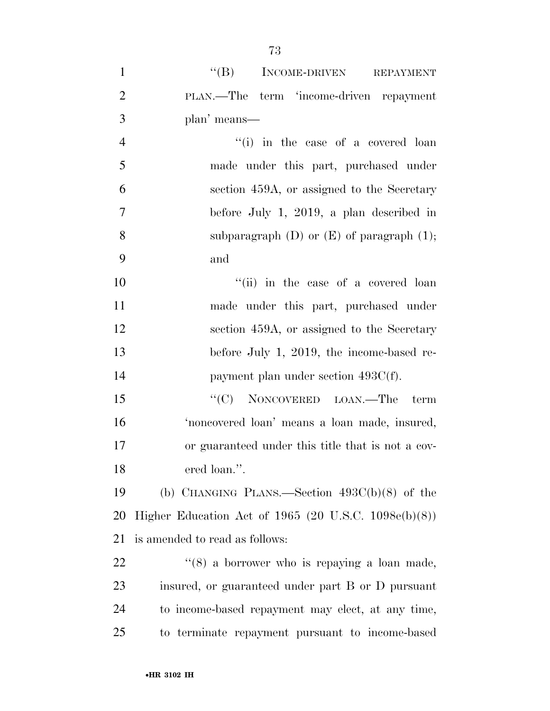| $\mathbf{1}$   | "(B) INCOME-DRIVEN REPAYMENT                            |
|----------------|---------------------------------------------------------|
| $\overline{2}$ | PLAN.—The term 'income-driven repayment                 |
| $\mathfrak{Z}$ | plan' means—                                            |
| $\overline{4}$ | "(i) in the case of a covered loan                      |
| 5              | made under this part, purchased under                   |
| 6              | section 459A, or assigned to the Secretary              |
| 7              | before July 1, 2019, a plan described in                |
| 8              | subparagraph $(D)$ or $(E)$ of paragraph $(1)$ ;        |
| 9              | and                                                     |
| 10             | "(ii) in the case of a covered loan                     |
| 11             | made under this part, purchased under                   |
| 12             | section 459A, or assigned to the Secretary              |
| 13             | before July 1, 2019, the income-based re-               |
| 14             | payment plan under section $493C(f)$ .                  |
| 15             | "(C) NONCOVERED LOAN.—The term                          |
| 16             | 'noncovered loan' means a loan made, insured,           |
| 17             | or guaranteed under this title that is not a cov-       |
| 18             | ered loan.".                                            |
| 19             | (b) CHANGING PLANS.—Section $493C(b)(8)$ of the         |
| 20             | Higher Education Act of 1965 (20 U.S.C. $1098e(b)(8)$ ) |
| 21             | is amended to read as follows:                          |
| 22             | $\lq(8)$ a borrower who is repaying a loan made,        |
| 23             | insured, or guaranteed under part B or D pursuant       |
| 24             | to income-based repayment may elect, at any time,       |
| 25             | to terminate repayment pursuant to income-based         |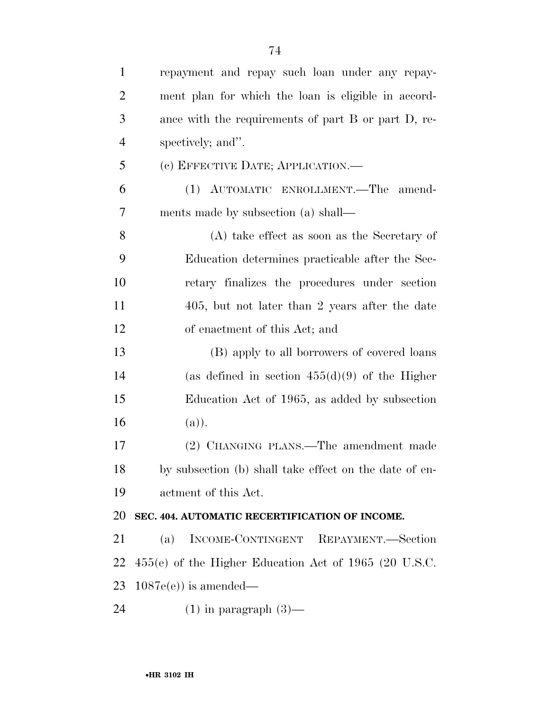| $\mathbf{1}$   | repayment and repay such loan under any repay-          |
|----------------|---------------------------------------------------------|
| $\overline{2}$ | ment plan for which the loan is eligible in accord-     |
| 3              | ance with the requirements of part B or part D, re-     |
| $\overline{4}$ | spectively; and".                                       |
| 5              | (c) EFFECTIVE DATE; APPLICATION.—                       |
| 6              | (1) AUTOMATIC ENROLLMENT. The amend-                    |
| 7              | ments made by subsection (a) shall—                     |
| 8              | $(A)$ take effect as soon as the Secretary of           |
| 9              | Education determines practicable after the Sec-         |
| 10             | retary finalizes the procedures under section           |
| 11             | 405, but not later than 2 years after the date          |
| 12             | of enactment of this Act; and                           |
| 13             | (B) apply to all borrowers of covered loans             |
| 14             | (as defined in section $455(d)(9)$ of the Higher        |
| 15             | Education Act of 1965, as added by subsection           |
| 16             | (a)).                                                   |
| 17             | (2) CHANGING PLANS.—The amendment made                  |
| 18             | by subsection (b) shall take effect on the date of en-  |
| 19             | actment of this Act.                                    |
| 20             | SEC. 404. AUTOMATIC RECERTIFICATION OF INCOME.          |
| 21             | INCOME-CONTINGENT REPAYMENT.-Section<br>(a)             |
| 22             | $455(e)$ of the Higher Education Act of 1965 (20 U.S.C. |
| 23             | $1087e(e)$ is amended—                                  |
| 24             | $(1)$ in paragraph $(3)$ —                              |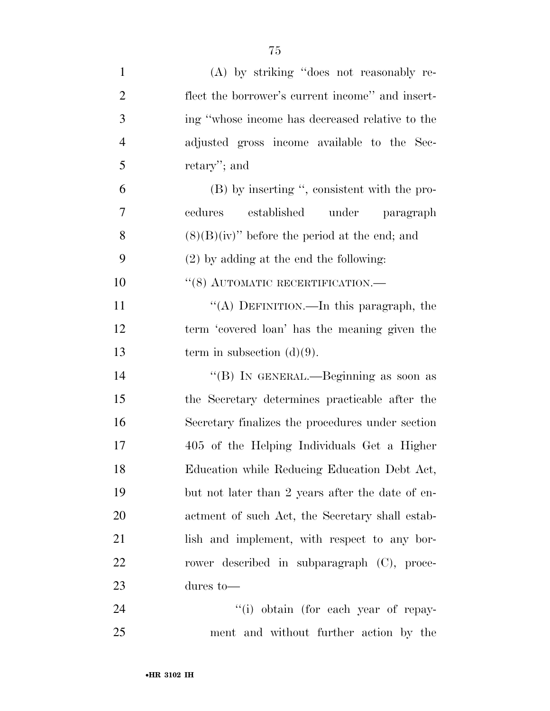| $\mathbf{1}$   | (A) by striking "does not reasonably re-         |
|----------------|--------------------------------------------------|
| $\overline{2}$ | flect the borrower's current income" and insert- |
| 3              | ing "whose income has decreased relative to the  |
| $\overline{4}$ | adjusted gross income available to the Sec-      |
| 5              | retary'; and                                     |
| 6              | (B) by inserting ", consistent with the pro-     |
| 7              | established under paragraph<br>cedures           |
| 8              | $(8)(B)(iv)$ before the period at the end; and   |
| 9              | $(2)$ by adding at the end the following:        |
| 10             | $``(8)$ AUTOMATIC RECERTIFICATION.—              |
| 11             | "(A) DEFINITION.—In this paragraph, the          |
| 12             | term 'covered loan' has the meaning given the    |
| 13             | term in subsection $(d)(9)$ .                    |
| 14             | "(B) IN GENERAL.—Beginning as soon as            |
| 15             | the Secretary determines practicable after the   |
| 16             | Secretary finalizes the procedures under section |
| 17             | 405 of the Helping Individuals Get a Higher      |
| 18             | Education while Reducing Education Debt Act,     |
| 19             | but not later than 2 years after the date of en- |
| 20             | actment of such Act, the Secretary shall estab-  |
| 21             | lish and implement, with respect to any bor-     |
| 22             | rower described in subparagraph (C), proce-      |
| 23             | dures to $-$                                     |
| 24             | "(i) obtain (for each year of repay-             |
| 25             | ment and without further action by the           |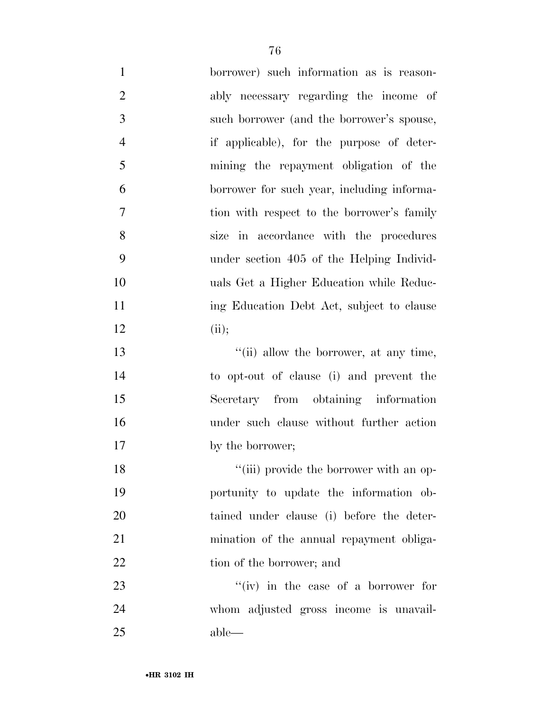| $\mathbf{1}$   | borrower) such information as is reason-   |
|----------------|--------------------------------------------|
| $\overline{2}$ | ably necessary regarding the income of     |
| 3              | such borrower (and the borrower's spouse,  |
| $\overline{4}$ | if applicable), for the purpose of deter-  |
| 5              | mining the repayment obligation of the     |
| 6              | borrower for such year, including informa- |
| $\overline{7}$ | tion with respect to the borrower's family |
| 8              | size in accordance with the procedures     |
| 9              | under section 405 of the Helping Individ-  |
| 10             | uals Get a Higher Education while Reduc-   |
| 11             | ing Education Debt Act, subject to clause  |
| 12             | (ii);                                      |
| 13             | "(ii) allow the borrower, at any time,     |
| 14             | to opt-out of clause (i) and prevent the   |
| 15             | Secretary from obtaining information       |
| 16             | under such clause without further action   |
| 17             | by the borrower;                           |
| 18             | "(iii) provide the borrower with an op-    |
| 19             | portunity to update the information ob-    |
| 20             | tained under clause (i) before the deter-  |
| 21             | mination of the annual repayment obliga-   |
| 22             | tion of the borrower; and                  |
| 23             | "(iv) in the case of a borrower for        |
| 24             | whom adjusted gross income is unavail-     |
| 25             | able—                                      |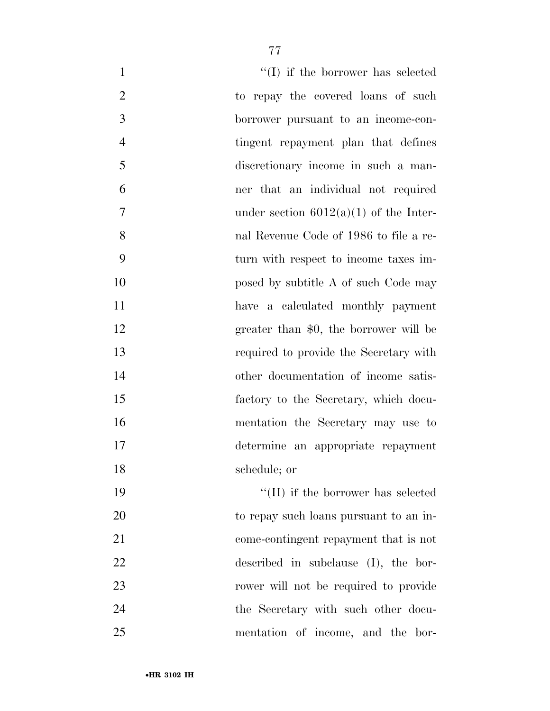| $\mathbf{1}$   | $\lq\lq$ if the borrower has selected      |
|----------------|--------------------------------------------|
| $\overline{2}$ | to repay the covered loans of such         |
| 3              | borrower pursuant to an income-con-        |
| $\overline{4}$ | tingent repayment plan that defines        |
| 5              | discretionary income in such a man-        |
| 6              | ner that an individual not required        |
| 7              | under section $6012(a)(1)$ of the Inter-   |
| 8              | nal Revenue Code of 1986 to file a re-     |
| 9              | turn with respect to income taxes im-      |
| 10             | posed by subtitle A of such Code may       |
| 11             | have a calculated monthly payment          |
| 12             | greater than \$0, the borrower will be     |
| 13             | required to provide the Secretary with     |
| 14             | other documentation of income satis-       |
| 15             | factory to the Secretary, which docu-      |
| 16             | mentation the Secretary may use to         |
| 17             | determine an appropriate repayment         |
| 18             | schedule; or                               |
| 19             | $\lq\lq$ (II) if the borrower has selected |
| 20             | to repay such loans pursuant to an in-     |
| 21             | come-contingent repayment that is not      |
| <u>22</u>      | described in subclause $(I)$ , the bor-    |
| 23             | rower will not be required to provide      |
| 24             | the Secretary with such other docu-        |
| 25             | mentation of income, and the bor-          |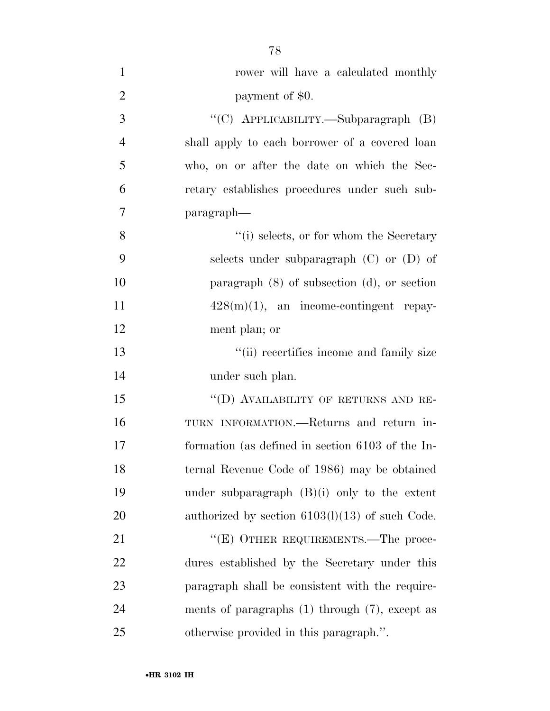| $\mathbf{1}$   | rower will have a calculated monthly                |
|----------------|-----------------------------------------------------|
| $\overline{2}$ | payment of \$0.                                     |
| 3              | "(C) APPLICABILITY.—Subparagraph (B)                |
| $\overline{4}$ | shall apply to each borrower of a covered loan      |
| 5              | who, on or after the date on which the Sec-         |
| 6              | retary establishes procedures under such sub-       |
| 7              | paragraph—                                          |
| 8              | "(i) selects, or for whom the Secretary             |
| 9              | selects under subparagraph (C) or (D) of            |
| 10             | paragraph $(8)$ of subsection $(d)$ , or section    |
| 11             | $428(m)(1)$ , an income-contingent repay-           |
| 12             | ment plan; or                                       |
| 13             | "(ii) recertifies income and family size            |
| 14             | under such plan.                                    |
| 15             | "(D) AVAILABILITY OF RETURNS AND RE-                |
| 16             | TURN INFORMATION.—Returns and return in-            |
| 17             | formation (as defined in section 6103 of the In-    |
| 18             | ternal Revenue Code of 1986) may be obtained        |
| 19             | under subparagraph $(B)(i)$ only to the extent      |
| 20             | authorized by section $6103(1)(13)$ of such Code.   |
| 21             | "(E) OTHER REQUIREMENTS.—The proce-                 |
| 22             | dures established by the Secretary under this       |
| 23             | paragraph shall be consistent with the require-     |
| 24             | ments of paragraphs $(1)$ through $(7)$ , except as |
| 25             | otherwise provided in this paragraph.".             |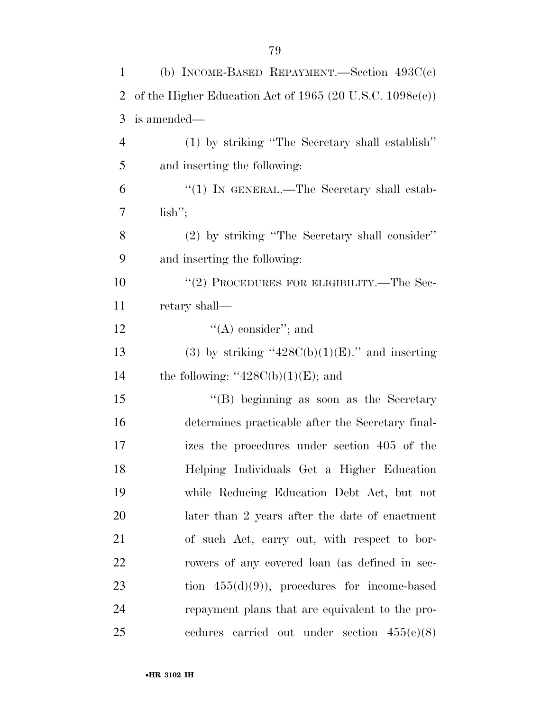| $\mathbf{1}$   | (b) INCOME-BASED REPAYMENT.—Section $493C(c)$               |
|----------------|-------------------------------------------------------------|
| 2              | of the Higher Education Act of 1965 (20 U.S.C. $1098e(c)$ ) |
| 3              | is amended—                                                 |
| $\overline{4}$ | (1) by striking "The Secretary shall establish"             |
| 5              | and inserting the following:                                |
| 6              | "(1) IN GENERAL.—The Secretary shall estab-                 |
| 7              | lish";                                                      |
| 8              | (2) by striking "The Secretary shall consider"              |
| 9              | and inserting the following:                                |
| 10             | "(2) PROCEDURES FOR ELIGIBILITY.—The Sec-                   |
| 11             | retary shall—                                               |
| 12             | $\lq\lq$ consider"; and                                     |
| 13             | (3) by striking " $428C(b)(1)(E)$ ." and inserting          |
| 14             | the following: " $428C(b)(1)(E)$ ; and                      |
| 15             | "(B) beginning as soon as the Secretary                     |
| 16             | determines practicable after the Secretary final-           |
| 17             | izes the procedures under section 405 of the                |
| 18             | Helping Individuals Get a Higher Education                  |
| 19             | while Reducing Education Debt Act, but not                  |
| 20             | later than 2 years after the date of enactment              |
| 21             | of such Act, carry out, with respect to bor-                |
| 22             | rowers of any covered loan (as defined in sec-              |
| 23             | tion $455(d)(9)$ , procedures for income-based              |
| 24             | repayment plans that are equivalent to the pro-             |
| 25             | cedures carried out under section $455(e)(8)$               |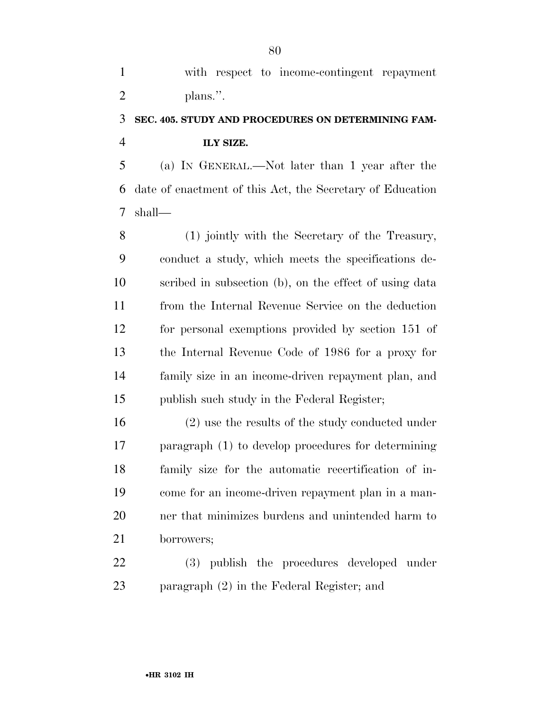with respect to income-contingent repayment 2 plans.".

## **SEC. 405. STUDY AND PROCEDURES ON DETERMINING FAM-ILY SIZE.**

 (a) IN GENERAL.—Not later than 1 year after the date of enactment of this Act, the Secretary of Education shall—

 (1) jointly with the Secretary of the Treasury, conduct a study, which meets the specifications de- scribed in subsection (b), on the effect of using data from the Internal Revenue Service on the deduction for personal exemptions provided by section 151 of the Internal Revenue Code of 1986 for a proxy for family size in an income-driven repayment plan, and publish such study in the Federal Register;

 (2) use the results of the study conducted under paragraph (1) to develop procedures for determining family size for the automatic recertification of in- come for an income-driven repayment plan in a man- ner that minimizes burdens and unintended harm to borrowers;

 (3) publish the procedures developed under paragraph (2) in the Federal Register; and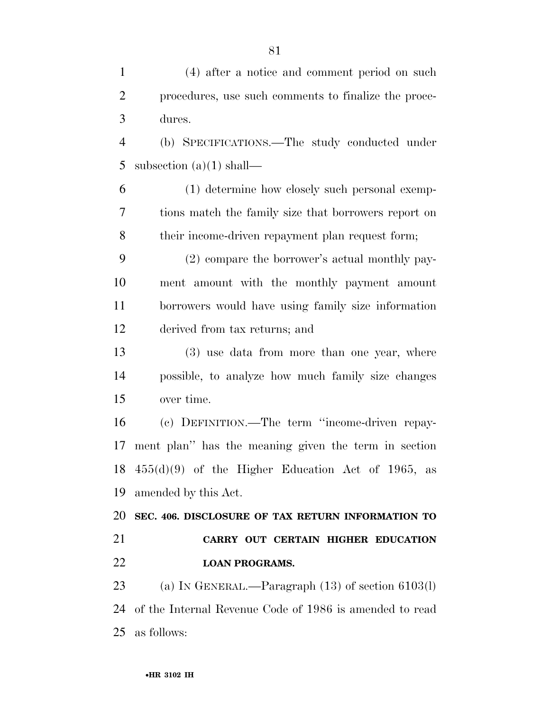| $\mathbf{1}$   | (4) after a notice and comment period on such           |
|----------------|---------------------------------------------------------|
| $\overline{2}$ | procedures, use such comments to finalize the proce-    |
| 3              | dures.                                                  |
| $\overline{4}$ | (b) SPECIFICATIONS.—The study conducted under           |
| 5              | subsection $(a)(1)$ shall—                              |
| 6              | (1) determine how closely such personal exemp-          |
| 7              | tions match the family size that borrowers report on    |
| 8              | their income-driven repayment plan request form;        |
| 9              | (2) compare the borrower's actual monthly pay-          |
| 10             | ment amount with the monthly payment amount             |
| 11             | borrowers would have using family size information      |
| 12             | derived from tax returns; and                           |
| 13             | (3) use data from more than one year, where             |
| 14             | possible, to analyze how much family size changes       |
| 15             | over time.                                              |
| 16             | (c) DEFINITION.—The term "income-driven repay-          |
| 17             | ment plan" has the meaning given the term in section    |
|                | 18 $455(d)(9)$ of the Higher Education Act of 1965, as  |
| 19             | amended by this Act.                                    |
| 20             | SEC. 406. DISCLOSURE OF TAX RETURN INFORMATION TO       |
| 21             | CARRY OUT CERTAIN HIGHER EDUCATION                      |
| 22             | <b>LOAN PROGRAMS.</b>                                   |
| 23             | (a) IN GENERAL.—Paragraph $(13)$ of section $6103(1)$   |
| 24             | of the Internal Revenue Code of 1986 is amended to read |
| 25             | as follows:                                             |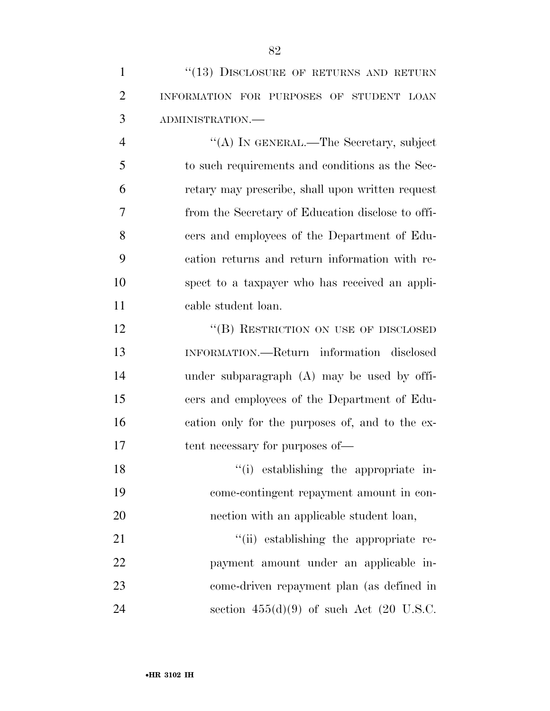| $\mathbf{1}$   | "(13) DISCLOSURE OF RETURNS AND RETURN            |
|----------------|---------------------------------------------------|
| $\overline{2}$ | INFORMATION FOR PURPOSES OF STUDENT LOAN          |
| 3              | ADMINISTRATION.-                                  |
| $\overline{4}$ | "(A) IN GENERAL.—The Secretary, subject           |
| 5              | to such requirements and conditions as the Sec-   |
| 6              | retary may prescribe, shall upon written request  |
| 7              | from the Secretary of Education disclose to offi- |
| 8              | cers and employees of the Department of Edu-      |
| 9              | cation returns and return information with re-    |
| 10             | spect to a taxpayer who has received an appli-    |
| 11             | cable student loan.                               |
| 12             | "(B) RESTRICTION ON USE OF DISCLOSED              |
| 13             | INFORMATION.—Return information disclosed         |
| 14             | under subparagraph $(A)$ may be used by offi-     |
| 15             | cers and employees of the Department of Edu-      |
| 16             | cation only for the purposes of, and to the ex-   |
| 17             | tent necessary for purposes of—                   |
| 18             | "(i) establishing the appropriate in-             |
| 19             | come-contingent repayment amount in con-          |
| 20             | nection with an applicable student loan,          |
| 21             | "(ii) establishing the appropriate re-            |
| 22             | payment amount under an applicable in-            |
| 23             | come-driven repayment plan (as defined in         |
| 24             | section $455(d)(9)$ of such Act (20 U.S.C.        |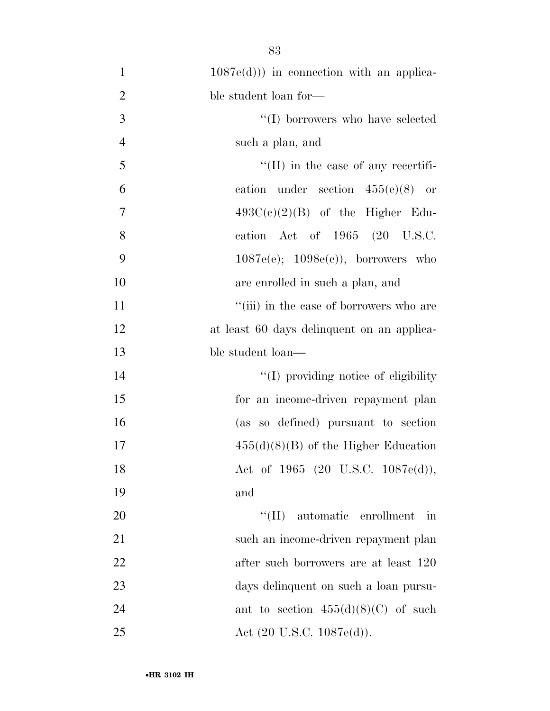| $\mathbf{1}$   | $1087e(d))$ in connection with an applica-  |
|----------------|---------------------------------------------|
| $\overline{2}$ | ble student loan for-                       |
| 3              | "(I) borrowers who have selected            |
| $\overline{4}$ | such a plan, and                            |
| 5              | $\lq\lq$ (II) in the case of any recertifi- |
| 6              | cation under section $455(e)(8)$ or         |
| $\overline{7}$ | $493C(c)(2)(B)$ of the Higher Edu-          |
| 8              | cation Act of 1965 (20 U.S.C.               |
| 9              | $1087e(e); 1098e(e)$ , borrowers who        |
| 10             | are enrolled in such a plan, and            |
| 11             | "(iii) in the case of borrowers who are     |
| 12             | at least 60 days delinquent on an applica-  |
| 13             | ble student loan—                           |
| 14             | "(I) providing notice of eligibility"       |
| 15             | for an income-driven repayment plan         |
| 16             | (as so defined) pursuant to section         |
| 17             | $455(d)(8)(B)$ of the Higher Education      |
| 18             | Act of 1965 (20 U.S.C. 1087e(d)),           |
| 19             | and                                         |
| 20             | $\lq\lq$ (II) automatic enrollment<br>in    |
| 21             | such an income-driven repayment plan        |
| 22             | after such borrowers are at least 120       |
| 23             | days delinquent on such a loan pursu-       |
| 24             | ant to section $455(d)(8)(C)$ of such       |
| 25             | Act $(20 \text{ U.S.C. } 1087e(d)).$        |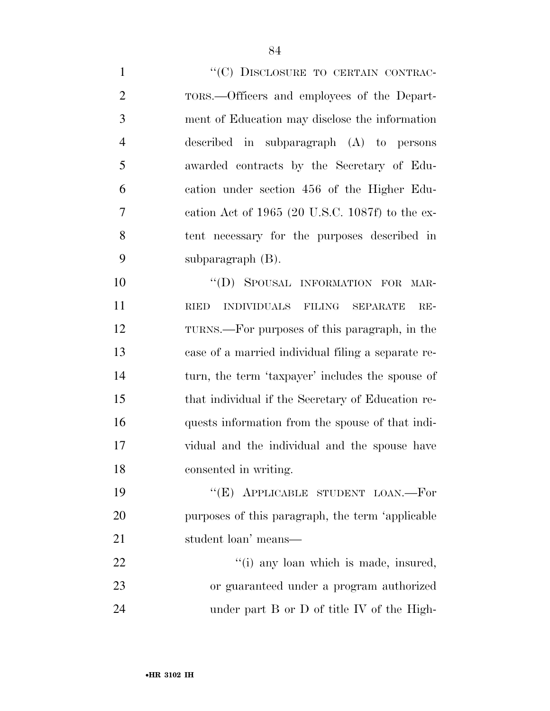1 ""(C) DISCLOSURE TO CERTAIN CONTRAC-TORS.—Officers and employees of the Depart-

 ment of Education may disclose the information described in subparagraph (A) to persons awarded contracts by the Secretary of Edu- cation under section 456 of the Higher Edu- cation Act of 1965 (20 U.S.C. 1087f) to the ex- tent necessary for the purposes described in subparagraph (B).

10 "(D) SPOUSAL INFORMATION FOR MAR- RIED INDIVIDUALS FILING SEPARATE RE- TURNS.—For purposes of this paragraph, in the case of a married individual filing a separate re- turn, the term 'taxpayer' includes the spouse of that individual if the Secretary of Education re- quests information from the spouse of that indi- vidual and the individual and the spouse have consented in writing.

19 "(E) APPLICABLE STUDENT LOAN.—For purposes of this paragraph, the term 'applicable student loan' means—

22  $\frac{1}{2}$   $\frac{1}{2}$   $\frac{1}{2}$  any loan which is made, insured, or guaranteed under a program authorized 24 under part B or D of title IV of the High-